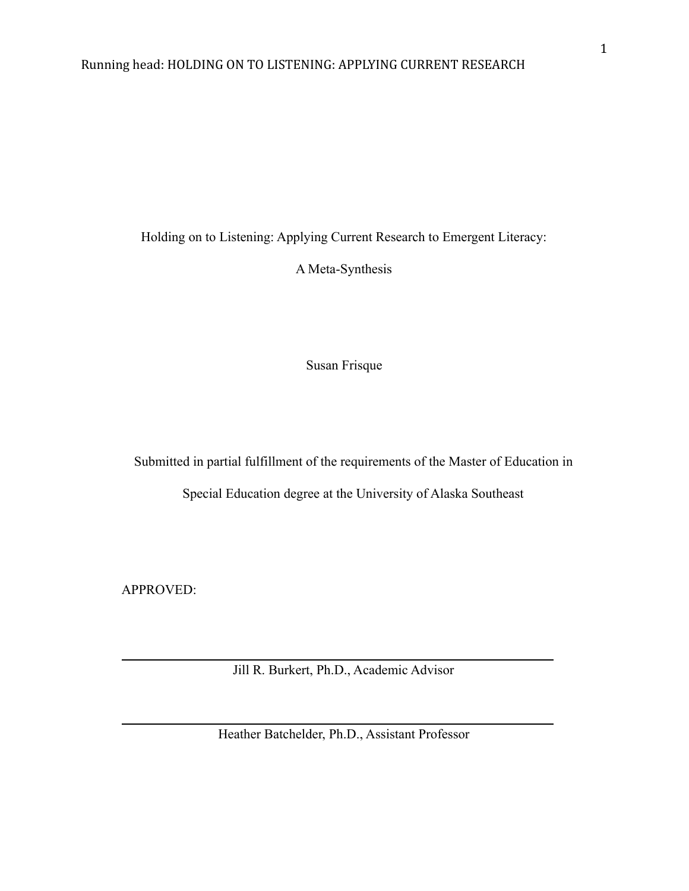Holding on to Listening: Applying Current Research to Emergent Literacy:

A Meta-Synthesis

Susan Frisque

Submitted in partial fulfillment of the requirements of the Master of Education in

Special Education degree at the University of Alaska Southeast

APPROVED:

Jill R. Burkert, Ph.D., Academic Advisor

Heather Batchelder, Ph.D., Assistant Professor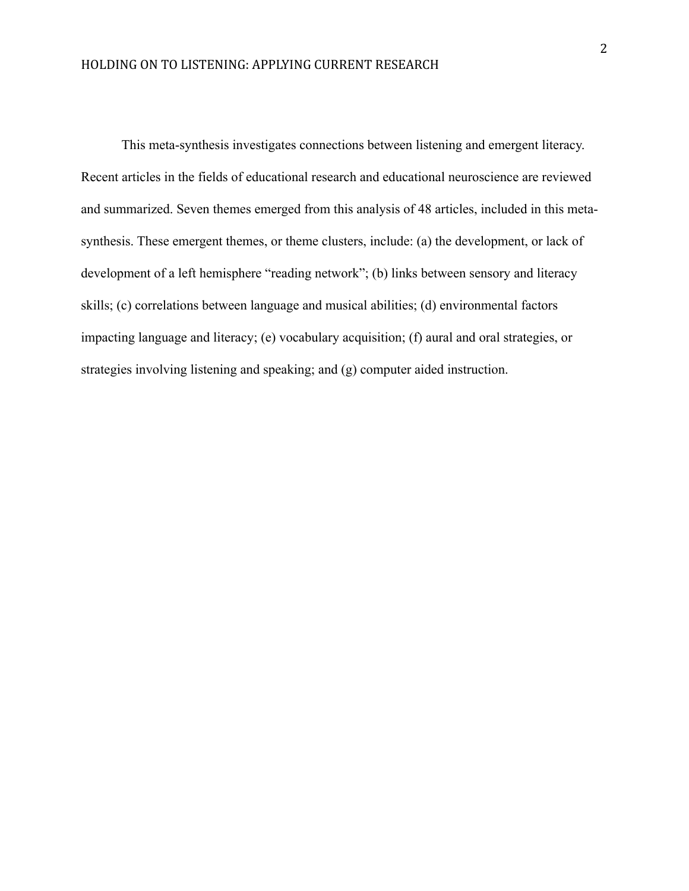This meta-synthesis investigates connections between listening and emergent literacy. Recent articles in the fields of educational research and educational neuroscience are reviewed and summarized. Seven themes emerged from this analysis of 48 articles, included in this metasynthesis. These emergent themes, or theme clusters, include: (a) the development, or lack of development of a left hemisphere "reading network"; (b) links between sensory and literacy skills; (c) correlations between language and musical abilities; (d) environmental factors impacting language and literacy; (e) vocabulary acquisition; (f) aural and oral strategies, or strategies involving listening and speaking; and (g) computer aided instruction.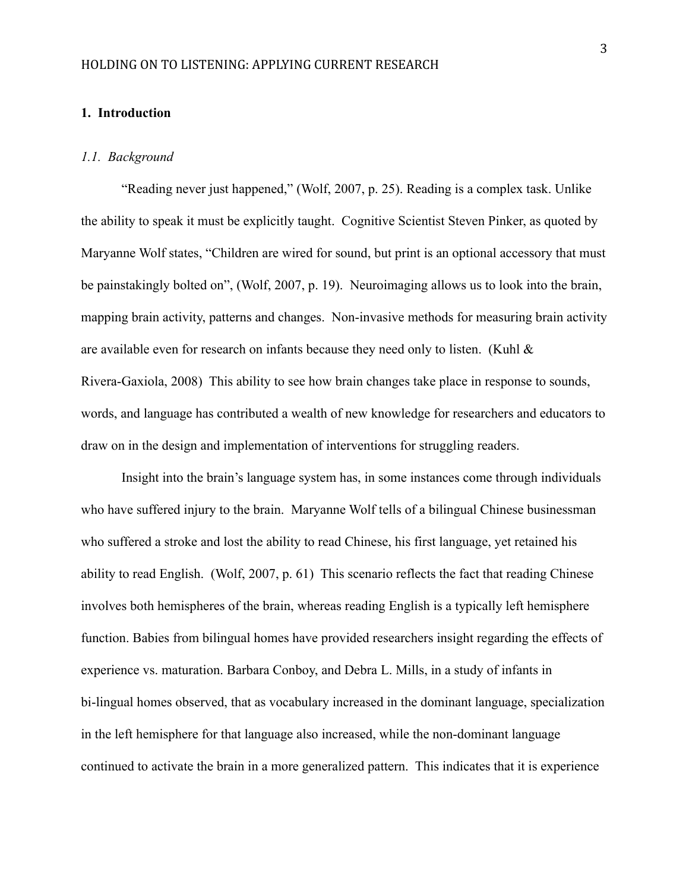#### **1. Introduction**

#### *1.1. Background*

"Reading never just happened," (Wolf, 2007, p. 25). Reading is a complex task. Unlike the ability to speak it must be explicitly taught. Cognitive Scientist Steven Pinker, as quoted by Maryanne Wolf states, "Children are wired for sound, but print is an optional accessory that must be painstakingly bolted on", (Wolf, 2007, p. 19). Neuroimaging allows us to look into the brain, mapping brain activity, patterns and changes. Non-invasive methods for measuring brain activity are available even for research on infants because they need only to listen. (Kuhl & Rivera-Gaxiola, 2008) This ability to see how brain changes take place in response to sounds, words, and language has contributed a wealth of new knowledge for researchers and educators to draw on in the design and implementation of interventions for struggling readers.

Insight into the brain's language system has, in some instances come through individuals who have suffered injury to the brain. Maryanne Wolf tells of a bilingual Chinese businessman who suffered a stroke and lost the ability to read Chinese, his first language, yet retained his ability to read English. (Wolf, 2007, p. 61) This scenario reflects the fact that reading Chinese involves both hemispheres of the brain, whereas reading English is a typically left hemisphere function. Babies from bilingual homes have provided researchers insight regarding the effects of experience vs. maturation. Barbara Conboy, and Debra L. Mills, in a study of infants in bi-lingual homes observed, that as vocabulary increased in the dominant language, specialization in the left hemisphere for that language also increased, while the non-dominant language continued to activate the brain in a more generalized pattern. This indicates that it is experience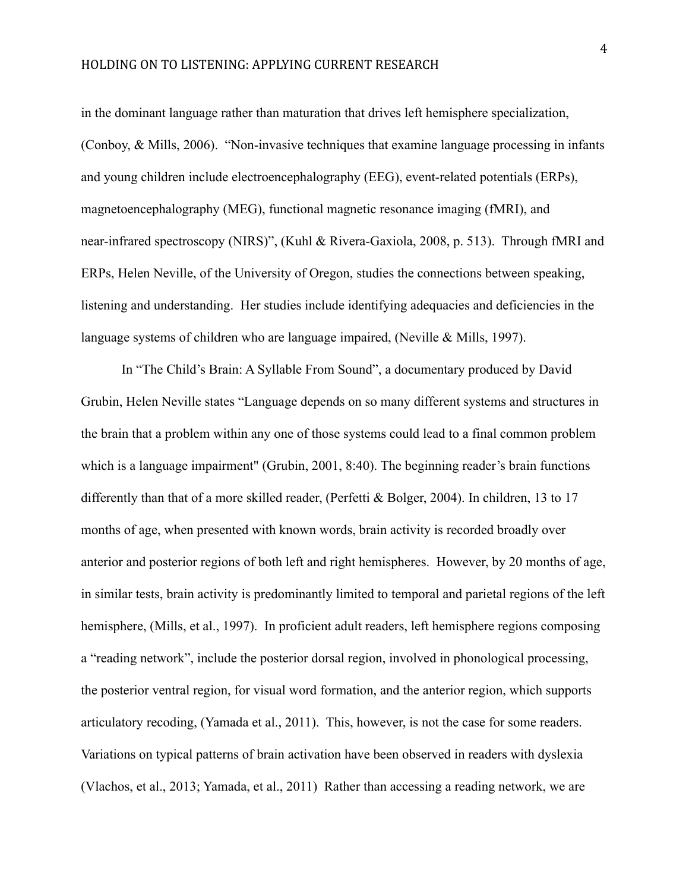in the dominant language rather than maturation that drives left hemisphere specialization, (Conboy, & Mills, 2006). "Non-invasive techniques that examine language processing in infants and young children include electroencephalography (EEG), event-related potentials (ERPs), magnetoencephalography (MEG), functional magnetic resonance imaging (fMRI), and near-infrared spectroscopy (NIRS)", (Kuhl & Rivera-Gaxiola, 2008, p. 513). Through fMRI and ERPs, Helen Neville, of the University of Oregon, studies the connections between speaking, listening and understanding. Her studies include identifying adequacies and deficiencies in the language systems of children who are language impaired, (Neville & Mills, 1997).

In "The Child's Brain: A Syllable From Sound", a documentary produced by David Grubin, Helen Neville states "Language depends on so many different systems and structures in the brain that a problem within any one of those systems could lead to a final common problem which is a language impairment" (Grubin, 2001, 8:40). The beginning reader's brain functions differently than that of a more skilled reader, (Perfetti & Bolger, 2004). In children, 13 to 17 months of age, when presented with known words, brain activity is recorded broadly over anterior and posterior regions of both left and right hemispheres. However, by 20 months of age, in similar tests, brain activity is predominantly limited to temporal and parietal regions of the left hemisphere, (Mills, et al., 1997). In proficient adult readers, left hemisphere regions composing a "reading network", include the posterior dorsal region, involved in phonological processing, the posterior ventral region, for visual word formation, and the anterior region, which supports articulatory recoding, (Yamada et al., 2011). This, however, is not the case for some readers. Variations on typical patterns of brain activation have been observed in readers with dyslexia (Vlachos, et al., 2013; Yamada, et al., 2011) Rather than accessing a reading network, we are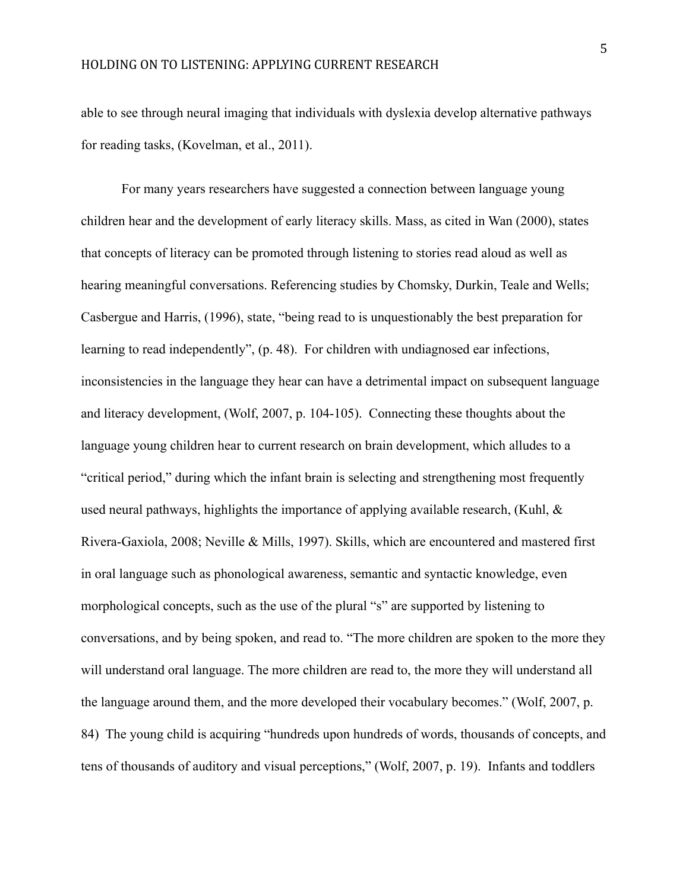able to see through neural imaging that individuals with dyslexia develop alternative pathways for reading tasks, (Kovelman, et al., 2011).

For many years researchers have suggested a connection between language young children hear and the development of early literacy skills. Mass, as cited in Wan (2000), states that concepts of literacy can be promoted through listening to stories read aloud as well as hearing meaningful conversations. Referencing studies by Chomsky, Durkin, Teale and Wells; Casbergue and Harris, (1996), state, "being read to is unquestionably the best preparation for learning to read independently", (p. 48). For children with undiagnosed ear infections, inconsistencies in the language they hear can have a detrimental impact on subsequent language and literacy development, (Wolf, 2007, p. 104-105). Connecting these thoughts about the language young children hear to current research on brain development, which alludes to a "critical period," during which the infant brain is selecting and strengthening most frequently used neural pathways, highlights the importance of applying available research, (Kuhl, & Rivera-Gaxiola, 2008; Neville & Mills, 1997). Skills, which are encountered and mastered first in oral language such as phonological awareness, semantic and syntactic knowledge, even morphological concepts, such as the use of the plural "s" are supported by listening to conversations, and by being spoken, and read to. "The more children are spoken to the more they will understand oral language. The more children are read to, the more they will understand all the language around them, and the more developed their vocabulary becomes." (Wolf, 2007, p. 84) The young child is acquiring "hundreds upon hundreds of words, thousands of concepts, and tens of thousands of auditory and visual perceptions," (Wolf, 2007, p. 19). Infants and toddlers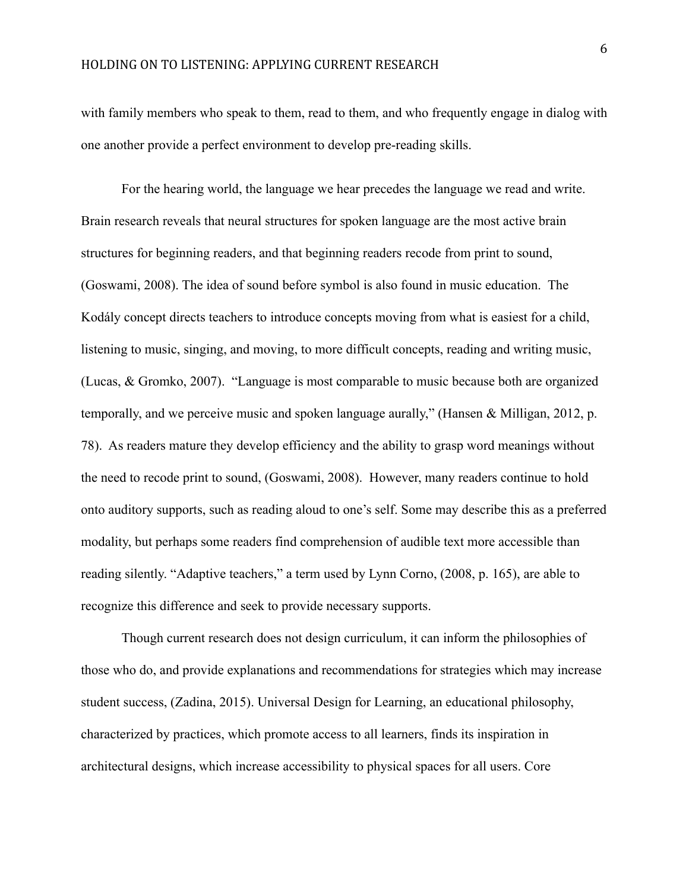with family members who speak to them, read to them, and who frequently engage in dialog with one another provide a perfect environment to develop pre-reading skills.

For the hearing world, the language we hear precedes the language we read and write. Brain research reveals that neural structures for spoken language are the most active brain structures for beginning readers, and that beginning readers recode from print to sound, (Goswami, 2008). The idea of sound before symbol is also found in music education. The Kodály concept directs teachers to introduce concepts moving from what is easiest for a child, listening to music, singing, and moving, to more difficult concepts, reading and writing music, (Lucas, & Gromko, 2007). "Language is most comparable to music because both are organized temporally, and we perceive music and spoken language aurally," (Hansen & Milligan, 2012, p. 78). As readers mature they develop efficiency and the ability to grasp word meanings without the need to recode print to sound, (Goswami, 2008). However, many readers continue to hold onto auditory supports, such as reading aloud to one's self. Some may describe this as a preferred modality, but perhaps some readers find comprehension of audible text more accessible than reading silently. "Adaptive teachers," a term used by Lynn Corno, (2008, p. 165), are able to recognize this difference and seek to provide necessary supports.

Though current research does not design curriculum, it can inform the philosophies of those who do, and provide explanations and recommendations for strategies which may increase student success, (Zadina, 2015). Universal Design for Learning, an educational philosophy, characterized by practices, which promote access to all learners, finds its inspiration in architectural designs, which increase accessibility to physical spaces for all users. Core

6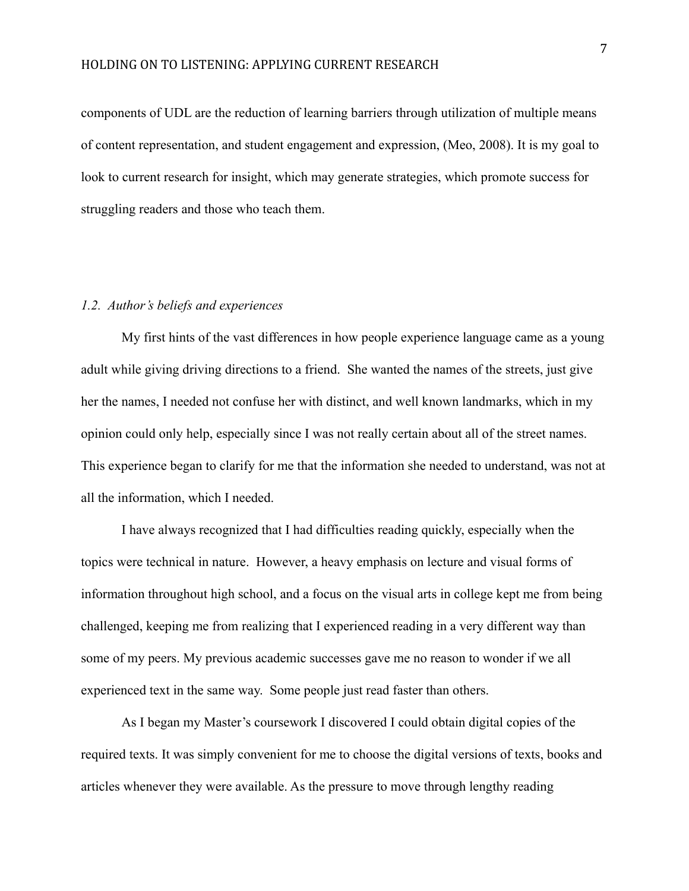components of UDL are the reduction of learning barriers through utilization of multiple means of content representation, and student engagement and expression, (Meo, 2008). It is my goal to look to current research for insight, which may generate strategies, which promote success for struggling readers and those who teach them.

#### *1.2. Author's beliefs and experiences*

My first hints of the vast differences in how people experience language came as a young adult while giving driving directions to a friend. She wanted the names of the streets, just give her the names, I needed not confuse her with distinct, and well known landmarks, which in my opinion could only help, especially since I was not really certain about all of the street names. This experience began to clarify for me that the information she needed to understand, was not at all the information, which I needed.

I have always recognized that I had difficulties reading quickly, especially when the topics were technical in nature. However, a heavy emphasis on lecture and visual forms of information throughout high school, and a focus on the visual arts in college kept me from being challenged, keeping me from realizing that I experienced reading in a very different way than some of my peers. My previous academic successes gave me no reason to wonder if we all experienced text in the same way. Some people just read faster than others.

As I began my Master's coursework I discovered I could obtain digital copies of the required texts. It was simply convenient for me to choose the digital versions of texts, books and articles whenever they were available. As the pressure to move through lengthy reading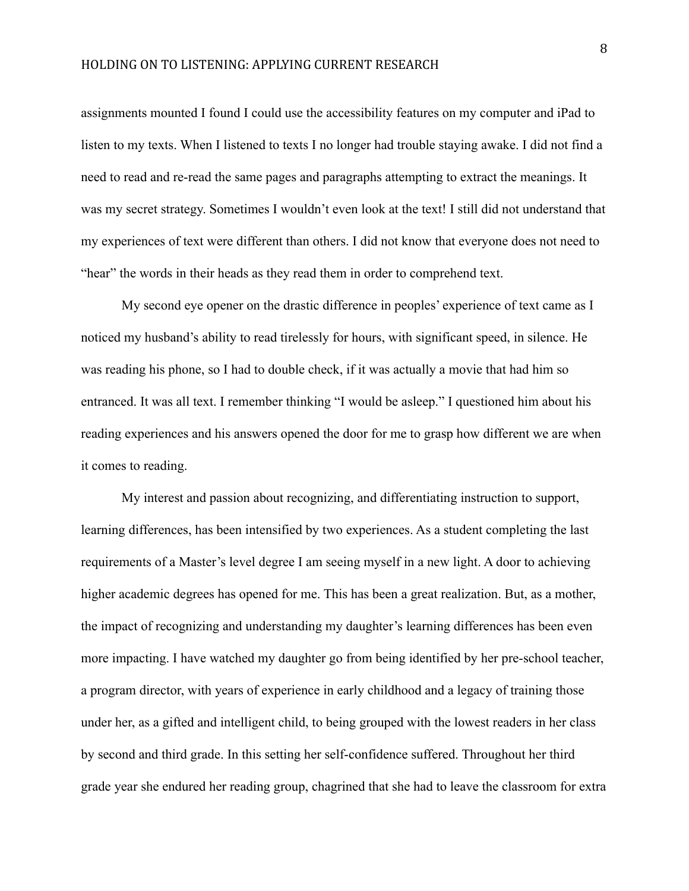assignments mounted I found I could use the accessibility features on my computer and iPad to listen to my texts. When I listened to texts I no longer had trouble staying awake. I did not find a need to read and re-read the same pages and paragraphs attempting to extract the meanings. It was my secret strategy. Sometimes I wouldn't even look at the text! I still did not understand that my experiences of text were different than others. I did not know that everyone does not need to "hear" the words in their heads as they read them in order to comprehend text.

My second eye opener on the drastic difference in peoples' experience of text came as I noticed my husband's ability to read tirelessly for hours, with significant speed, in silence. He was reading his phone, so I had to double check, if it was actually a movie that had him so entranced. It was all text. I remember thinking "I would be asleep." I questioned him about his reading experiences and his answers opened the door for me to grasp how different we are when it comes to reading.

My interest and passion about recognizing, and differentiating instruction to support, learning differences, has been intensified by two experiences. As a student completing the last requirements of a Master's level degree I am seeing myself in a new light. A door to achieving higher academic degrees has opened for me. This has been a great realization. But, as a mother, the impact of recognizing and understanding my daughter's learning differences has been even more impacting. I have watched my daughter go from being identified by her pre-school teacher, a program director, with years of experience in early childhood and a legacy of training those under her, as a gifted and intelligent child, to being grouped with the lowest readers in her class by second and third grade. In this setting her self-confidence suffered. Throughout her third grade year she endured her reading group, chagrined that she had to leave the classroom for extra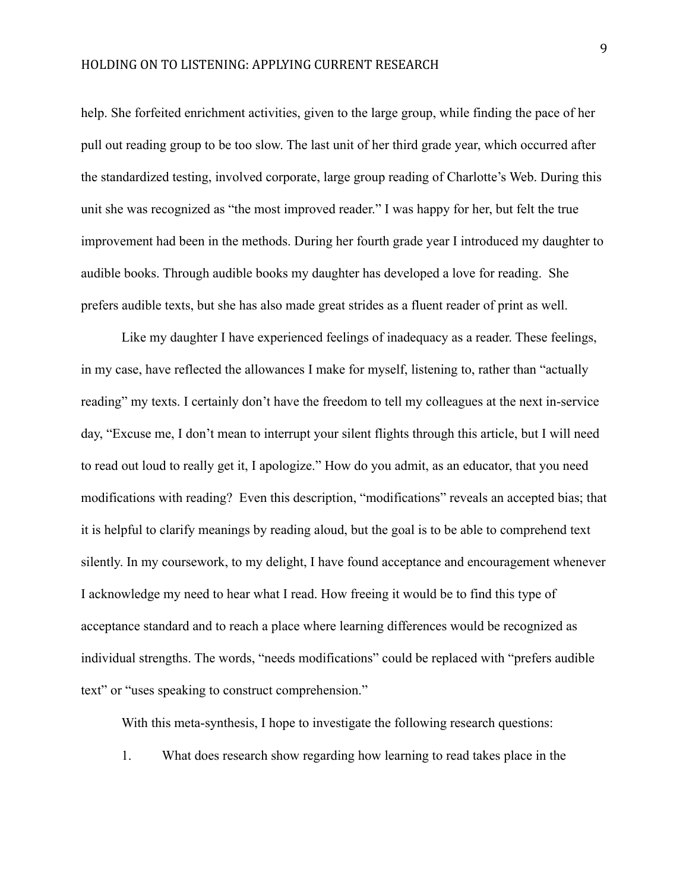help. She forfeited enrichment activities, given to the large group, while finding the pace of her pull out reading group to be too slow. The last unit of her third grade year, which occurred after the standardized testing, involved corporate, large group reading of Charlotte's Web. During this unit she was recognized as "the most improved reader." I was happy for her, but felt the true improvement had been in the methods. During her fourth grade year I introduced my daughter to audible books. Through audible books my daughter has developed a love for reading. She prefers audible texts, but she has also made great strides as a fluent reader of print as well.

Like my daughter I have experienced feelings of inadequacy as a reader. These feelings, in my case, have reflected the allowances I make for myself, listening to, rather than "actually reading" my texts. I certainly don't have the freedom to tell my colleagues at the next in-service day, "Excuse me, I don't mean to interrupt your silent flights through this article, but I will need to read out loud to really get it, I apologize." How do you admit, as an educator, that you need modifications with reading? Even this description, "modifications" reveals an accepted bias; that it is helpful to clarify meanings by reading aloud, but the goal is to be able to comprehend text silently. In my coursework, to my delight, I have found acceptance and encouragement whenever I acknowledge my need to hear what I read. How freeing it would be to find this type of acceptance standard and to reach a place where learning differences would be recognized as individual strengths. The words, "needs modifications" could be replaced with "prefers audible text" or "uses speaking to construct comprehension."

With this meta-synthesis, I hope to investigate the following research questions:

1. What does research show regarding how learning to read takes place in the

9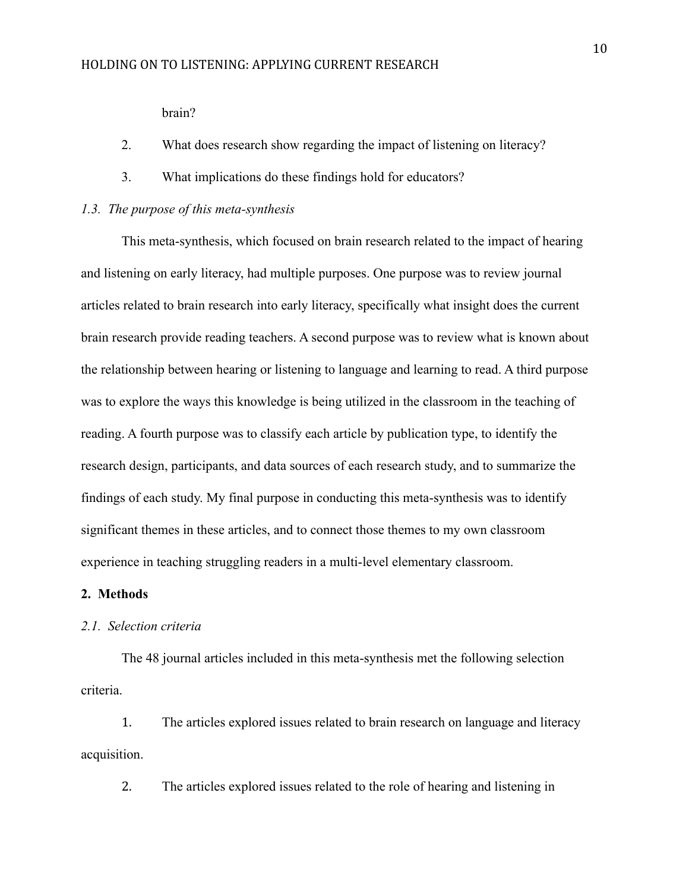brain?

- 2. What does research show regarding the impact of listening on literacy?
- 3. What implications do these findings hold for educators?

#### *1.3. The purpose of this meta-synthesis*

This meta-synthesis, which focused on brain research related to the impact of hearing and listening on early literacy, had multiple purposes. One purpose was to review journal articles related to brain research into early literacy, specifically what insight does the current brain research provide reading teachers. A second purpose was to review what is known about the relationship between hearing or listening to language and learning to read. A third purpose was to explore the ways this knowledge is being utilized in the classroom in the teaching of reading. A fourth purpose was to classify each article by publication type, to identify the research design, participants, and data sources of each research study, and to summarize the findings of each study. My final purpose in conducting this meta-synthesis was to identify significant themes in these articles, and to connect those themes to my own classroom experience in teaching struggling readers in a multi-level elementary classroom.

## **2. Methods**

#### *2.1. Selection criteria*

The 48 journal articles included in this meta-synthesis met the following selection criteria.

1. The articles explored issues related to brain research on language and literacy acquisition.

2. The articles explored issues related to the role of hearing and listening in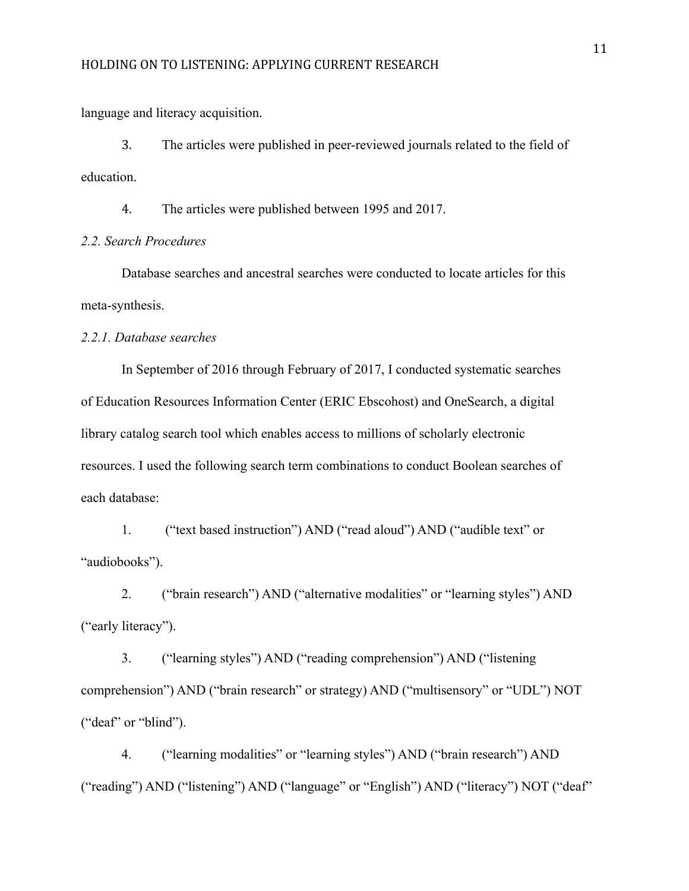language and literacy acquisition.

3. The articles were published in peer-reviewed journals related to the field of education.

4. The articles were published between 1995 and 2017.

*2.2. Search Procedures*

Database searches and ancestral searches were conducted to locate articles for this meta-synthesis.

*2.2.1. Database searches*

In September of 2016 through February of 2017, I conducted systematic searches of Education Resources Information Center (ERIC Ebscohost) and OneSearch, a digital library catalog search tool which enables access to millions of scholarly electronic resources. I used the following search term combinations to conduct Boolean searches of each database:

1. ("text based instruction") AND ("read aloud") AND ("audible text" or "audiobooks").

2. ("brain research") AND ("alternative modalities" or "learning styles") AND ("early literacy").

3. ("learning styles") AND ("reading comprehension") AND ("listening comprehension") AND ("brain research" or strategy) AND ("multisensory" or "UDL") NOT ("deaf" or "blind").

4. ("learning modalities" or "learning styles") AND ("brain research") AND ("reading") AND ("listening") AND ("language" or "English") AND ("literacy") NOT ("deaf"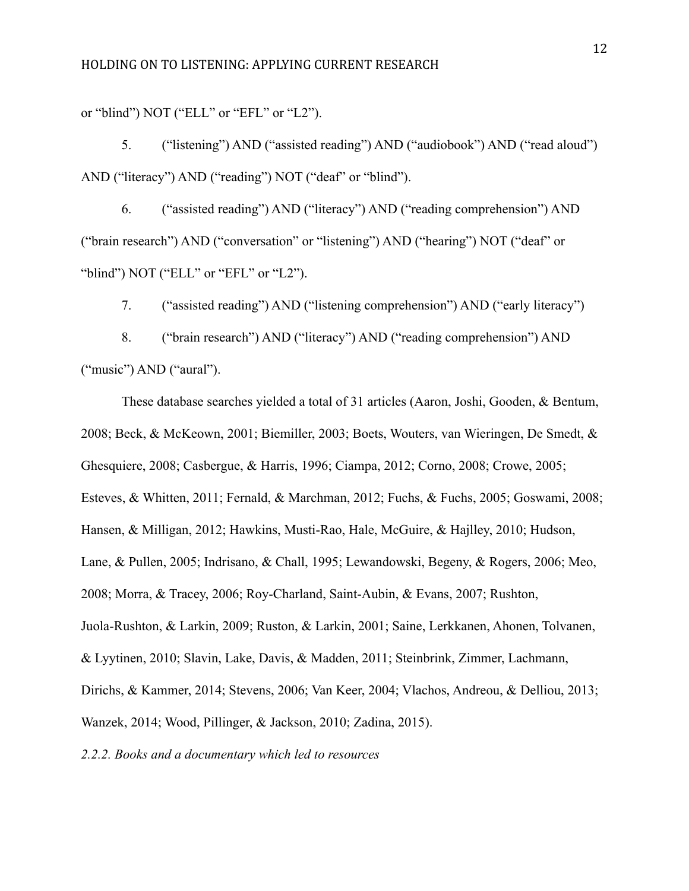or "blind") NOT ("ELL" or "EFL" or "L2").

5. ("listening") AND ("assisted reading") AND ("audiobook") AND ("read aloud") AND ("literacy") AND ("reading") NOT ("deaf" or "blind").

6. ("assisted reading") AND ("literacy") AND ("reading comprehension") AND ("brain research") AND ("conversation" or "listening") AND ("hearing") NOT ("deaf" or "blind") NOT ("ELL" or "EFL" or "L2").

7. ("assisted reading") AND ("listening comprehension") AND ("early literacy")

8. ("brain research") AND ("literacy") AND ("reading comprehension") AND ("music") AND ("aural").

These database searches yielded a total of 31 articles (Aaron, Joshi, Gooden, & Bentum, 2008; Beck, & McKeown, 2001; Biemiller, 2003; Boets, Wouters, van Wieringen, De Smedt, & Ghesquiere, 2008; Casbergue, & Harris, 1996; Ciampa, 2012; Corno, 2008; Crowe, 2005; Esteves, & Whitten, 2011; Fernald, & Marchman, 2012; Fuchs, & Fuchs, 2005; Goswami, 2008; Hansen, & Milligan, 2012; Hawkins, Musti-Rao, Hale, McGuire, & Hajlley, 2010; Hudson, Lane, & Pullen, 2005; Indrisano, & Chall, 1995; Lewandowski, Begeny, & Rogers, 2006; Meo, 2008; Morra, & Tracey, 2006; Roy-Charland, Saint-Aubin, & Evans, 2007; Rushton, Juola-Rushton, & Larkin, 2009; Ruston, & Larkin, 2001; Saine, Lerkkanen, Ahonen, Tolvanen, & Lyytinen, 2010; Slavin, Lake, Davis, & Madden, 2011; Steinbrink, Zimmer, Lachmann, Dirichs, & Kammer, 2014; Stevens, 2006; Van Keer, 2004; Vlachos, Andreou, & Delliou, 2013; Wanzek, 2014; Wood, Pillinger, & Jackson, 2010; Zadina, 2015). *2.2.2. Books and a documentary which led to resources*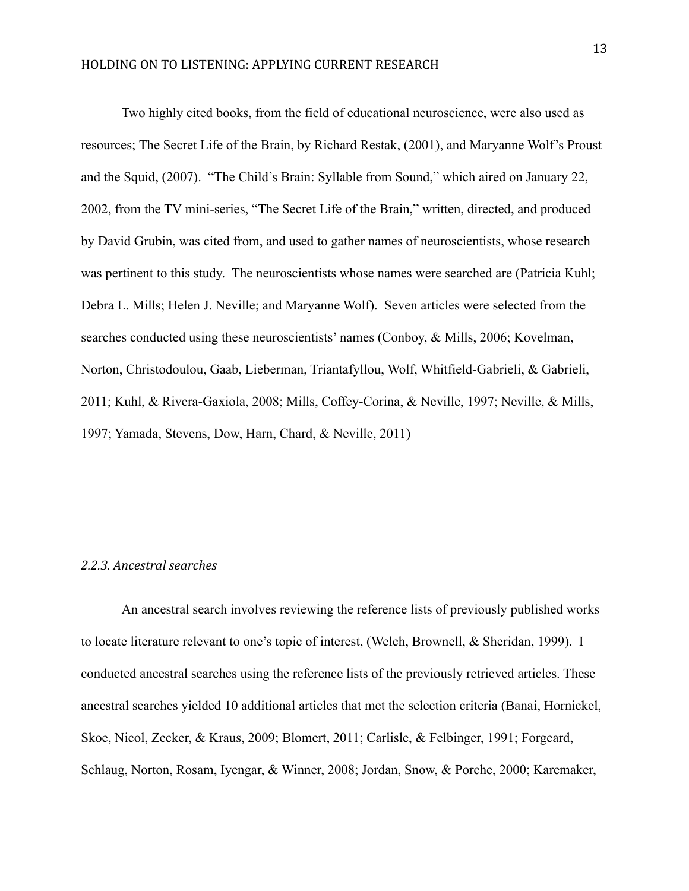Two highly cited books, from the field of educational neuroscience, were also used as resources; The Secret Life of the Brain, by Richard Restak, (2001), and Maryanne Wolf's Proust and the Squid, (2007). "The Child's Brain: Syllable from Sound," which aired on January 22, 2002, from the TV mini-series, "The Secret Life of the Brain," written, directed, and produced by David Grubin, was cited from, and used to gather names of neuroscientists, whose research was pertinent to this study. The neuroscientists whose names were searched are (Patricia Kuhl; Debra L. Mills; Helen J. Neville; and Maryanne Wolf). Seven articles were selected from the searches conducted using these neuroscientists' names (Conboy, & Mills, 2006; Kovelman, Norton, Christodoulou, Gaab, Lieberman, Triantafyllou, Wolf, Whitfield-Gabrieli, & Gabrieli, 2011; Kuhl, & Rivera-Gaxiola, 2008; Mills, Coffey-Corina, & Neville, 1997; Neville, & Mills, 1997; Yamada, Stevens, Dow, Harn, Chard, & Neville, 2011)

### *2.2.3. Ancestral searches*

An ancestral search involves reviewing the reference lists of previously published works to locate literature relevant to one's topic of interest, (Welch, Brownell, & Sheridan, 1999). I conducted ancestral searches using the reference lists of the previously retrieved articles. These ancestral searches yielded 10 additional articles that met the selection criteria (Banai, Hornickel, Skoe, Nicol, Zecker, & Kraus, 2009; Blomert, 2011; Carlisle, & Felbinger, 1991; Forgeard, Schlaug, Norton, Rosam, Iyengar, & Winner, 2008; Jordan, Snow, & Porche, 2000; Karemaker,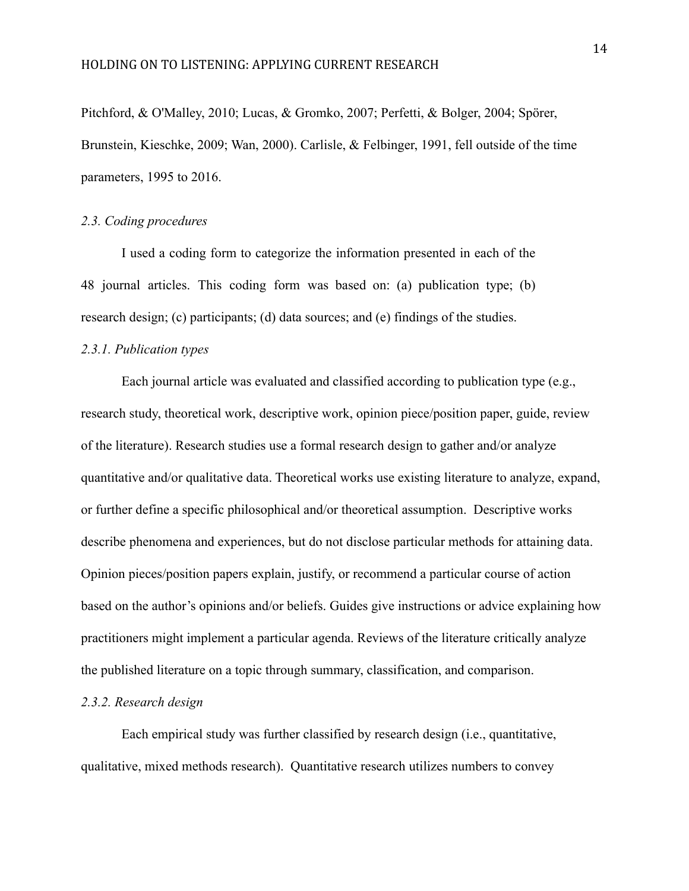Pitchford, & O'Malley, 2010; Lucas, & Gromko, 2007; Perfetti, & Bolger, 2004; Spörer, Brunstein, Kieschke, 2009; Wan, 2000). Carlisle, & Felbinger, 1991, fell outside of the time parameters, 1995 to 2016.

#### *2.3. Coding procedures*

I used a coding form to categorize the information presented in each of the 48 journal articles. This coding form was based on: (a) publication type; (b) research design; (c) participants; (d) data sources; and (e) findings of the studies.

## *2.3.1. Publication types*

Each journal article was evaluated and classified according to publication type (e.g., research study, theoretical work, descriptive work, opinion piece/position paper, guide, review of the literature). Research studies use a formal research design to gather and/or analyze quantitative and/or qualitative data. Theoretical works use existing literature to analyze, expand, or further define a specific philosophical and/or theoretical assumption. Descriptive works describe phenomena and experiences, but do not disclose particular methods for attaining data. Opinion pieces/position papers explain, justify, or recommend a particular course of action based on the author's opinions and/or beliefs. Guides give instructions or advice explaining how practitioners might implement a particular agenda. Reviews of the literature critically analyze the published literature on a topic through summary, classification, and comparison.

#### *2.3.2. Research design*

Each empirical study was further classified by research design (i.e., quantitative, qualitative, mixed methods research). Quantitative research utilizes numbers to convey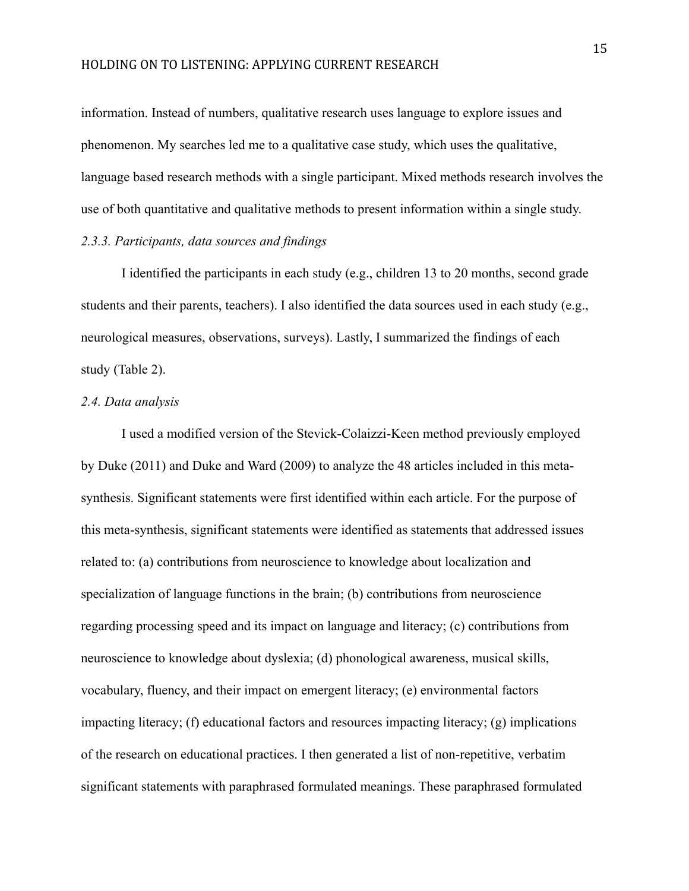information. Instead of numbers, qualitative research uses language to explore issues and phenomenon. My searches led me to a qualitative case study, which uses the qualitative, language based research methods with a single participant. Mixed methods research involves the use of both quantitative and qualitative methods to present information within a single study.

## *2.3.3. Participants, data sources and findings*

I identified the participants in each study (e.g., children 13 to 20 months, second grade students and their parents, teachers). I also identified the data sources used in each study (e.g., neurological measures, observations, surveys). Lastly, I summarized the findings of each study (Table 2).

## *2.4. Data analysis*

I used a modified version of the Stevick-Colaizzi-Keen method previously employed by Duke (2011) and Duke and Ward (2009) to analyze the 48 articles included in this metasynthesis. Significant statements were first identified within each article. For the purpose of this meta-synthesis, significant statements were identified as statements that addressed issues related to: (a) contributions from neuroscience to knowledge about localization and specialization of language functions in the brain; (b) contributions from neuroscience regarding processing speed and its impact on language and literacy; (c) contributions from neuroscience to knowledge about dyslexia; (d) phonological awareness, musical skills, vocabulary, fluency, and their impact on emergent literacy; (e) environmental factors impacting literacy; (f) educational factors and resources impacting literacy; (g) implications of the research on educational practices. I then generated a list of non-repetitive, verbatim significant statements with paraphrased formulated meanings. These paraphrased formulated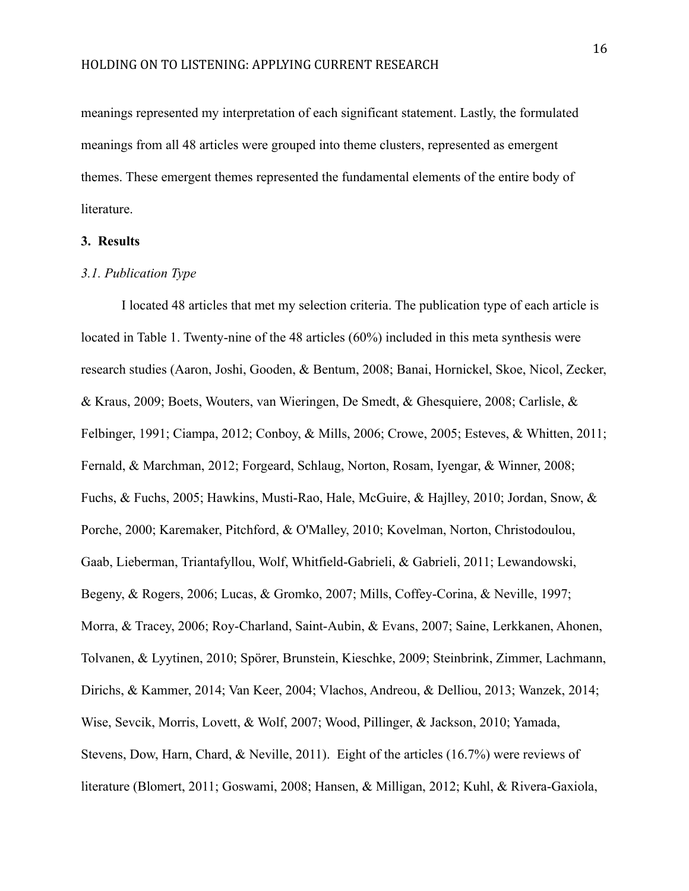meanings represented my interpretation of each significant statement. Lastly, the formulated meanings from all 48 articles were grouped into theme clusters, represented as emergent themes. These emergent themes represented the fundamental elements of the entire body of literature.

## **3. Results**

#### *3.1. Publication Type*

I located 48 articles that met my selection criteria. The publication type of each article is located in Table 1. Twenty-nine of the 48 articles (60%) included in this meta synthesis were research studies (Aaron, Joshi, Gooden, & Bentum, 2008; Banai, Hornickel, Skoe, Nicol, Zecker, & Kraus, 2009; Boets, Wouters, van Wieringen, De Smedt, & Ghesquiere, 2008; Carlisle, & Felbinger, 1991; Ciampa, 2012; Conboy, & Mills, 2006; Crowe, 2005; Esteves, & Whitten, 2011; Fernald, & Marchman, 2012; Forgeard, Schlaug, Norton, Rosam, Iyengar, & Winner, 2008; Fuchs, & Fuchs, 2005; Hawkins, Musti-Rao, Hale, McGuire, & Hajlley, 2010; Jordan, Snow, & Porche, 2000; Karemaker, Pitchford, & O'Malley, 2010; Kovelman, Norton, Christodoulou, Gaab, Lieberman, Triantafyllou, Wolf, Whitfield-Gabrieli, & Gabrieli, 2011; Lewandowski, Begeny, & Rogers, 2006; Lucas, & Gromko, 2007; Mills, Coffey-Corina, & Neville, 1997; Morra, & Tracey, 2006; Roy-Charland, Saint-Aubin, & Evans, 2007; Saine, Lerkkanen, Ahonen, Tolvanen, & Lyytinen, 2010; Spörer, Brunstein, Kieschke, 2009; Steinbrink, Zimmer, Lachmann, Dirichs, & Kammer, 2014; Van Keer, 2004; Vlachos, Andreou, & Delliou, 2013; Wanzek, 2014; Wise, Sevcik, Morris, Lovett, & Wolf, 2007; Wood, Pillinger, & Jackson, 2010; Yamada, Stevens, Dow, Harn, Chard, & Neville, 2011). Eight of the articles (16.7%) were reviews of literature (Blomert, 2011; Goswami, 2008; Hansen, & Milligan, 2012; Kuhl, & Rivera-Gaxiola,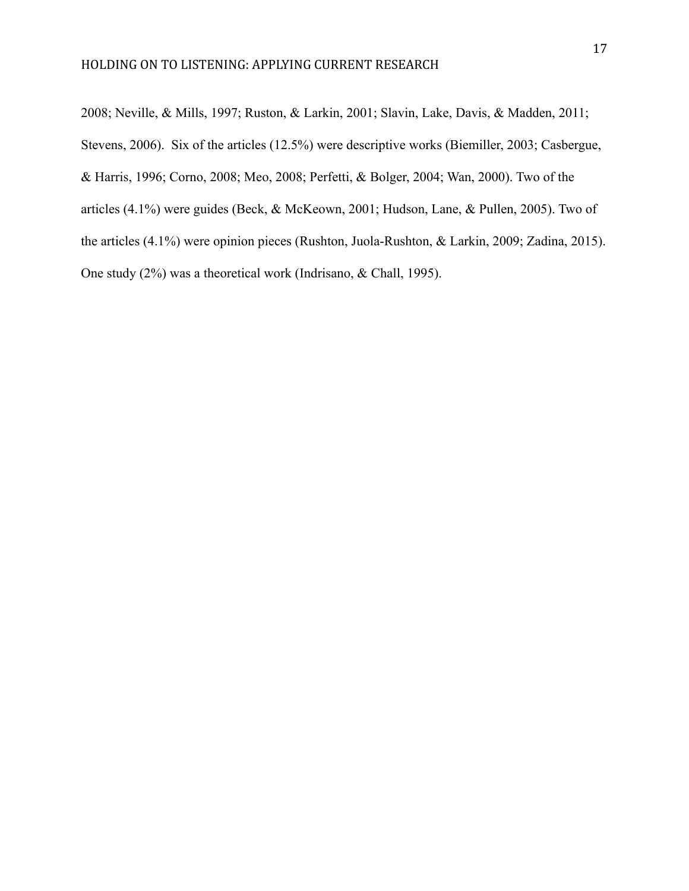2008; Neville, & Mills, 1997; Ruston, & Larkin, 2001; Slavin, Lake, Davis, & Madden, 2011; Stevens, 2006). Six of the articles (12.5%) were descriptive works (Biemiller, 2003; Casbergue, & Harris, 1996; Corno, 2008; Meo, 2008; Perfetti, & Bolger, 2004; Wan, 2000). Two of the articles (4.1%) were guides (Beck, & McKeown, 2001; Hudson, Lane, & Pullen, 2005). Two of the articles (4.1%) were opinion pieces (Rushton, Juola-Rushton, & Larkin, 2009; Zadina, 2015). One study (2%) was a theoretical work (Indrisano, & Chall, 1995).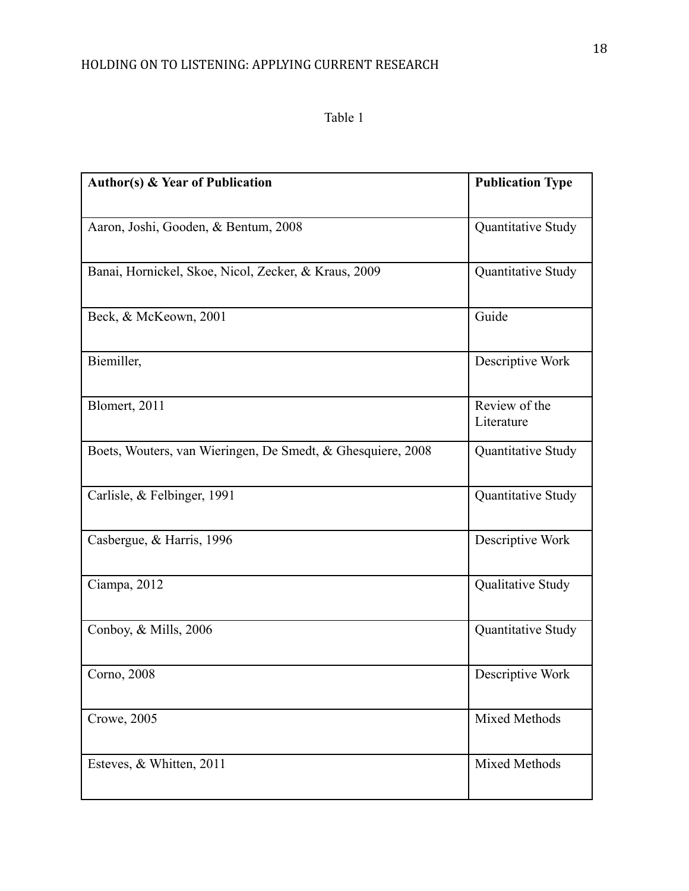# HOLDING ON TO LISTENING: APPLYING CURRENT RESEARCH

| . . |  |
|-----|--|
|     |  |

| <b>Author(s) &amp; Year of Publication</b>                  | <b>Publication Type</b>     |
|-------------------------------------------------------------|-----------------------------|
|                                                             |                             |
| Aaron, Joshi, Gooden, & Bentum, 2008                        | Quantitative Study          |
| Banai, Hornickel, Skoe, Nicol, Zecker, & Kraus, 2009        | Quantitative Study          |
| Beck, & McKeown, 2001                                       | Guide                       |
| Biemiller,                                                  | Descriptive Work            |
| Blomert, 2011                                               | Review of the<br>Literature |
| Boets, Wouters, van Wieringen, De Smedt, & Ghesquiere, 2008 | Quantitative Study          |
| Carlisle, & Felbinger, 1991                                 | Quantitative Study          |
| Casbergue, & Harris, 1996                                   | Descriptive Work            |
| Ciampa, 2012                                                | Qualitative Study           |
| Conboy, & Mills, 2006                                       | Quantitative Study          |
| Corno, 2008                                                 | Descriptive Work            |
| Crowe, 2005                                                 | Mixed Methods               |
| Esteves, & Whitten, 2011                                    | Mixed Methods               |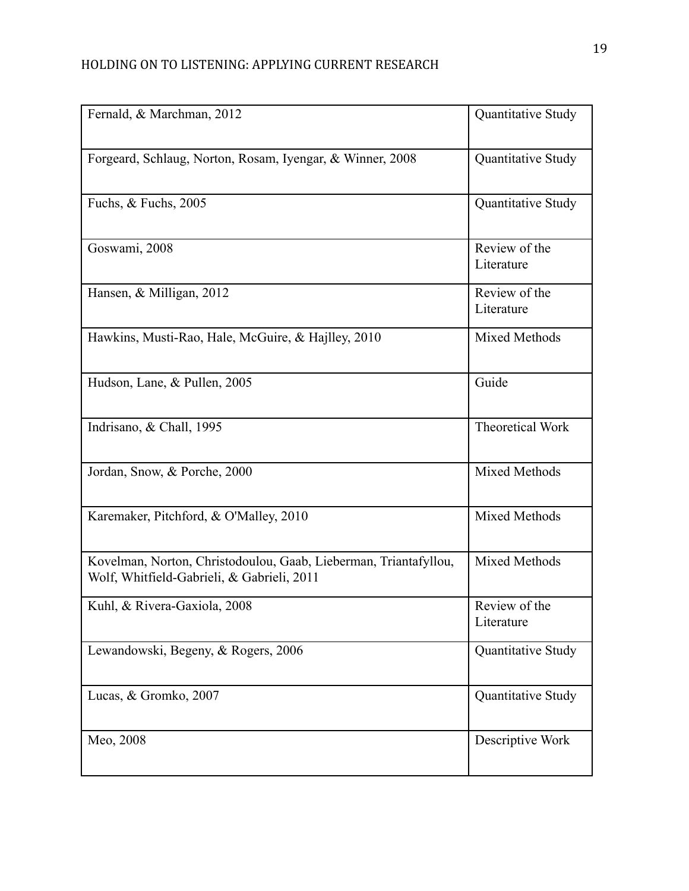| Fernald, & Marchman, 2012                                                                                      | Quantitative Study          |
|----------------------------------------------------------------------------------------------------------------|-----------------------------|
| Forgeard, Schlaug, Norton, Rosam, Iyengar, & Winner, 2008                                                      | Quantitative Study          |
| Fuchs, & Fuchs, 2005                                                                                           | Quantitative Study          |
| Goswami, 2008                                                                                                  | Review of the<br>Literature |
| Hansen, & Milligan, 2012                                                                                       | Review of the<br>Literature |
| Hawkins, Musti-Rao, Hale, McGuire, & Hajlley, 2010                                                             | Mixed Methods               |
| Hudson, Lane, & Pullen, 2005                                                                                   | Guide                       |
| Indrisano, & Chall, 1995                                                                                       | Theoretical Work            |
| Jordan, Snow, & Porche, 2000                                                                                   | Mixed Methods               |
| Karemaker, Pitchford, & O'Malley, 2010                                                                         | Mixed Methods               |
| Kovelman, Norton, Christodoulou, Gaab, Lieberman, Triantafyllou,<br>Wolf, Whitfield-Gabrieli, & Gabrieli, 2011 | Mixed Methods               |
| Kuhl, & Rivera-Gaxiola, 2008                                                                                   | Review of the<br>Literature |
| Lewandowski, Begeny, & Rogers, 2006                                                                            | Quantitative Study          |
| Lucas, & Gromko, 2007                                                                                          | Quantitative Study          |
| Meo, 2008                                                                                                      | Descriptive Work            |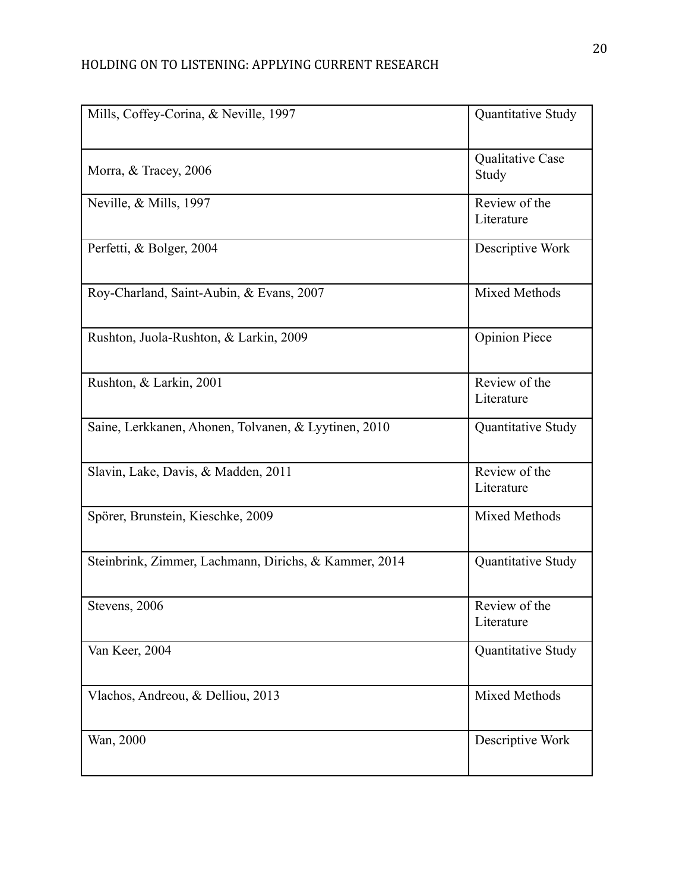| Mills, Coffey-Corina, & Neville, 1997                 | Quantitative Study          |
|-------------------------------------------------------|-----------------------------|
| Morra, & Tracey, 2006                                 | Qualitative Case<br>Study   |
| Neville, & Mills, 1997                                | Review of the<br>Literature |
| Perfetti, & Bolger, 2004                              | Descriptive Work            |
| Roy-Charland, Saint-Aubin, & Evans, 2007              | Mixed Methods               |
| Rushton, Juola-Rushton, & Larkin, 2009                | <b>Opinion Piece</b>        |
| Rushton, & Larkin, 2001                               | Review of the<br>Literature |
| Saine, Lerkkanen, Ahonen, Tolvanen, & Lyytinen, 2010  | Quantitative Study          |
| Slavin, Lake, Davis, & Madden, 2011                   | Review of the<br>Literature |
| Spörer, Brunstein, Kieschke, 2009                     | Mixed Methods               |
| Steinbrink, Zimmer, Lachmann, Dirichs, & Kammer, 2014 | Quantitative Study          |
| Stevens, 2006                                         | Review of the<br>Literature |
| Van Keer, 2004                                        | Quantitative Study          |
| Vlachos, Andreou, & Delliou, 2013                     | Mixed Methods               |
| Wan, 2000                                             | Descriptive Work            |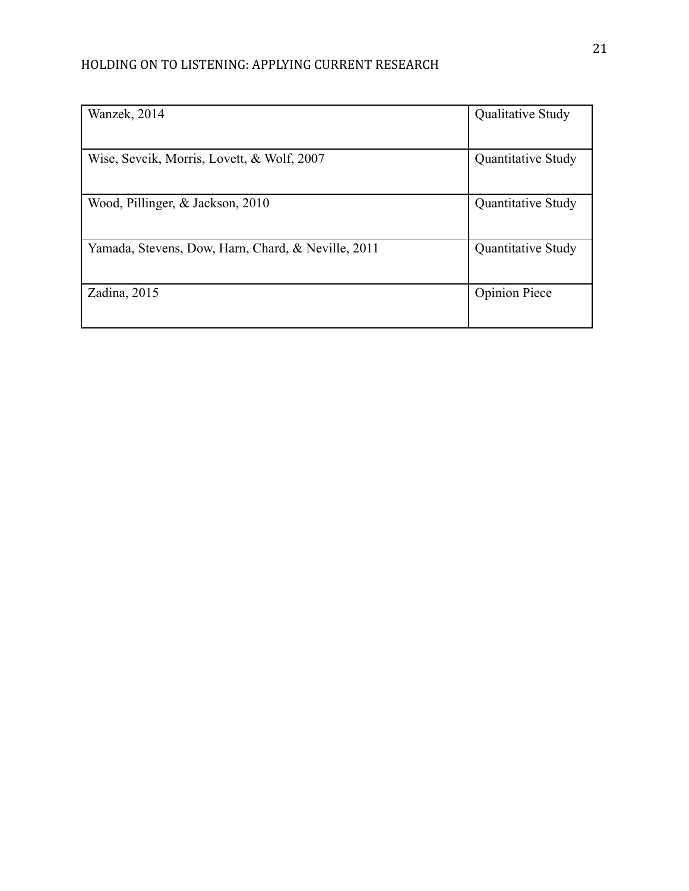# HOLDING ON TO LISTENING: APPLYING CURRENT RESEARCH

| Wanzek, 2014                                       | Qualitative Study    |
|----------------------------------------------------|----------------------|
| Wise, Sevcik, Morris, Lovett, & Wolf, 2007         | Quantitative Study   |
| Wood, Pillinger, & Jackson, 2010                   | Quantitative Study   |
| Yamada, Stevens, Dow, Harn, Chard, & Neville, 2011 | Quantitative Study   |
| Zadina, 2015                                       | <b>Opinion Piece</b> |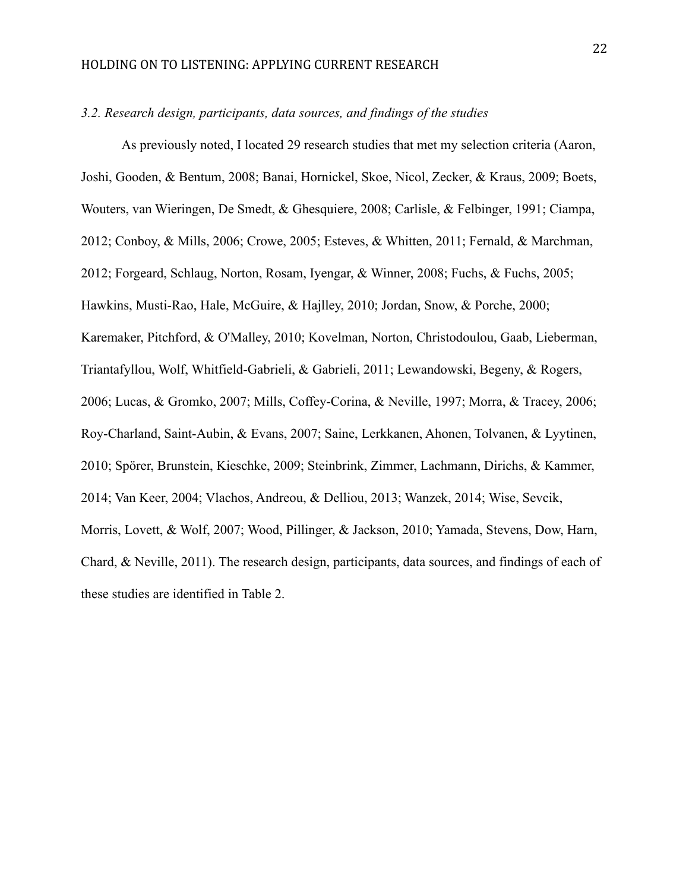#### *3.2. Research design, participants, data sources, and findings of the studies*

As previously noted, I located 29 research studies that met my selection criteria (Aaron, Joshi, Gooden, & Bentum, 2008; Banai, Hornickel, Skoe, Nicol, Zecker, & Kraus, 2009; Boets, Wouters, van Wieringen, De Smedt, & Ghesquiere, 2008; Carlisle, & Felbinger, 1991; Ciampa, 2012; Conboy, & Mills, 2006; Crowe, 2005; Esteves, & Whitten, 2011; Fernald, & Marchman, 2012; Forgeard, Schlaug, Norton, Rosam, Iyengar, & Winner, 2008; Fuchs, & Fuchs, 2005; Hawkins, Musti-Rao, Hale, McGuire, & Hajlley, 2010; Jordan, Snow, & Porche, 2000; Karemaker, Pitchford, & O'Malley, 2010; Kovelman, Norton, Christodoulou, Gaab, Lieberman, Triantafyllou, Wolf, Whitfield-Gabrieli, & Gabrieli, 2011; Lewandowski, Begeny, & Rogers, 2006; Lucas, & Gromko, 2007; Mills, Coffey-Corina, & Neville, 1997; Morra, & Tracey, 2006; Roy-Charland, Saint-Aubin, & Evans, 2007; Saine, Lerkkanen, Ahonen, Tolvanen, & Lyytinen, 2010; Spörer, Brunstein, Kieschke, 2009; Steinbrink, Zimmer, Lachmann, Dirichs, & Kammer, 2014; Van Keer, 2004; Vlachos, Andreou, & Delliou, 2013; Wanzek, 2014; Wise, Sevcik, Morris, Lovett, & Wolf, 2007; Wood, Pillinger, & Jackson, 2010; Yamada, Stevens, Dow, Harn, Chard, & Neville, 2011). The research design, participants, data sources, and findings of each of these studies are identified in Table 2.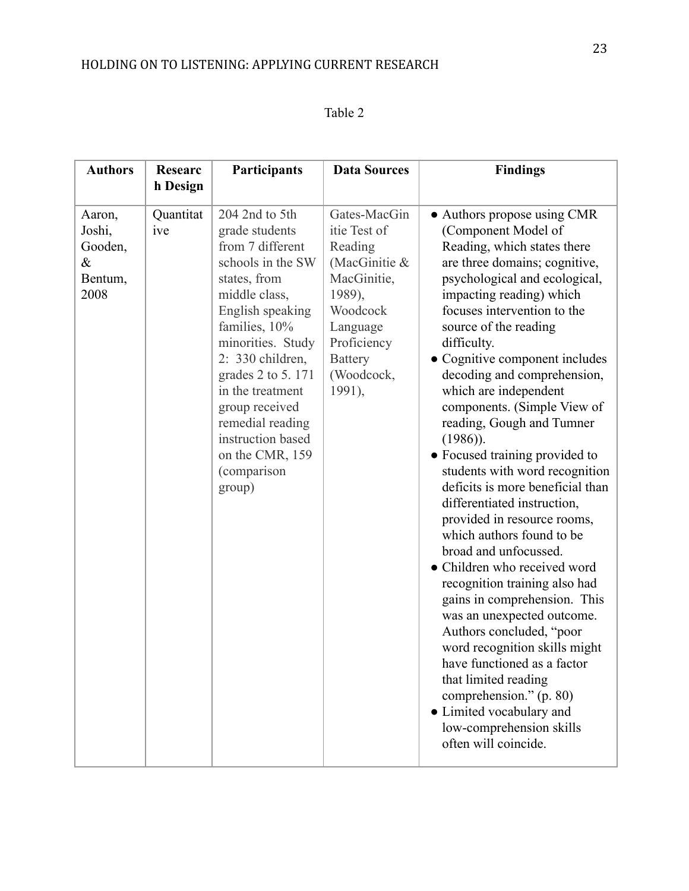| ורו<br>r I |
|------------|
|------------|

| <b>Authors</b>                                         | <b>Researc</b><br>h Design | Participants                                                                                                                                                                                                                                                                                                                               | <b>Data Sources</b>                                                                                                                                                | <b>Findings</b>                                                                                                                                                                                                                                                                                                                                                                                                                                                                                                                                                                                                                                                                                                                                                                                                                                                                                                                                                                                                       |
|--------------------------------------------------------|----------------------------|--------------------------------------------------------------------------------------------------------------------------------------------------------------------------------------------------------------------------------------------------------------------------------------------------------------------------------------------|--------------------------------------------------------------------------------------------------------------------------------------------------------------------|-----------------------------------------------------------------------------------------------------------------------------------------------------------------------------------------------------------------------------------------------------------------------------------------------------------------------------------------------------------------------------------------------------------------------------------------------------------------------------------------------------------------------------------------------------------------------------------------------------------------------------------------------------------------------------------------------------------------------------------------------------------------------------------------------------------------------------------------------------------------------------------------------------------------------------------------------------------------------------------------------------------------------|
| Aaron,<br>Joshi,<br>Gooden,<br>$\&$<br>Bentum,<br>2008 | Quantitat<br>ive           | 204 2nd to 5th<br>grade students<br>from 7 different<br>schools in the SW<br>states, from<br>middle class,<br>English speaking<br>families, 10%<br>minorities. Study<br>$2: 330$ children,<br>grades 2 to 5.171<br>in the treatment<br>group received<br>remedial reading<br>instruction based<br>on the CMR, 159<br>(comparison<br>group) | Gates-MacGin<br>itie Test of<br>Reading<br>(MacGinitie &<br>MacGinitie,<br>1989),<br>Woodcock<br>Language<br>Proficiency<br><b>Battery</b><br>(Woodcock,<br>1991), | • Authors propose using CMR<br>(Component Model of<br>Reading, which states there<br>are three domains; cognitive,<br>psychological and ecological,<br>impacting reading) which<br>focuses intervention to the<br>source of the reading<br>difficulty.<br>• Cognitive component includes<br>decoding and comprehension,<br>which are independent<br>components. (Simple View of<br>reading, Gough and Tumner<br>$(1986)$ ).<br>• Focused training provided to<br>students with word recognition<br>deficits is more beneficial than<br>differentiated instruction,<br>provided in resource rooms,<br>which authors found to be<br>broad and unfocussed.<br>· Children who received word<br>recognition training also had<br>gains in comprehension. This<br>was an unexpected outcome.<br>Authors concluded, "poor<br>word recognition skills might<br>have functioned as a factor<br>that limited reading<br>comprehension." (p. 80)<br>• Limited vocabulary and<br>low-comprehension skills<br>often will coincide. |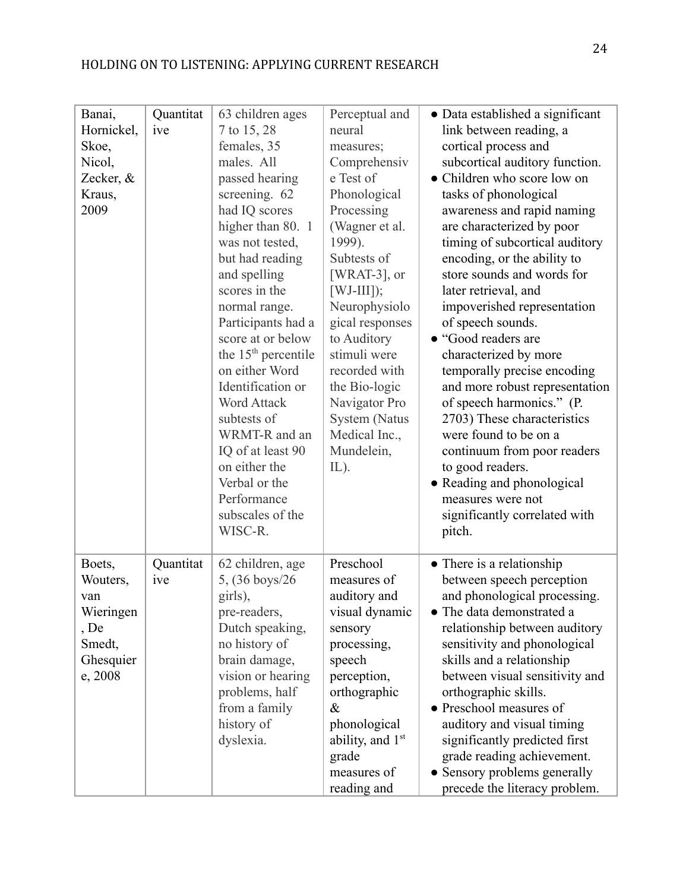| Banai,<br>Hornickel,<br>Skoe,<br>Nicol,<br>Zecker, &<br>Kraus,<br>2009           | Quantitat<br>ive | 63 children ages<br>7 to 15, 28<br>females, 35<br>males. All<br>passed hearing<br>screening. 62<br>had IQ scores<br>higher than 80. 1<br>was not tested,<br>but had reading<br>and spelling<br>scores in the<br>normal range.<br>Participants had a<br>score at or below<br>the 15 <sup>th</sup> percentile<br>on either Word<br>Identification or<br><b>Word Attack</b><br>subtests of<br>WRMT-R and an<br>IQ of at least 90<br>on either the<br>Verbal or the<br>Performance<br>subscales of the<br>WISC-R. | Perceptual and<br>neural<br>measures;<br>Comprehensiv<br>e Test of<br>Phonological<br>Processing<br>(Wagner et al.<br>1999).<br>Subtests of<br>[WRAT-3], or<br>$[WJ-III]$ ;<br>Neurophysiolo<br>gical responses<br>to Auditory<br>stimuli were<br>recorded with<br>the Bio-logic<br>Navigator Pro<br><b>System</b> (Natus<br>Medical Inc.,<br>Mundelein,<br>$IL$ ). | • Data established a significant<br>link between reading, a<br>cortical process and<br>subcortical auditory function.<br>• Children who score low on<br>tasks of phonological<br>awareness and rapid naming<br>are characterized by poor<br>timing of subcortical auditory<br>encoding, or the ability to<br>store sounds and words for<br>later retrieval, and<br>impoverished representation<br>of speech sounds.<br>• "Good readers are<br>characterized by more<br>temporally precise encoding<br>and more robust representation<br>of speech harmonics." (P.<br>2703) These characteristics<br>were found to be on a<br>continuum from poor readers<br>to good readers.<br>• Reading and phonological<br>measures were not<br>significantly correlated with<br>pitch. |
|----------------------------------------------------------------------------------|------------------|---------------------------------------------------------------------------------------------------------------------------------------------------------------------------------------------------------------------------------------------------------------------------------------------------------------------------------------------------------------------------------------------------------------------------------------------------------------------------------------------------------------|---------------------------------------------------------------------------------------------------------------------------------------------------------------------------------------------------------------------------------------------------------------------------------------------------------------------------------------------------------------------|----------------------------------------------------------------------------------------------------------------------------------------------------------------------------------------------------------------------------------------------------------------------------------------------------------------------------------------------------------------------------------------------------------------------------------------------------------------------------------------------------------------------------------------------------------------------------------------------------------------------------------------------------------------------------------------------------------------------------------------------------------------------------|
| Boets,<br>Wouters,<br>van<br>Wieringen<br>, De<br>Smedt,<br>Ghesquier<br>e, 2008 | Quantitat<br>ive | 62 children, age<br>5, (36 boys/26)<br>girls),<br>pre-readers,<br>Dutch speaking,<br>no history of<br>brain damage,<br>vision or hearing<br>problems, half<br>from a family<br>history of<br>dyslexia.                                                                                                                                                                                                                                                                                                        | Preschool<br>measures of<br>auditory and<br>visual dynamic<br>sensory<br>processing,<br>speech<br>perception,<br>orthographic<br>$\&$<br>phonological<br>ability, and $1st$<br>grade<br>measures of<br>reading and                                                                                                                                                  | • There is a relationship<br>between speech perception<br>and phonological processing.<br>• The data demonstrated a<br>relationship between auditory<br>sensitivity and phonological<br>skills and a relationship<br>between visual sensitivity and<br>orthographic skills.<br>• Preschool measures of<br>auditory and visual timing<br>significantly predicted first<br>grade reading achievement.<br>• Sensory problems generally<br>precede the literacy problem.                                                                                                                                                                                                                                                                                                       |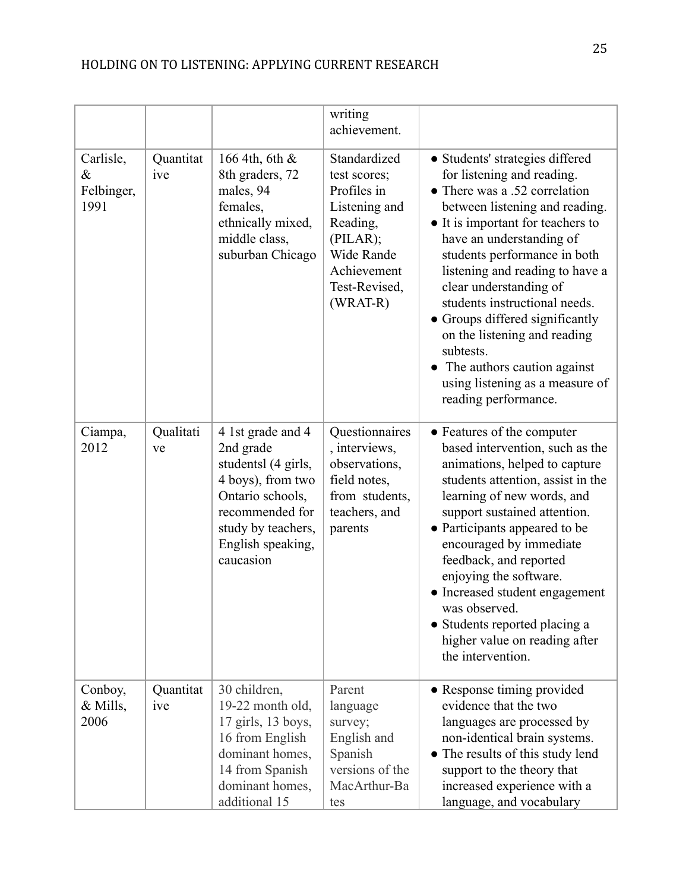|                                         |                  |                                                                                                                                                                           | writing<br>achievement.                                                                                                                          |                                                                                                                                                                                                                                                                                                                                                                                                                                                                                                           |
|-----------------------------------------|------------------|---------------------------------------------------------------------------------------------------------------------------------------------------------------------------|--------------------------------------------------------------------------------------------------------------------------------------------------|-----------------------------------------------------------------------------------------------------------------------------------------------------------------------------------------------------------------------------------------------------------------------------------------------------------------------------------------------------------------------------------------------------------------------------------------------------------------------------------------------------------|
| Carlisle,<br>$\&$<br>Felbinger,<br>1991 | Quantitat<br>ive | 166 4th, 6th &<br>8th graders, 72<br>males, 94<br>females,<br>ethnically mixed,<br>middle class,<br>suburban Chicago                                                      | Standardized<br>test scores;<br>Profiles in<br>Listening and<br>Reading,<br>(PILAR);<br>Wide Rande<br>Achievement<br>Test-Revised,<br>$(WRAT-R)$ | • Students' strategies differed<br>for listening and reading.<br>• There was a .52 correlation<br>between listening and reading.<br>• It is important for teachers to<br>have an understanding of<br>students performance in both<br>listening and reading to have a<br>clear understanding of<br>students instructional needs.<br>• Groups differed significantly<br>on the listening and reading<br>subtests.<br>The authors caution against<br>using listening as a measure of<br>reading performance. |
| Ciampa,<br>2012                         | Qualitati<br>ve  | 4 1st grade and 4<br>2nd grade<br>studentsl (4 girls,<br>4 boys), from two<br>Ontario schools,<br>recommended for<br>study by teachers,<br>English speaking,<br>caucasion | Questionnaires<br>, interviews,<br>observations,<br>field notes,<br>from students,<br>teachers, and<br>parents                                   | • Features of the computer<br>based intervention, such as the<br>animations, helped to capture<br>students attention, assist in the<br>learning of new words, and<br>support sustained attention.<br>• Participants appeared to be<br>encouraged by immediate<br>feedback, and reported<br>enjoying the software.<br>• Increased student engagement<br>was observed.<br>• Students reported placing a<br>higher value on reading after<br>the intervention.                                               |
| Conboy,<br>$&$ Mills,<br>2006           | Quantitat<br>ive | 30 children,<br>19-22 month old,<br>17 girls, 13 boys,<br>16 from English<br>dominant homes,<br>14 from Spanish<br>dominant homes,<br>additional 15                       | Parent<br>language<br>survey;<br>English and<br>Spanish<br>versions of the<br>MacArthur-Ba<br>tes                                                | • Response timing provided<br>evidence that the two<br>languages are processed by<br>non-identical brain systems.<br>• The results of this study lend<br>support to the theory that<br>increased experience with a<br>language, and vocabulary                                                                                                                                                                                                                                                            |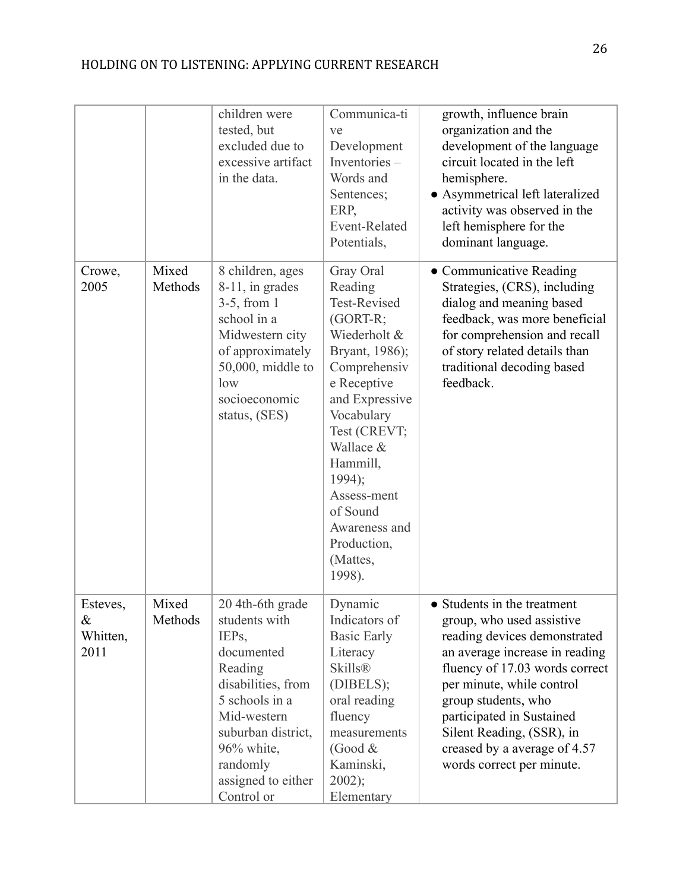|                                   |                  | children were<br>tested, but<br>excluded due to<br>excessive artifact<br>in the data.                                                                                                                          | Communica-ti<br>ve<br>Development<br>Inventories-<br>Words and<br>Sentences;<br>ERP,<br>Event-Related<br>Potentials,                                                                                                                                                                             | growth, influence brain<br>organization and the<br>development of the language<br>circuit located in the left<br>hemisphere.<br>• Asymmetrical left lateralized<br>activity was observed in the<br>left hemisphere for the<br>dominant language.                                                                                        |
|-----------------------------------|------------------|----------------------------------------------------------------------------------------------------------------------------------------------------------------------------------------------------------------|--------------------------------------------------------------------------------------------------------------------------------------------------------------------------------------------------------------------------------------------------------------------------------------------------|-----------------------------------------------------------------------------------------------------------------------------------------------------------------------------------------------------------------------------------------------------------------------------------------------------------------------------------------|
| Crowe,<br>2005                    | Mixed<br>Methods | 8 children, ages<br>8-11, in grades<br>$3-5$ , from 1<br>school in a<br>Midwestern city<br>of approximately<br>$50,000$ , middle to<br>low<br>socioeconomic<br>status, (SES)                                   | Gray Oral<br>Reading<br><b>Test-Revised</b><br>$(GORT-R)$ ;<br>Wiederholt &<br>Bryant, 1986);<br>Comprehensiv<br>e Receptive<br>and Expressive<br>Vocabulary<br>Test (CREVT;<br>Wallace &<br>Hammill,<br>1994);<br>Assess-ment<br>of Sound<br>Awareness and<br>Production,<br>(Mattes,<br>1998). | • Communicative Reading<br>Strategies, (CRS), including<br>dialog and meaning based<br>feedback, was more beneficial<br>for comprehension and recall<br>of story related details than<br>traditional decoding based<br>feedback.                                                                                                        |
| Esteves,<br>&<br>Whitten,<br>2011 | Mixed<br>Methods | 20 4th-6th grade<br>students with<br>IEPs,<br>documented<br>Reading<br>disabilities, from<br>5 schools in a<br>Mid-western<br>suburban district,<br>96% white,<br>randomly<br>assigned to either<br>Control or | Dynamic<br>Indicators of<br><b>Basic Early</b><br>Literacy<br><b>Skills®</b><br>(DIBELS);<br>oral reading<br>fluency<br>measurements<br>(Good $&$<br>Kaminski,<br>$2002$ ;<br>Elementary                                                                                                         | • Students in the treatment<br>group, who used assistive<br>reading devices demonstrated<br>an average increase in reading<br>fluency of 17.03 words correct<br>per minute, while control<br>group students, who<br>participated in Sustained<br>Silent Reading, (SSR), in<br>creased by a average of 4.57<br>words correct per minute. |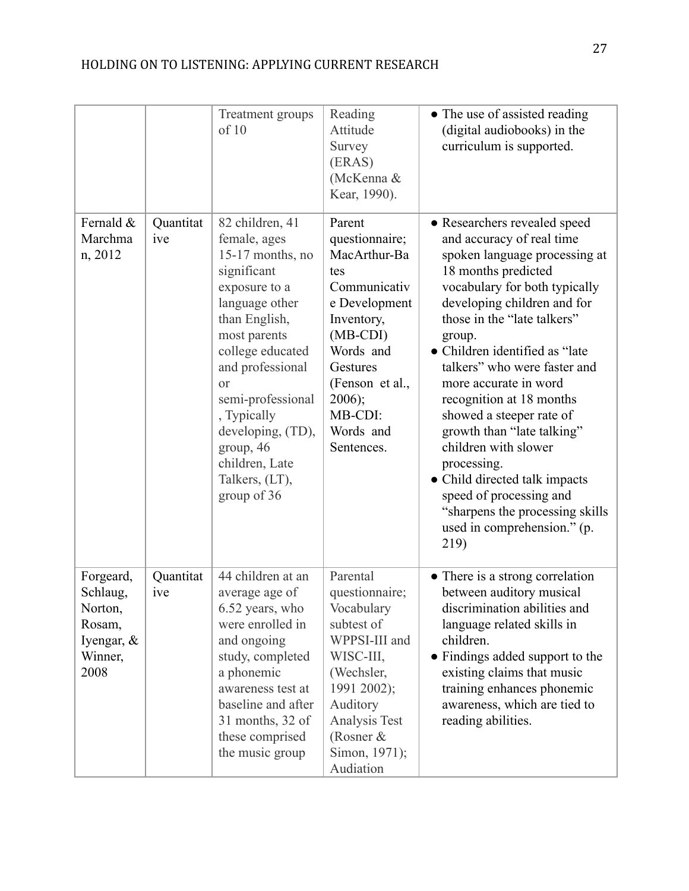|                                                                             |                  | Treatment groups<br>of 10                                                                                                                                                                                                                                                                                                | Reading<br>Attitude<br>Survey<br>(ERAS)<br>(McKenna &<br>Kear, 1990).                                                                                                                                      | • The use of assisted reading<br>(digital audiobooks) in the<br>curriculum is supported.                                                                                                                                                                                                                                                                                                                                                                                                                                                                                                  |
|-----------------------------------------------------------------------------|------------------|--------------------------------------------------------------------------------------------------------------------------------------------------------------------------------------------------------------------------------------------------------------------------------------------------------------------------|------------------------------------------------------------------------------------------------------------------------------------------------------------------------------------------------------------|-------------------------------------------------------------------------------------------------------------------------------------------------------------------------------------------------------------------------------------------------------------------------------------------------------------------------------------------------------------------------------------------------------------------------------------------------------------------------------------------------------------------------------------------------------------------------------------------|
| Fernald &<br>Marchma<br>n, 2012                                             | Quantitat<br>ive | 82 children, 41<br>female, ages<br>15-17 months, no<br>significant<br>exposure to a<br>language other<br>than English,<br>most parents<br>college educated<br>and professional<br><sub>or</sub><br>semi-professional<br>, Typically<br>developing, (TD),<br>group, 46<br>children, Late<br>Talkers, (LT),<br>group of 36 | Parent<br>questionnaire;<br>MacArthur-Ba<br>tes<br>Communicativ<br>e Development<br>Inventory,<br>$(MB-CDI)$<br>Words and<br>Gestures<br>(Fenson et al.,<br>$2006$ ;<br>MB-CDI:<br>Words and<br>Sentences. | • Researchers revealed speed<br>and accuracy of real time<br>spoken language processing at<br>18 months predicted<br>vocabulary for both typically<br>developing children and for<br>those in the "late talkers"<br>group.<br>· Children identified as "late<br>talkers" who were faster and<br>more accurate in word<br>recognition at 18 months<br>showed a steeper rate of<br>growth than "late talking"<br>children with slower<br>processing.<br>• Child directed talk impacts<br>speed of processing and<br>"sharpens the processing skills"<br>used in comprehension." (p.<br>219) |
| Forgeard,<br>Schlaug,<br>Norton,<br>Rosam,<br>Iyengar, &<br>Winner,<br>2008 | Quantitat<br>ive | 44 children at an<br>average age of<br>6.52 years, who<br>were enrolled in<br>and ongoing<br>study, completed<br>a phonemic<br>awareness test at<br>baseline and after<br>31 months, 32 of<br>these comprised<br>the music group                                                                                         | Parental<br>questionnaire;<br>Vocabulary<br>subtest of<br>WPPSI-III and<br>WISC-III,<br>(Wechsler,<br>1991 2002);<br>Auditory<br>Analysis Test<br>(Rosner $&$<br>Simon, 1971);<br>Audiation                | • There is a strong correlation<br>between auditory musical<br>discrimination abilities and<br>language related skills in<br>children.<br>Findings added support to the<br>existing claims that music<br>training enhances phonemic<br>awareness, which are tied to<br>reading abilities.                                                                                                                                                                                                                                                                                                 |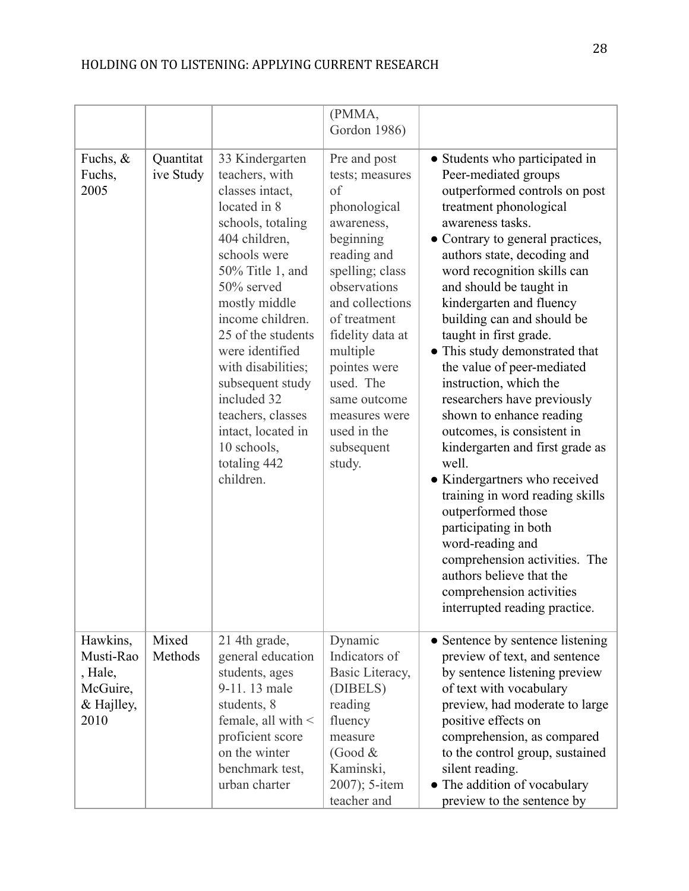|                                                                    |                        |                                                                                                                                                                                                                                                                                                                                                                                            | (PMMA,<br>Gordon 1986)                                                                                                                                                                                                                                                                                     |                                                                                                                                                                                                                                                                                                                                                                                                                                                                                                                                                                                                                                                                                                                                                                                                                                                        |
|--------------------------------------------------------------------|------------------------|--------------------------------------------------------------------------------------------------------------------------------------------------------------------------------------------------------------------------------------------------------------------------------------------------------------------------------------------------------------------------------------------|------------------------------------------------------------------------------------------------------------------------------------------------------------------------------------------------------------------------------------------------------------------------------------------------------------|--------------------------------------------------------------------------------------------------------------------------------------------------------------------------------------------------------------------------------------------------------------------------------------------------------------------------------------------------------------------------------------------------------------------------------------------------------------------------------------------------------------------------------------------------------------------------------------------------------------------------------------------------------------------------------------------------------------------------------------------------------------------------------------------------------------------------------------------------------|
| Fuchs, $\&$<br>Fuchs,<br>2005                                      | Quantitat<br>ive Study | 33 Kindergarten<br>teachers, with<br>classes intact,<br>located in 8<br>schools, totaling<br>404 children,<br>schools were<br>50% Title 1, and<br>50% served<br>mostly middle<br>income children.<br>25 of the students<br>were identified<br>with disabilities;<br>subsequent study<br>included 32<br>teachers, classes<br>intact, located in<br>10 schools,<br>totaling 442<br>children. | Pre and post<br>tests; measures<br>of<br>phonological<br>awareness,<br>beginning<br>reading and<br>spelling; class<br>observations<br>and collections<br>of treatment<br>fidelity data at<br>multiple<br>pointes were<br>used. The<br>same outcome<br>measures were<br>used in the<br>subsequent<br>study. | • Students who participated in<br>Peer-mediated groups<br>outperformed controls on post<br>treatment phonological<br>awareness tasks.<br>• Contrary to general practices,<br>authors state, decoding and<br>word recognition skills can<br>and should be taught in<br>kindergarten and fluency<br>building can and should be<br>taught in first grade.<br>• This study demonstrated that<br>the value of peer-mediated<br>instruction, which the<br>researchers have previously<br>shown to enhance reading<br>outcomes, is consistent in<br>kindergarten and first grade as<br>well.<br>• Kindergartners who received<br>training in word reading skills<br>outperformed those<br>participating in both<br>word-reading and<br>comprehension activities. The<br>authors believe that the<br>comprehension activities<br>interrupted reading practice. |
| Hawkins,<br>Musti-Rao<br>, Hale,<br>McGuire,<br>& Hajlley,<br>2010 | Mixed<br>Methods       | 21 4th grade,<br>general education<br>students, ages<br>9-11.13 male<br>students, 8<br>female, all with $\leq$<br>proficient score<br>on the winter<br>benchmark test,<br>urban charter                                                                                                                                                                                                    | Dynamic<br>Indicators of<br>Basic Literacy,<br>(DIBELS)<br>reading<br>fluency<br>measure<br>(Good $&$<br>Kaminski,<br>2007); 5-item<br>teacher and                                                                                                                                                         | • Sentence by sentence listening<br>preview of text, and sentence<br>by sentence listening preview<br>of text with vocabulary<br>preview, had moderate to large<br>positive effects on<br>comprehension, as compared<br>to the control group, sustained<br>silent reading.<br>• The addition of vocabulary<br>preview to the sentence by                                                                                                                                                                                                                                                                                                                                                                                                                                                                                                               |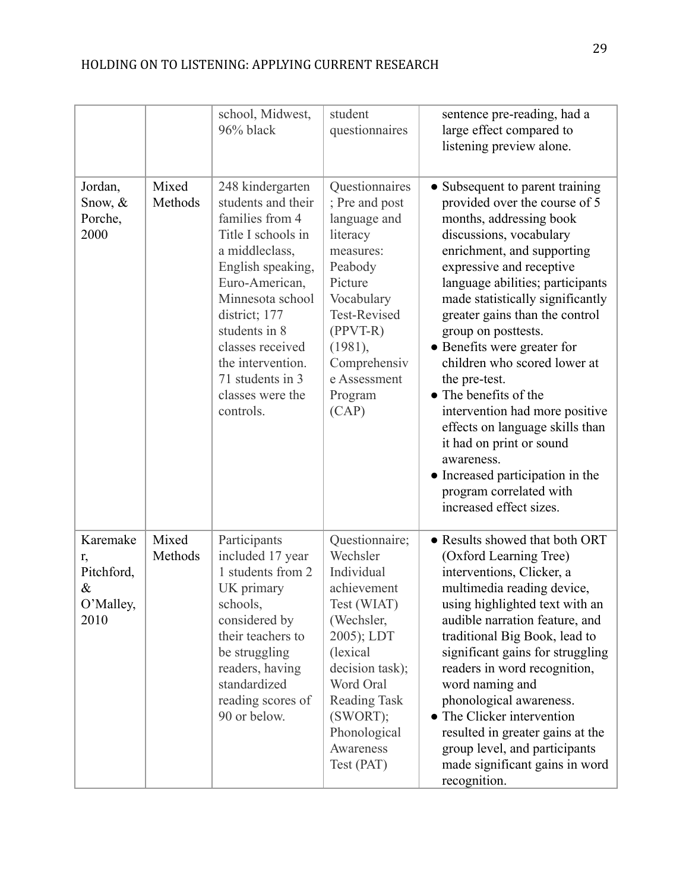|                                                           |                  | school, Midwest,<br>96% black                                                                                                                                                                                                                                                                | student<br>questionnaires                                                                                                                                                                                                     | sentence pre-reading, had a<br>large effect compared to<br>listening preview alone.                                                                                                                                                                                                                                                                                                                                                                                                                                                                                                                                               |
|-----------------------------------------------------------|------------------|----------------------------------------------------------------------------------------------------------------------------------------------------------------------------------------------------------------------------------------------------------------------------------------------|-------------------------------------------------------------------------------------------------------------------------------------------------------------------------------------------------------------------------------|-----------------------------------------------------------------------------------------------------------------------------------------------------------------------------------------------------------------------------------------------------------------------------------------------------------------------------------------------------------------------------------------------------------------------------------------------------------------------------------------------------------------------------------------------------------------------------------------------------------------------------------|
| Jordan,<br>Snow, $&$<br>Porche,<br>2000                   | Mixed<br>Methods | 248 kindergarten<br>students and their<br>families from 4<br>Title I schools in<br>a middleclass,<br>English speaking,<br>Euro-American,<br>Minnesota school<br>district; 177<br>students in 8<br>classes received<br>the intervention.<br>71 students in 3<br>classes were the<br>controls. | Questionnaires<br>; Pre and post<br>language and<br>literacy<br>measures:<br>Peabody<br>Picture<br>Vocabulary<br><b>Test-Revised</b><br>$(PPVT-R)$<br>(1981),<br>Comprehensiv<br>e Assessment<br>Program<br>(CAP)             | • Subsequent to parent training<br>provided over the course of 5<br>months, addressing book<br>discussions, vocabulary<br>enrichment, and supporting<br>expressive and receptive<br>language abilities; participants<br>made statistically significantly<br>greater gains than the control<br>group on posttests.<br>• Benefits were greater for<br>children who scored lower at<br>the pre-test.<br>• The benefits of the<br>intervention had more positive<br>effects on language skills than<br>it had on print or sound<br>awareness.<br>Increased participation in the<br>program correlated with<br>increased effect sizes. |
| Karemake<br>r,<br>Pitchford,<br>$\&$<br>O'Malley,<br>2010 | Mixed<br>Methods | Participants<br>included 17 year<br>1 students from 2<br>UK primary<br>schools,<br>considered by<br>their teachers to<br>be struggling<br>readers, having<br>standardized<br>reading scores of<br>90 or below.                                                                               | Questionnaire;<br>Wechsler<br>Individual<br>achievement<br>Test (WIAT)<br>(Wechsler,<br>2005); LDT<br>(lexical)<br>decision task);<br>Word Oral<br><b>Reading Task</b><br>(SWORT);<br>Phonological<br>Awareness<br>Test (PAT) | • Results showed that both ORT<br>(Oxford Learning Tree)<br>interventions, Clicker, a<br>multimedia reading device,<br>using highlighted text with an<br>audible narration feature, and<br>traditional Big Book, lead to<br>significant gains for struggling<br>readers in word recognition,<br>word naming and<br>phonological awareness.<br>• The Clicker intervention<br>resulted in greater gains at the<br>group level, and participants<br>made significant gains in word<br>recognition.                                                                                                                                   |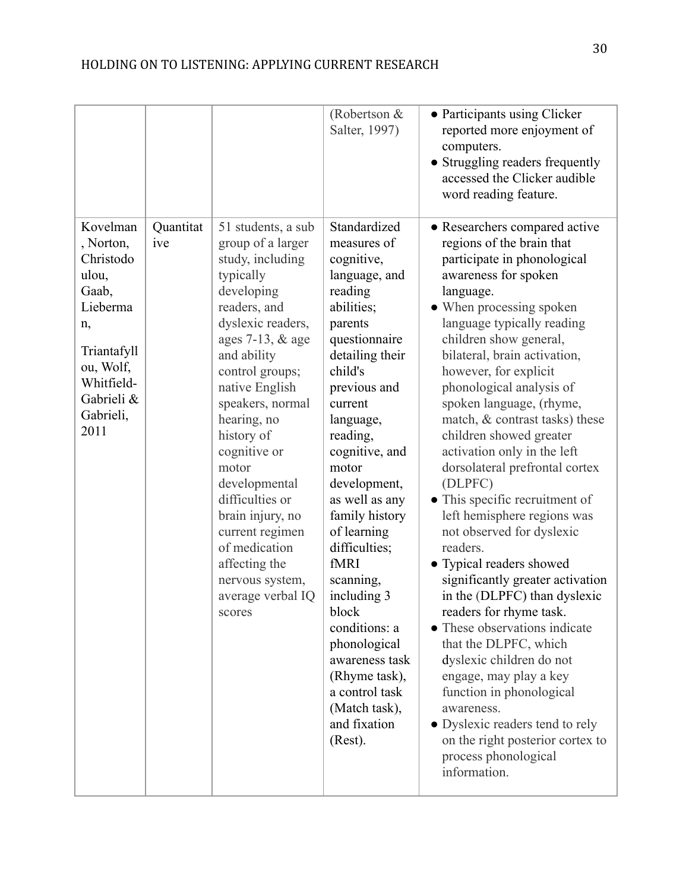|                                                                                                                                                     |                  |                                                                                                                                                                                                                                                                                                                                                                                                                                                 | (Robertson &<br>Salter, 1997)                                                                                                                                                                                                                                                                                                                                                                                                                                                                   | • Participants using Clicker<br>reported more enjoyment of<br>computers.<br>• Struggling readers frequently<br>accessed the Clicker audible<br>word reading feature.                                                                                                                                                                                                                                                                                                                                                                                                                                                                                                                                                                                                                                                                                                                                                                                                                       |
|-----------------------------------------------------------------------------------------------------------------------------------------------------|------------------|-------------------------------------------------------------------------------------------------------------------------------------------------------------------------------------------------------------------------------------------------------------------------------------------------------------------------------------------------------------------------------------------------------------------------------------------------|-------------------------------------------------------------------------------------------------------------------------------------------------------------------------------------------------------------------------------------------------------------------------------------------------------------------------------------------------------------------------------------------------------------------------------------------------------------------------------------------------|--------------------------------------------------------------------------------------------------------------------------------------------------------------------------------------------------------------------------------------------------------------------------------------------------------------------------------------------------------------------------------------------------------------------------------------------------------------------------------------------------------------------------------------------------------------------------------------------------------------------------------------------------------------------------------------------------------------------------------------------------------------------------------------------------------------------------------------------------------------------------------------------------------------------------------------------------------------------------------------------|
| Kovelman<br>, Norton,<br>Christodo<br>ulou,<br>Gaab,<br>Lieberma<br>n,<br>Triantafyll<br>ou, Wolf,<br>Whitfield-<br>Gabrieli &<br>Gabrieli,<br>2011 | Quantitat<br>ive | 51 students, a sub<br>group of a larger<br>study, including<br>typically<br>developing<br>readers, and<br>dyslexic readers,<br>ages $7-13$ , & age<br>and ability<br>control groups;<br>native English<br>speakers, normal<br>hearing, no<br>history of<br>cognitive or<br>motor<br>developmental<br>difficulties or<br>brain injury, no<br>current regimen<br>of medication<br>affecting the<br>nervous system,<br>average verbal IQ<br>scores | Standardized<br>measures of<br>cognitive,<br>language, and<br>reading<br>abilities;<br>parents<br>questionnaire<br>detailing their<br>child's<br>previous and<br>current<br>language,<br>reading,<br>cognitive, and<br>motor<br>development,<br>as well as any<br>family history<br>of learning<br>difficulties;<br>fMRI<br>scanning,<br>including 3<br>block<br>conditions: a<br>phonological<br>awareness task<br>(Rhyme task),<br>a control task<br>(Match task),<br>and fixation<br>(Rest). | • Researchers compared active<br>regions of the brain that<br>participate in phonological<br>awareness for spoken<br>language.<br>• When processing spoken<br>language typically reading<br>children show general,<br>bilateral, brain activation,<br>however, for explicit<br>phonological analysis of<br>spoken language, (rhyme,<br>match, & contrast tasks) these<br>children showed greater<br>activation only in the left<br>dorsolateral prefrontal cortex<br>(DLPFC)<br>• This specific recruitment of<br>left hemisphere regions was<br>not observed for dyslexic<br>readers.<br>• Typical readers showed<br>significantly greater activation<br>in the (DLPFC) than dyslexic<br>readers for rhyme task.<br>• These observations indicate<br>that the DLPFC, which<br>dyslexic children do not<br>engage, may play a key<br>function in phonological<br>awareness.<br>· Dyslexic readers tend to rely<br>on the right posterior cortex to<br>process phonological<br>information. |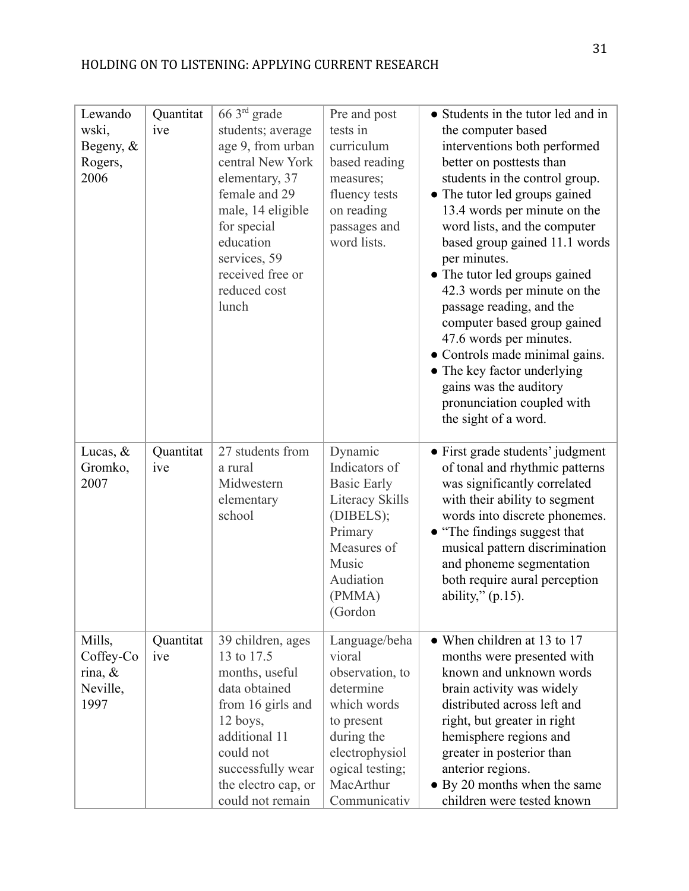| Lewando<br>wski,<br>Begeny, $\&$<br>Rogers,<br>2006   | Quantitat<br>ive | 66 3rd grade<br>students; average<br>age 9, from urban<br>central New York<br>elementary, 37<br>female and 29<br>male, 14 eligible<br>for special<br>education<br>services, 59<br>received free or<br>reduced cost<br>lunch | Pre and post<br>tests in<br>curriculum<br>based reading<br>measures;<br>fluency tests<br>on reading<br>passages and<br>word lists.                                   | • Students in the tutor led and in<br>the computer based<br>interventions both performed<br>better on posttests than<br>students in the control group.<br>• The tutor led groups gained<br>13.4 words per minute on the<br>word lists, and the computer<br>based group gained 11.1 words<br>per minutes.<br>• The tutor led groups gained<br>42.3 words per minute on the<br>passage reading, and the<br>computer based group gained<br>47.6 words per minutes.<br>• Controls made minimal gains.<br>• The key factor underlying<br>gains was the auditory<br>pronunciation coupled with<br>the sight of a word. |
|-------------------------------------------------------|------------------|-----------------------------------------------------------------------------------------------------------------------------------------------------------------------------------------------------------------------------|----------------------------------------------------------------------------------------------------------------------------------------------------------------------|------------------------------------------------------------------------------------------------------------------------------------------------------------------------------------------------------------------------------------------------------------------------------------------------------------------------------------------------------------------------------------------------------------------------------------------------------------------------------------------------------------------------------------------------------------------------------------------------------------------|
| Lucas, &<br>Gromko,<br>2007                           | Quantitat<br>ive | 27 students from<br>a rural<br>Midwestern<br>elementary<br>school                                                                                                                                                           | Dynamic<br>Indicators of<br><b>Basic Early</b><br>Literacy Skills<br>(DIBELS);<br>Primary<br>Measures of<br>Music<br>Audiation<br>(PMMA)<br>(Gordon                  | • First grade students' judgment<br>of tonal and rhythmic patterns<br>was significantly correlated<br>with their ability to segment<br>words into discrete phonemes.<br>• "The findings suggest that<br>musical pattern discrimination<br>and phoneme segmentation<br>both require aural perception<br>ability," $(p.15)$ .                                                                                                                                                                                                                                                                                      |
| Mills,<br>Coffey-Co<br>rina, $\&$<br>Neville,<br>1997 | Quantitat<br>ive | 39 children, ages<br>13 to 17.5<br>months, useful<br>data obtained<br>from 16 girls and<br>12 boys,<br>additional 11<br>could not<br>successfully wear<br>the electro cap, or<br>could not remain                           | Language/beha<br>vioral<br>observation, to<br>determine<br>which words<br>to present<br>during the<br>electrophysiol<br>ogical testing;<br>MacArthur<br>Communicativ | • When children at 13 to 17<br>months were presented with<br>known and unknown words<br>brain activity was widely<br>distributed across left and<br>right, but greater in right<br>hemisphere regions and<br>greater in posterior than<br>anterior regions.<br>• By 20 months when the same<br>children were tested known                                                                                                                                                                                                                                                                                        |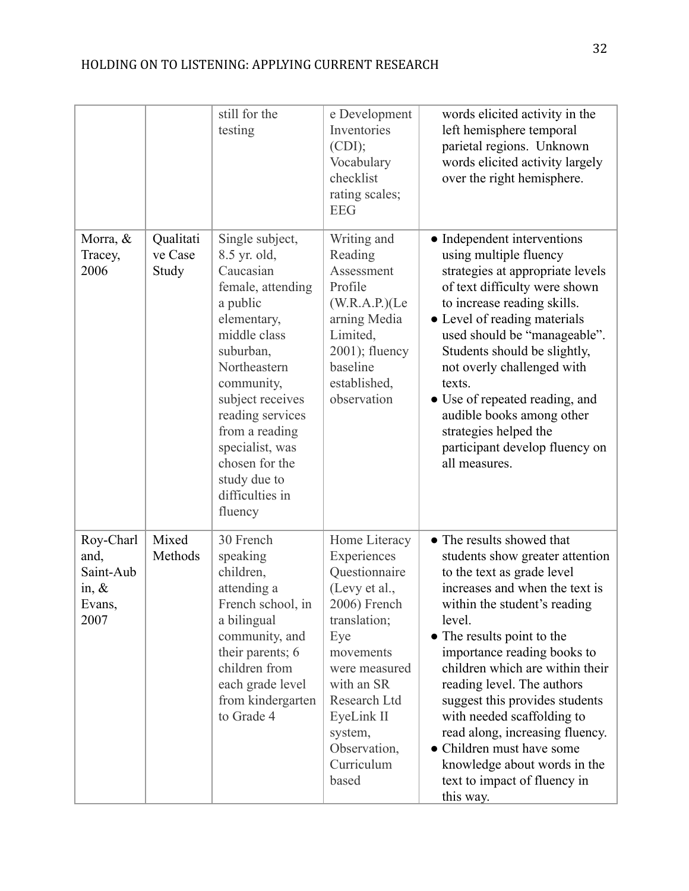|                                                              |                               | still for the<br>testing                                                                                                                                                                                                                                                                             | e Development<br>Inventories<br>(CDI);<br>Vocabulary<br>checklist<br>rating scales;<br><b>EEG</b>                                                                                                                                 | words elicited activity in the<br>left hemisphere temporal<br>parietal regions. Unknown<br>words elicited activity largely<br>over the right hemisphere.                                                                                                                                                                                                                                                                                                                                                          |
|--------------------------------------------------------------|-------------------------------|------------------------------------------------------------------------------------------------------------------------------------------------------------------------------------------------------------------------------------------------------------------------------------------------------|-----------------------------------------------------------------------------------------------------------------------------------------------------------------------------------------------------------------------------------|-------------------------------------------------------------------------------------------------------------------------------------------------------------------------------------------------------------------------------------------------------------------------------------------------------------------------------------------------------------------------------------------------------------------------------------------------------------------------------------------------------------------|
| Morra, &<br>Tracey,<br>2006                                  | Qualitati<br>ve Case<br>Study | Single subject,<br>8.5 yr. old,<br>Caucasian<br>female, attending<br>a public<br>elementary,<br>middle class<br>suburban,<br>Northeastern<br>community,<br>subject receives<br>reading services<br>from a reading<br>specialist, was<br>chosen for the<br>study due to<br>difficulties in<br>fluency | Writing and<br>Reading<br>Assessment<br>Profile<br>(W.R.A.P.)(Le<br>arning Media<br>Limited,<br>$2001$ ; fluency<br>baseline<br>established,<br>observation                                                                       | • Independent interventions<br>using multiple fluency<br>strategies at appropriate levels<br>of text difficulty were shown<br>to increase reading skills.<br>• Level of reading materials<br>used should be "manageable".<br>Students should be slightly,<br>not overly challenged with<br>texts.<br>• Use of repeated reading, and<br>audible books among other<br>strategies helped the<br>participant develop fluency on<br>all measures.                                                                      |
| Roy-Charl<br>and,<br>Saint-Aub<br>in, $\&$<br>Evans,<br>2007 | Mixed<br>Methods              | 30 French<br>speaking<br>children,<br>attending a<br>French school, in<br>a bilingual<br>community, and<br>their parents; 6<br>children from<br>each grade level<br>from kindergarten<br>to Grade 4                                                                                                  | Home Literacy<br>Experiences<br>Questionnaire<br>(Levy et al.,<br>2006) French<br>translation;<br>Eye<br>movements<br>were measured<br>with an SR<br>Research Ltd<br>EyeLink II<br>system,<br>Observation,<br>Curriculum<br>based | • The results showed that<br>students show greater attention<br>to the text as grade level<br>increases and when the text is<br>within the student's reading<br>level.<br>• The results point to the<br>importance reading books to<br>children which are within their<br>reading level. The authors<br>suggest this provides students<br>with needed scaffolding to<br>read along, increasing fluency.<br>• Children must have some<br>knowledge about words in the<br>text to impact of fluency in<br>this way. |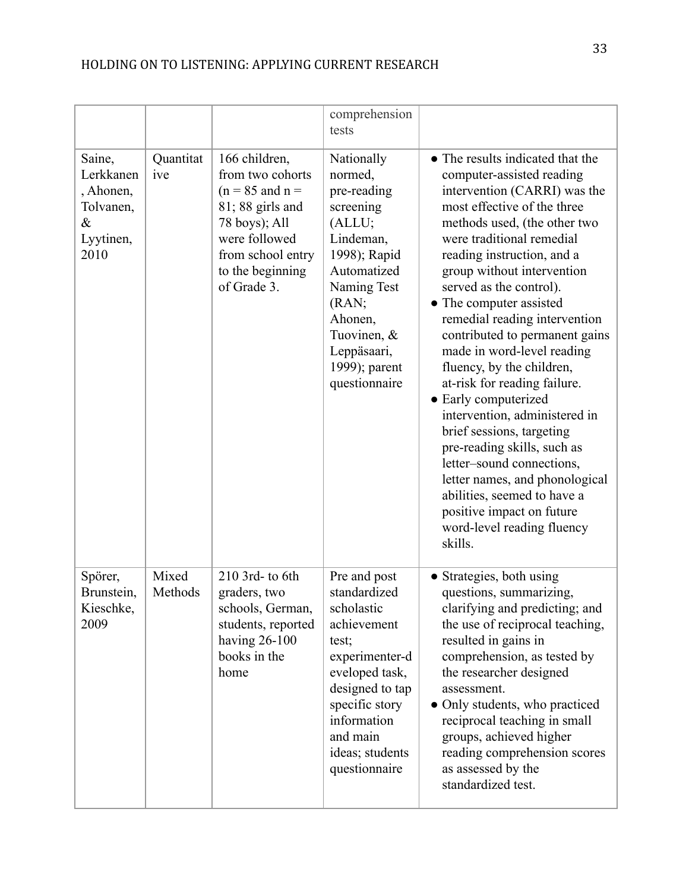|                                                                            |                  |                                                                                                                                                                          | comprehension<br>tests                                                                                                                                                                                     |                                                                                                                                                                                                                                                                                                                                                                                                                                                                                                                                                                                                                                                                                                                                                                    |
|----------------------------------------------------------------------------|------------------|--------------------------------------------------------------------------------------------------------------------------------------------------------------------------|------------------------------------------------------------------------------------------------------------------------------------------------------------------------------------------------------------|--------------------------------------------------------------------------------------------------------------------------------------------------------------------------------------------------------------------------------------------------------------------------------------------------------------------------------------------------------------------------------------------------------------------------------------------------------------------------------------------------------------------------------------------------------------------------------------------------------------------------------------------------------------------------------------------------------------------------------------------------------------------|
| Saine,<br>Lerkkanen<br>, Ahonen,<br>Tolvanen,<br>$\&$<br>Lyytinen,<br>2010 | Quantitat<br>ive | 166 children,<br>from two cohorts<br>$(n = 85$ and $n =$<br>$81; 88$ girls and<br>78 boys); All<br>were followed<br>from school entry<br>to the beginning<br>of Grade 3. | Nationally<br>normed,<br>pre-reading<br>screening<br>(ALLU;<br>Lindeman,<br>1998); Rapid<br>Automatized<br>Naming Test<br>(RAN;<br>Ahonen,<br>Tuovinen, &<br>Leppäsaari,<br>1999); parent<br>questionnaire | • The results indicated that the<br>computer-assisted reading<br>intervention (CARRI) was the<br>most effective of the three<br>methods used, (the other two<br>were traditional remedial<br>reading instruction, and a<br>group without intervention<br>served as the control).<br>• The computer assisted<br>remedial reading intervention<br>contributed to permanent gains<br>made in word-level reading<br>fluency, by the children,<br>at-risk for reading failure.<br>• Early computerized<br>intervention, administered in<br>brief sessions, targeting<br>pre-reading skills, such as<br>letter-sound connections,<br>letter names, and phonological<br>abilities, seemed to have a<br>positive impact on future<br>word-level reading fluency<br>skills. |
| Spörer,<br>Brunstein,<br>Kieschke,<br>2009                                 | Mixed<br>Methods | 210 3rd- to 6th<br>graders, two<br>schools, German,<br>students, reported<br>having $26-100$<br>books in the<br>home                                                     | Pre and post<br>standardized<br>scholastic<br>achievement<br>test;<br>experimenter-d<br>eveloped task,<br>designed to tap<br>specific story<br>information<br>and main<br>ideas; students<br>questionnaire | • Strategies, both using<br>questions, summarizing,<br>clarifying and predicting; and<br>the use of reciprocal teaching,<br>resulted in gains in<br>comprehension, as tested by<br>the researcher designed<br>assessment.<br>• Only students, who practiced<br>reciprocal teaching in small<br>groups, achieved higher<br>reading comprehension scores<br>as assessed by the<br>standardized test.                                                                                                                                                                                                                                                                                                                                                                 |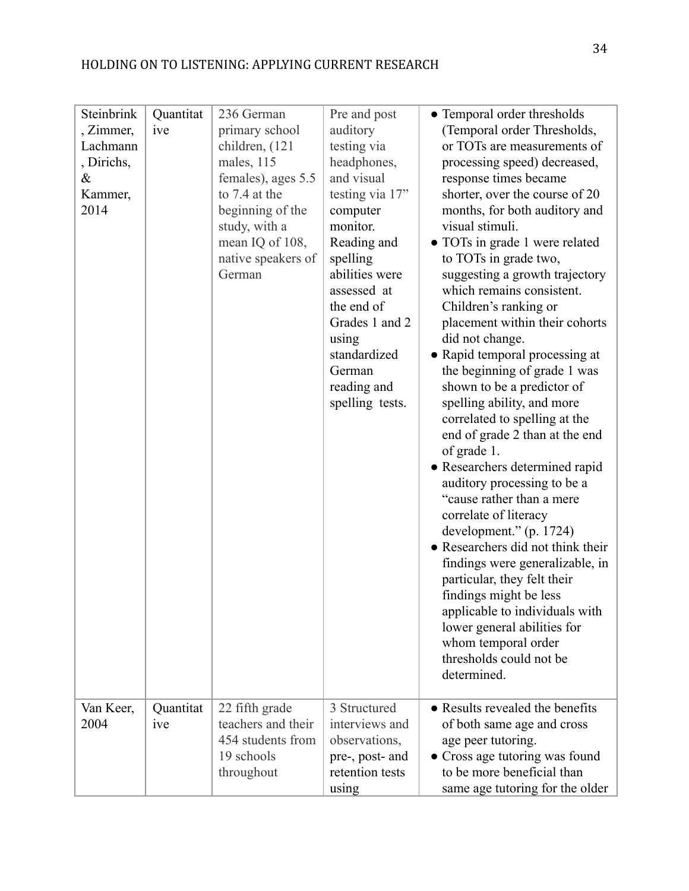| Steinbrink<br>, Zimmer,<br>Lachmann<br>, Dirichs,<br>$\&$<br>Kammer,<br>2014 | Quantitat<br>ive | 236 German<br>primary school<br>children, (121)<br>males, 115<br>females), ages 5.5<br>to 7.4 at the<br>beginning of the<br>study, with a<br>mean IQ of 108,<br>native speakers of<br>German | Pre and post<br>auditory<br>testing via<br>headphones,<br>and visual<br>testing via 17"<br>computer<br>monitor.<br>Reading and<br>spelling<br>abilities were<br>assessed at<br>the end of<br>Grades 1 and 2<br>using<br>standardized<br>German<br>reading and<br>spelling tests. | • Temporal order thresholds<br>(Temporal order Thresholds,<br>or TOTs are measurements of<br>processing speed) decreased,<br>response times became<br>shorter, over the course of 20<br>months, for both auditory and<br>visual stimuli.<br>• TOTs in grade 1 were related<br>to TOTs in grade two,<br>suggesting a growth trajectory<br>which remains consistent.<br>Children's ranking or<br>placement within their cohorts<br>did not change.<br>• Rapid temporal processing at<br>the beginning of grade 1 was<br>shown to be a predictor of<br>spelling ability, and more<br>correlated to spelling at the<br>end of grade 2 than at the end<br>of grade 1.<br>• Researchers determined rapid<br>auditory processing to be a<br>"cause rather than a mere<br>correlate of literacy<br>development." (p. 1724)<br>• Researchers did not think their<br>findings were generalizable, in<br>particular, they felt their<br>findings might be less<br>applicable to individuals with<br>lower general abilities for<br>whom temporal order<br>thresholds could not be<br>determined. |
|------------------------------------------------------------------------------|------------------|----------------------------------------------------------------------------------------------------------------------------------------------------------------------------------------------|----------------------------------------------------------------------------------------------------------------------------------------------------------------------------------------------------------------------------------------------------------------------------------|---------------------------------------------------------------------------------------------------------------------------------------------------------------------------------------------------------------------------------------------------------------------------------------------------------------------------------------------------------------------------------------------------------------------------------------------------------------------------------------------------------------------------------------------------------------------------------------------------------------------------------------------------------------------------------------------------------------------------------------------------------------------------------------------------------------------------------------------------------------------------------------------------------------------------------------------------------------------------------------------------------------------------------------------------------------------------------------|
| Van Keer,<br>2004                                                            | Quantitat<br>ive | 22 fifth grade<br>teachers and their<br>454 students from<br>19 schools<br>throughout                                                                                                        | 3 Structured<br>interviews and<br>observations,<br>pre-, post- and<br>retention tests<br>using                                                                                                                                                                                   | • Results revealed the benefits<br>of both same age and cross<br>age peer tutoring.<br>• Cross age tutoring was found<br>to be more beneficial than<br>same age tutoring for the older                                                                                                                                                                                                                                                                                                                                                                                                                                                                                                                                                                                                                                                                                                                                                                                                                                                                                                |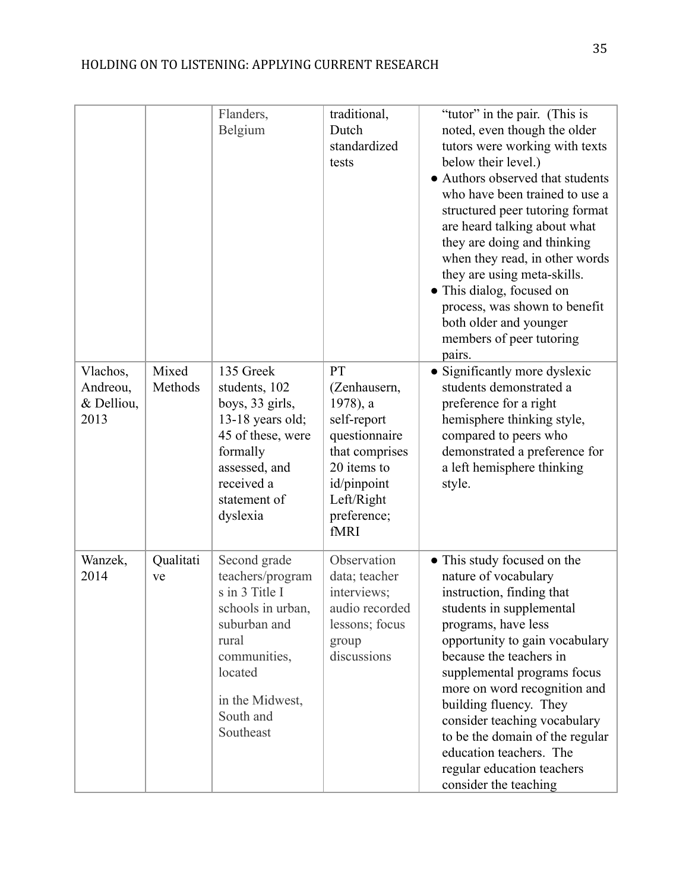|                                            |                  | Flanders,<br>Belgium                                                                                                                                                     | traditional,<br>Dutch<br>standardized<br>tests                                                                                                        | "tutor" in the pair. (This is<br>noted, even though the older<br>tutors were working with texts<br>below their level.)<br>• Authors observed that students<br>who have been trained to use a<br>structured peer tutoring format<br>are heard talking about what<br>they are doing and thinking<br>when they read, in other words<br>they are using meta-skills.<br>• This dialog, focused on<br>process, was shown to benefit<br>both older and younger<br>members of peer tutoring<br>pairs. |
|--------------------------------------------|------------------|--------------------------------------------------------------------------------------------------------------------------------------------------------------------------|-------------------------------------------------------------------------------------------------------------------------------------------------------|-----------------------------------------------------------------------------------------------------------------------------------------------------------------------------------------------------------------------------------------------------------------------------------------------------------------------------------------------------------------------------------------------------------------------------------------------------------------------------------------------|
| Vlachos,<br>Andreou,<br>& Delliou,<br>2013 | Mixed<br>Methods | 135 Greek<br>students, 102<br>boys, 33 girls,<br>13-18 years old;<br>45 of these, were<br>formally<br>assessed, and<br>received a<br>statement of<br>dyslexia            | PT<br>(Zenhausern,<br>$1978$ , a<br>self-report<br>questionnaire<br>that comprises<br>20 items to<br>id/pinpoint<br>Left/Right<br>preference;<br>fMRI | • Significantly more dyslexic<br>students demonstrated a<br>preference for a right<br>hemisphere thinking style,<br>compared to peers who<br>demonstrated a preference for<br>a left hemisphere thinking<br>style.                                                                                                                                                                                                                                                                            |
| Wanzek,<br>2014                            | Qualitati<br>ve  | Second grade<br>teachers/program<br>s in 3 Title I<br>schools in urban,<br>suburban and<br>rural<br>communities,<br>located<br>in the Midwest,<br>South and<br>Southeast | Observation<br>data; teacher<br>interviews;<br>audio recorded<br>lessons; focus<br>group<br>discussions                                               | • This study focused on the<br>nature of vocabulary<br>instruction, finding that<br>students in supplemental<br>programs, have less<br>opportunity to gain vocabulary<br>because the teachers in<br>supplemental programs focus<br>more on word recognition and<br>building fluency. They<br>consider teaching vocabulary<br>to be the domain of the regular<br>education teachers. The<br>regular education teachers<br>consider the teaching                                                |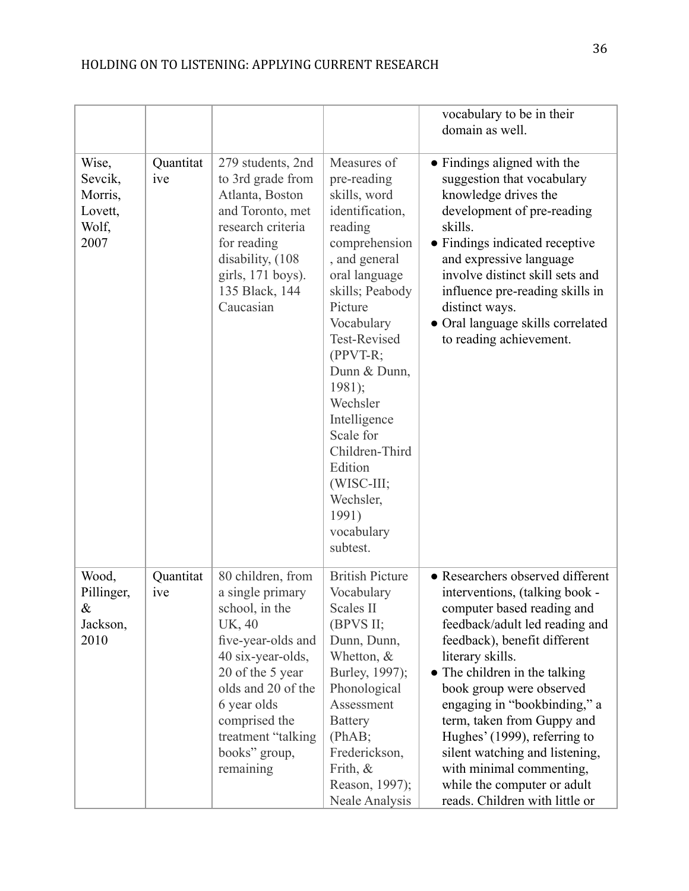|                                                         |                  |                                                                                                                                                                                                                                                   |                                                                                                                                                                                                                                                                                                                                                                          | vocabulary to be in their<br>domain as well.                                                                                                                                                                                                                                                                                                                                                                                                                                     |
|---------------------------------------------------------|------------------|---------------------------------------------------------------------------------------------------------------------------------------------------------------------------------------------------------------------------------------------------|--------------------------------------------------------------------------------------------------------------------------------------------------------------------------------------------------------------------------------------------------------------------------------------------------------------------------------------------------------------------------|----------------------------------------------------------------------------------------------------------------------------------------------------------------------------------------------------------------------------------------------------------------------------------------------------------------------------------------------------------------------------------------------------------------------------------------------------------------------------------|
| Wise,<br>Sevcik,<br>Morris,<br>Lovett,<br>Wolf,<br>2007 | Quantitat<br>ive | 279 students, 2nd<br>to 3rd grade from<br>Atlanta, Boston<br>and Toronto, met<br>research criteria<br>for reading<br>disability, (108)<br>girls, $171$ boys).<br>135 Black, 144<br>Caucasian                                                      | Measures of<br>pre-reading<br>skills, word<br>identification,<br>reading<br>comprehension<br>, and general<br>oral language<br>skills; Peabody<br>Picture<br>Vocabulary<br><b>Test-Revised</b><br>(PPVT-R;<br>Dunn & Dunn,<br>1981);<br>Wechsler<br>Intelligence<br>Scale for<br>Children-Third<br>Edition<br>(WISC-III;<br>Wechsler,<br>1991)<br>vocabulary<br>subtest. | • Findings aligned with the<br>suggestion that vocabulary<br>knowledge drives the<br>development of pre-reading<br>skills.<br>• Findings indicated receptive<br>and expressive language<br>involve distinct skill sets and<br>influence pre-reading skills in<br>distinct ways.<br>• Oral language skills correlated<br>to reading achievement.                                                                                                                                  |
| Wood,<br>Pillinger,<br>$\&$<br>Jackson,<br>2010         | Quantitat<br>ive | 80 children, from<br>a single primary<br>school, in the<br><b>UK, 40</b><br>five-year-olds and<br>40 six-year-olds,<br>20 of the 5 year<br>olds and 20 of the<br>6 year olds<br>comprised the<br>treatment "talking<br>books" group,<br>remaining | <b>British Picture</b><br>Vocabulary<br>Scales II<br>(BPVS II;<br>Dunn, Dunn,<br>Whetton, $&$<br>Burley, 1997);<br>Phonological<br>Assessment<br><b>Battery</b><br>(PhAB;<br>Frederickson,<br>Frith, $\&$<br>Reason, 1997);<br><b>Neale Analysis</b>                                                                                                                     | • Researchers observed different<br>interventions, (talking book -<br>computer based reading and<br>feedback/adult led reading and<br>feedback), benefit different<br>literary skills.<br>• The children in the talking<br>book group were observed<br>engaging in "bookbinding," a<br>term, taken from Guppy and<br>Hughes' (1999), referring to<br>silent watching and listening,<br>with minimal commenting,<br>while the computer or adult<br>reads. Children with little or |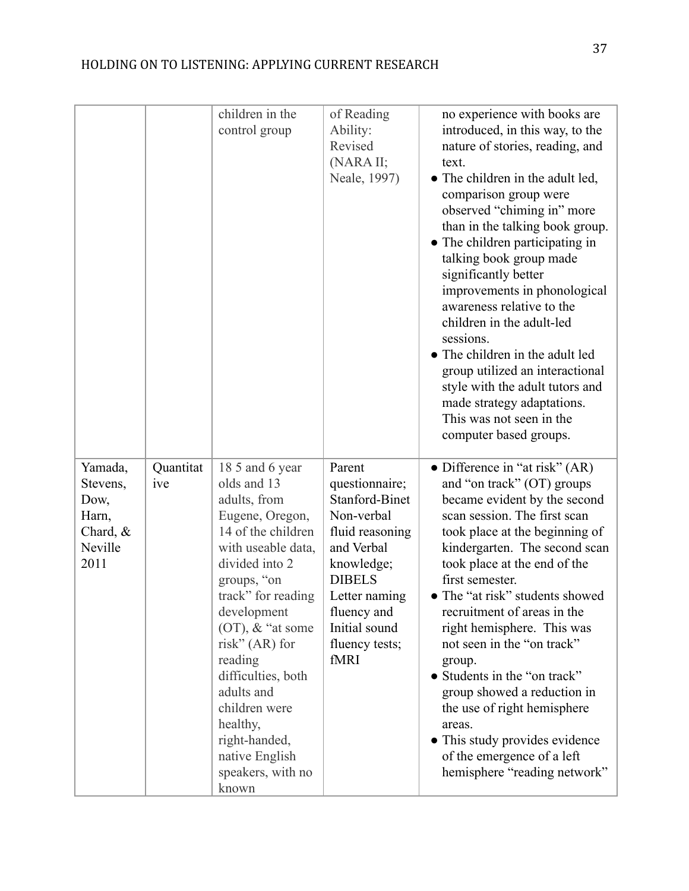|                                                                       |                  | children in the<br>control group                                                                                                                                                                                                                                                                                                                                              | of Reading<br>Ability:<br>Revised<br>(NARA II;<br>Neale, 1997)                                                                                                                                             | no experience with books are<br>introduced, in this way, to the<br>nature of stories, reading, and<br>text.<br>• The children in the adult led,<br>comparison group were<br>observed "chiming in" more<br>than in the talking book group.<br>• The children participating in<br>talking book group made<br>significantly better<br>improvements in phonological<br>awareness relative to the<br>children in the adult-led<br>sessions.<br>The children in the adult led<br>group utilized an interactional<br>style with the adult tutors and<br>made strategy adaptations.<br>This was not seen in the<br>computer based groups. |
|-----------------------------------------------------------------------|------------------|-------------------------------------------------------------------------------------------------------------------------------------------------------------------------------------------------------------------------------------------------------------------------------------------------------------------------------------------------------------------------------|------------------------------------------------------------------------------------------------------------------------------------------------------------------------------------------------------------|-----------------------------------------------------------------------------------------------------------------------------------------------------------------------------------------------------------------------------------------------------------------------------------------------------------------------------------------------------------------------------------------------------------------------------------------------------------------------------------------------------------------------------------------------------------------------------------------------------------------------------------|
| Yamada,<br>Stevens,<br>Dow,<br>Harn,<br>Chard, $&$<br>Neville<br>2011 | Quantitat<br>ive | 18 5 and 6 year<br>olds and 13<br>adults, from<br>Eugene, Oregon,<br>14 of the children<br>with useable data,<br>divided into 2<br>groups, "on<br>track" for reading<br>development<br>$(OT)$ , $&$ "at some<br>risk" $(AR)$ for<br>reading<br>difficulties, both<br>adults and<br>children were<br>healthy,<br>right-handed,<br>native English<br>speakers, with no<br>known | Parent<br>questionnaire;<br><b>Stanford-Binet</b><br>Non-verbal<br>fluid reasoning<br>and Verbal<br>knowledge;<br><b>DIBELS</b><br>Letter naming<br>fluency and<br>Initial sound<br>fluency tests;<br>fMRI | • Difference in "at risk" (AR)<br>and "on track" (OT) groups<br>became evident by the second<br>scan session. The first scan<br>took place at the beginning of<br>kindergarten. The second scan<br>took place at the end of the<br>first semester.<br>• The "at risk" students showed<br>recruitment of areas in the<br>right hemisphere. This was<br>not seen in the "on track"<br>group.<br>• Students in the "on track"<br>group showed a reduction in<br>the use of right hemisphere<br>areas.<br>• This study provides evidence<br>of the emergence of a left<br>hemisphere "reading network"                                |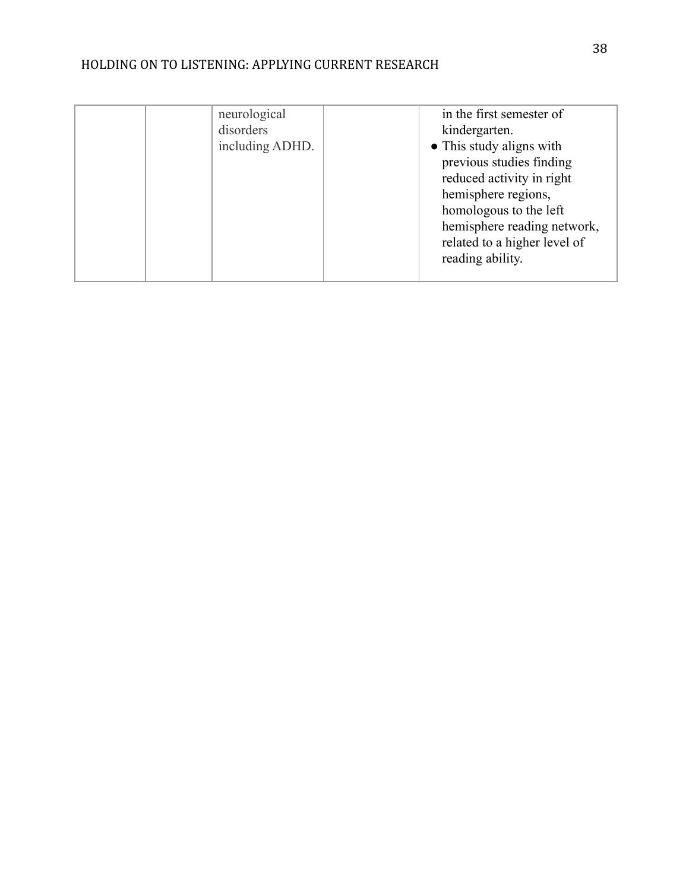| neurological<br>disorders<br>including ADHD. | in the first semester of<br>kindergarten.<br>• This study aligns with<br>previous studies finding<br>reduced activity in right<br>hemisphere regions,<br>homologous to the left<br>hemisphere reading network,<br>related to a higher level of<br>reading ability. |
|----------------------------------------------|--------------------------------------------------------------------------------------------------------------------------------------------------------------------------------------------------------------------------------------------------------------------|
|----------------------------------------------|--------------------------------------------------------------------------------------------------------------------------------------------------------------------------------------------------------------------------------------------------------------------|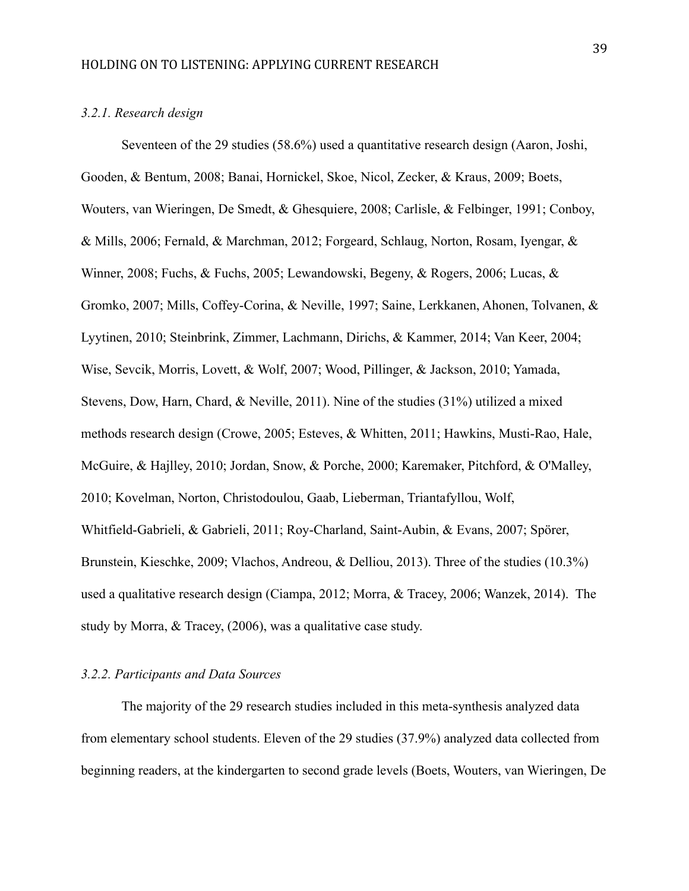#### *3.2.1. Research design*

Seventeen of the 29 studies (58.6%) used a quantitative research design (Aaron, Joshi, Gooden, & Bentum, 2008; Banai, Hornickel, Skoe, Nicol, Zecker, & Kraus, 2009; Boets, Wouters, van Wieringen, De Smedt, & Ghesquiere, 2008; Carlisle, & Felbinger, 1991; Conboy, & Mills, 2006; Fernald, & Marchman, 2012; Forgeard, Schlaug, Norton, Rosam, Iyengar, & Winner, 2008; Fuchs, & Fuchs, 2005; Lewandowski, Begeny, & Rogers, 2006; Lucas, & Gromko, 2007; Mills, Coffey-Corina, & Neville, 1997; Saine, Lerkkanen, Ahonen, Tolvanen, & Lyytinen, 2010; Steinbrink, Zimmer, Lachmann, Dirichs, & Kammer, 2014; Van Keer, 2004; Wise, Sevcik, Morris, Lovett, & Wolf, 2007; Wood, Pillinger, & Jackson, 2010; Yamada, Stevens, Dow, Harn, Chard, & Neville, 2011). Nine of the studies (31%) utilized a mixed methods research design (Crowe, 2005; Esteves, & Whitten, 2011; Hawkins, Musti-Rao, Hale, McGuire, & Hajlley, 2010; Jordan, Snow, & Porche, 2000; Karemaker, Pitchford, & O'Malley, 2010; Kovelman, Norton, Christodoulou, Gaab, Lieberman, Triantafyllou, Wolf, Whitfield-Gabrieli, & Gabrieli, 2011; Roy-Charland, Saint-Aubin, & Evans, 2007; Spörer, Brunstein, Kieschke, 2009; Vlachos, Andreou, & Delliou, 2013). Three of the studies (10.3%) used a qualitative research design (Ciampa, 2012; Morra, & Tracey, 2006; Wanzek, 2014). The study by Morra, & Tracey, (2006), was a qualitative case study.

#### *3.2.2. Participants and Data Sources*

The majority of the 29 research studies included in this meta-synthesis analyzed data from elementary school students. Eleven of the 29 studies (37.9%) analyzed data collected from beginning readers, at the kindergarten to second grade levels (Boets, Wouters, van Wieringen, De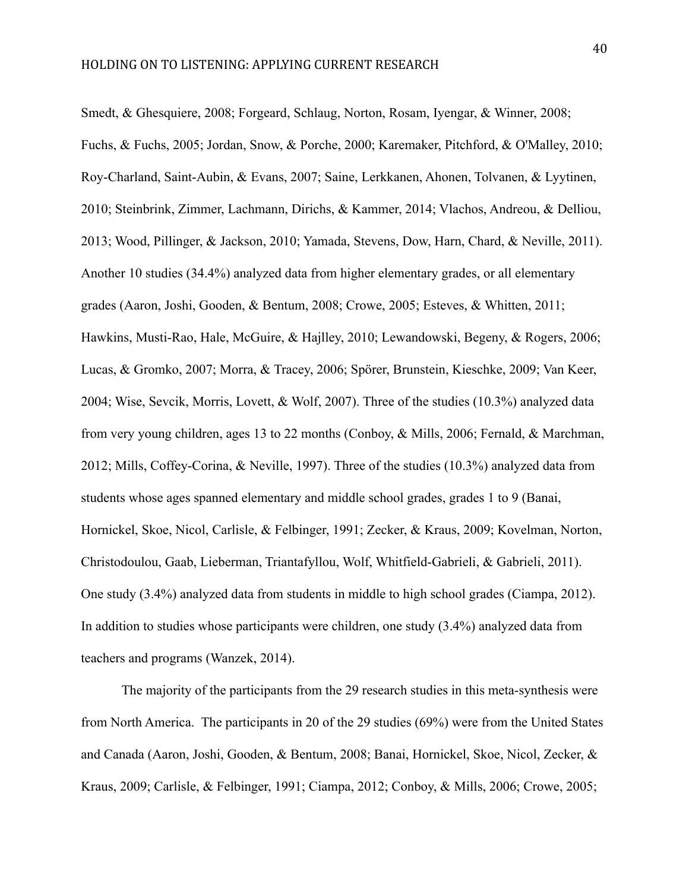Smedt, & Ghesquiere, 2008; Forgeard, Schlaug, Norton, Rosam, Iyengar, & Winner, 2008; Fuchs, & Fuchs, 2005; Jordan, Snow, & Porche, 2000; Karemaker, Pitchford, & O'Malley, 2010; Roy-Charland, Saint-Aubin, & Evans, 2007; Saine, Lerkkanen, Ahonen, Tolvanen, & Lyytinen, 2010; Steinbrink, Zimmer, Lachmann, Dirichs, & Kammer, 2014; Vlachos, Andreou, & Delliou, 2013; Wood, Pillinger, & Jackson, 2010; Yamada, Stevens, Dow, Harn, Chard, & Neville, 2011). Another 10 studies (34.4%) analyzed data from higher elementary grades, or all elementary grades (Aaron, Joshi, Gooden, & Bentum, 2008; Crowe, 2005; Esteves, & Whitten, 2011; Hawkins, Musti-Rao, Hale, McGuire, & Hajlley, 2010; Lewandowski, Begeny, & Rogers, 2006; Lucas, & Gromko, 2007; Morra, & Tracey, 2006; Spörer, Brunstein, Kieschke, 2009; Van Keer, 2004; Wise, Sevcik, Morris, Lovett, & Wolf, 2007). Three of the studies (10.3%) analyzed data from very young children, ages 13 to 22 months (Conboy, & Mills, 2006; Fernald, & Marchman, 2012; Mills, Coffey-Corina, & Neville, 1997). Three of the studies (10.3%) analyzed data from students whose ages spanned elementary and middle school grades, grades 1 to 9 (Banai, Hornickel, Skoe, Nicol, Carlisle, & Felbinger, 1991; Zecker, & Kraus, 2009; Kovelman, Norton, Christodoulou, Gaab, Lieberman, Triantafyllou, Wolf, Whitfield-Gabrieli, & Gabrieli, 2011). One study (3.4%) analyzed data from students in middle to high school grades (Ciampa, 2012). In addition to studies whose participants were children, one study (3.4%) analyzed data from teachers and programs (Wanzek, 2014).

The majority of the participants from the 29 research studies in this meta-synthesis were from North America. The participants in 20 of the 29 studies (69%) were from the United States and Canada (Aaron, Joshi, Gooden, & Bentum, 2008; Banai, Hornickel, Skoe, Nicol, Zecker, & Kraus, 2009; Carlisle, & Felbinger, 1991; Ciampa, 2012; Conboy, & Mills, 2006; Crowe, 2005;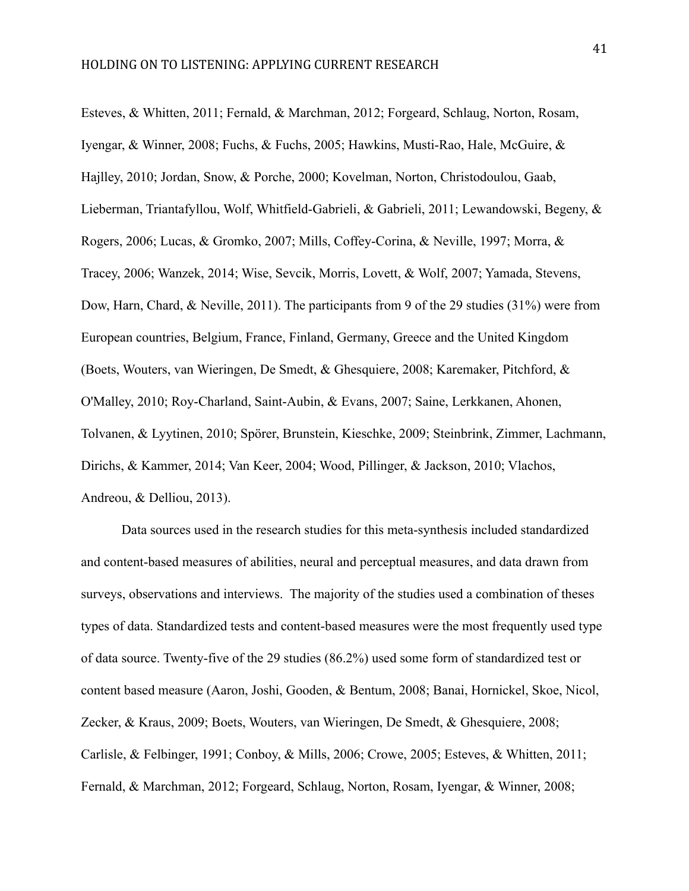Esteves, & Whitten, 2011; Fernald, & Marchman, 2012; Forgeard, Schlaug, Norton, Rosam, Iyengar, & Winner, 2008; Fuchs, & Fuchs, 2005; Hawkins, Musti-Rao, Hale, McGuire, & Hajlley, 2010; Jordan, Snow, & Porche, 2000; Kovelman, Norton, Christodoulou, Gaab, Lieberman, Triantafyllou, Wolf, Whitfield-Gabrieli, & Gabrieli, 2011; Lewandowski, Begeny, & Rogers, 2006; Lucas, & Gromko, 2007; Mills, Coffey-Corina, & Neville, 1997; Morra, & Tracey, 2006; Wanzek, 2014; Wise, Sevcik, Morris, Lovett, & Wolf, 2007; Yamada, Stevens, Dow, Harn, Chard, & Neville, 2011). The participants from 9 of the 29 studies (31%) were from European countries, Belgium, France, Finland, Germany, Greece and the United Kingdom (Boets, Wouters, van Wieringen, De Smedt, & Ghesquiere, 2008; Karemaker, Pitchford, & O'Malley, 2010; Roy-Charland, Saint-Aubin, & Evans, 2007; Saine, Lerkkanen, Ahonen, Tolvanen, & Lyytinen, 2010; Spörer, Brunstein, Kieschke, 2009; Steinbrink, Zimmer, Lachmann, Dirichs, & Kammer, 2014; Van Keer, 2004; Wood, Pillinger, & Jackson, 2010; Vlachos, Andreou, & Delliou, 2013).

Data sources used in the research studies for this meta-synthesis included standardized and content-based measures of abilities, neural and perceptual measures, and data drawn from surveys, observations and interviews. The majority of the studies used a combination of theses types of data. Standardized tests and content-based measures were the most frequently used type of data source. Twenty-five of the 29 studies (86.2%) used some form of standardized test or content based measure (Aaron, Joshi, Gooden, & Bentum, 2008; Banai, Hornickel, Skoe, Nicol, Zecker, & Kraus, 2009; Boets, Wouters, van Wieringen, De Smedt, & Ghesquiere, 2008; Carlisle, & Felbinger, 1991; Conboy, & Mills, 2006; Crowe, 2005; Esteves, & Whitten, 2011; Fernald, & Marchman, 2012; Forgeard, Schlaug, Norton, Rosam, Iyengar, & Winner, 2008;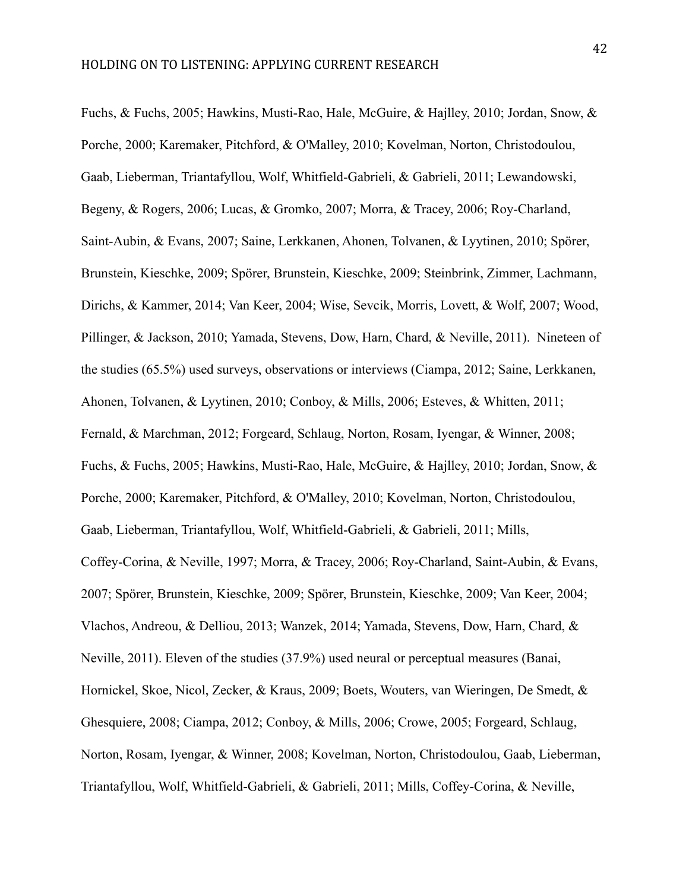Fuchs, & Fuchs, 2005; Hawkins, Musti-Rao, Hale, McGuire, & Hajlley, 2010; Jordan, Snow, & Porche, 2000; Karemaker, Pitchford, & O'Malley, 2010; Kovelman, Norton, Christodoulou, Gaab, Lieberman, Triantafyllou, Wolf, Whitfield-Gabrieli, & Gabrieli, 2011; Lewandowski, Begeny, & Rogers, 2006; Lucas, & Gromko, 2007; Morra, & Tracey, 2006; Roy-Charland, Saint-Aubin, & Evans, 2007; Saine, Lerkkanen, Ahonen, Tolvanen, & Lyytinen, 2010; Spörer, Brunstein, Kieschke, 2009; Spörer, Brunstein, Kieschke, 2009; Steinbrink, Zimmer, Lachmann, Dirichs, & Kammer, 2014; Van Keer, 2004; Wise, Sevcik, Morris, Lovett, & Wolf, 2007; Wood, Pillinger, & Jackson, 2010; Yamada, Stevens, Dow, Harn, Chard, & Neville, 2011). Nineteen of the studies (65.5%) used surveys, observations or interviews (Ciampa, 2012; Saine, Lerkkanen, Ahonen, Tolvanen, & Lyytinen, 2010; Conboy, & Mills, 2006; Esteves, & Whitten, 2011; Fernald, & Marchman, 2012; Forgeard, Schlaug, Norton, Rosam, Iyengar, & Winner, 2008; Fuchs, & Fuchs, 2005; Hawkins, Musti-Rao, Hale, McGuire, & Hajlley, 2010; Jordan, Snow, & Porche, 2000; Karemaker, Pitchford, & O'Malley, 2010; Kovelman, Norton, Christodoulou, Gaab, Lieberman, Triantafyllou, Wolf, Whitfield-Gabrieli, & Gabrieli, 2011; Mills, Coffey-Corina, & Neville, 1997; Morra, & Tracey, 2006; Roy-Charland, Saint-Aubin, & Evans, 2007; Spörer, Brunstein, Kieschke, 2009; Spörer, Brunstein, Kieschke, 2009; Van Keer, 2004; Vlachos, Andreou, & Delliou, 2013; Wanzek, 2014; Yamada, Stevens, Dow, Harn, Chard, & Neville, 2011). Eleven of the studies (37.9%) used neural or perceptual measures (Banai, Hornickel, Skoe, Nicol, Zecker, & Kraus, 2009; Boets, Wouters, van Wieringen, De Smedt, & Ghesquiere, 2008; Ciampa, 2012; Conboy, & Mills, 2006; Crowe, 2005; Forgeard, Schlaug, Norton, Rosam, Iyengar, & Winner, 2008; Kovelman, Norton, Christodoulou, Gaab, Lieberman, Triantafyllou, Wolf, Whitfield-Gabrieli, & Gabrieli, 2011; Mills, Coffey-Corina, & Neville,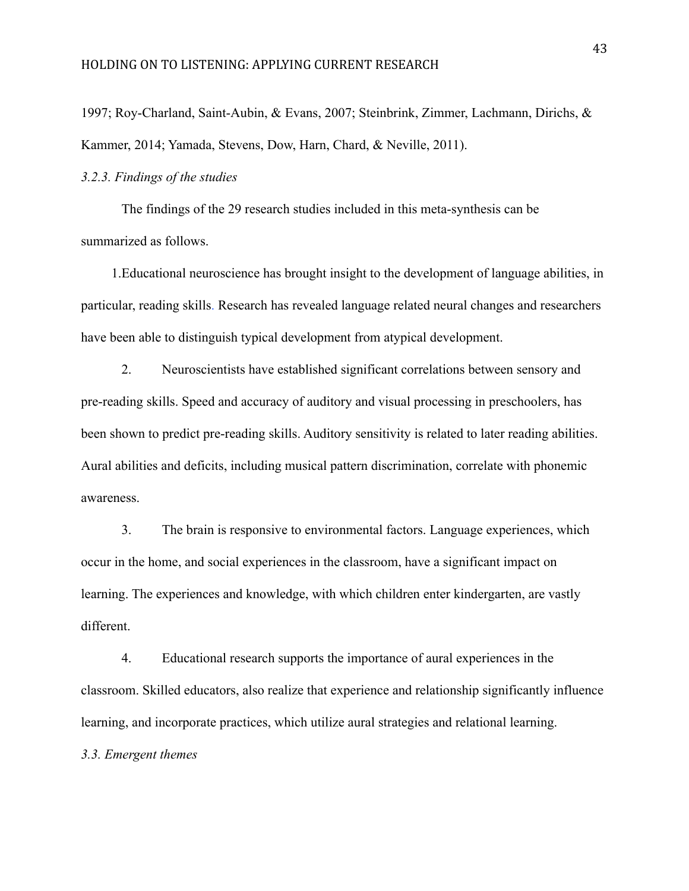1997; Roy-Charland, Saint-Aubin, & Evans, 2007; Steinbrink, Zimmer, Lachmann, Dirichs, & Kammer, 2014; Yamada, Stevens, Dow, Harn, Chard, & Neville, 2011).

## *3.2.3. Findings of the studies*

The findings of the 29 research studies included in this meta-synthesis can be summarized as follows.

1.Educational neuroscience has brought insight to the development of language abilities, in particular, reading skills. Research has revealed language related neural changes and researchers have been able to distinguish typical development from atypical development.

2. Neuroscientists have established significant correlations between sensory and pre-reading skills. Speed and accuracy of auditory and visual processing in preschoolers, has been shown to predict pre-reading skills. Auditory sensitivity is related to later reading abilities. Aural abilities and deficits, including musical pattern discrimination, correlate with phonemic awareness.

3. The brain is responsive to environmental factors. Language experiences, which occur in the home, and social experiences in the classroom, have a significant impact on learning. The experiences and knowledge, with which children enter kindergarten, are vastly different.

4. Educational research supports the importance of aural experiences in the classroom. Skilled educators, also realize that experience and relationship significantly influence learning, and incorporate practices, which utilize aural strategies and relational learning.

*3.3. Emergent themes*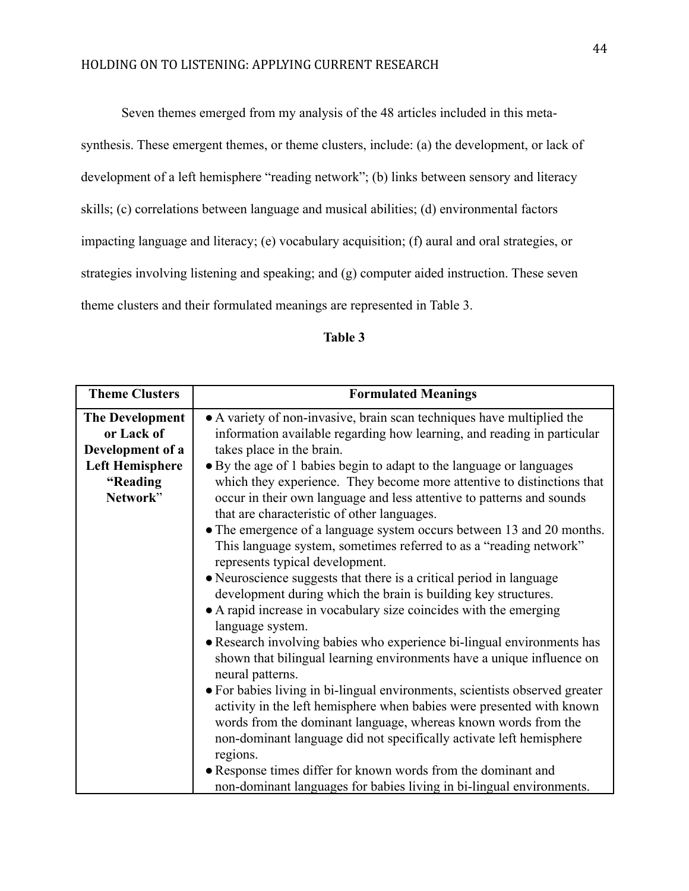Seven themes emerged from my analysis of the 48 articles included in this meta-

synthesis. These emergent themes, or theme clusters, include: (a) the development, or lack of development of a left hemisphere "reading network"; (b) links between sensory and literacy skills; (c) correlations between language and musical abilities; (d) environmental factors impacting language and literacy; (e) vocabulary acquisition; (f) aural and oral strategies, or strategies involving listening and speaking; and (g) computer aided instruction. These seven theme clusters and their formulated meanings are represented in Table 3.

## **Table 3**

| <b>Theme Clusters</b>                                                                                      | <b>Formulated Meanings</b>                                                                                                                                                                                                                                                                                                                                                                                                                                                                                                                                                                                                                                                                                                                                                                                                                                                                                                                             |
|------------------------------------------------------------------------------------------------------------|--------------------------------------------------------------------------------------------------------------------------------------------------------------------------------------------------------------------------------------------------------------------------------------------------------------------------------------------------------------------------------------------------------------------------------------------------------------------------------------------------------------------------------------------------------------------------------------------------------------------------------------------------------------------------------------------------------------------------------------------------------------------------------------------------------------------------------------------------------------------------------------------------------------------------------------------------------|
| <b>The Development</b><br>or Lack of<br>Development of a<br><b>Left Hemisphere</b><br>"Reading<br>Network" | • A variety of non-invasive, brain scan techniques have multiplied the<br>information available regarding how learning, and reading in particular<br>takes place in the brain.<br>• By the age of 1 babies begin to adapt to the language or languages<br>which they experience. They become more attentive to distinctions that<br>occur in their own language and less attentive to patterns and sounds<br>that are characteristic of other languages.<br>• The emergence of a language system occurs between 13 and 20 months.<br>This language system, sometimes referred to as a "reading network"<br>represents typical development.<br>• Neuroscience suggests that there is a critical period in language<br>development during which the brain is building key structures.<br>• A rapid increase in vocabulary size coincides with the emerging<br>language system.<br>• Research involving babies who experience bi-lingual environments has |
|                                                                                                            | shown that bilingual learning environments have a unique influence on<br>neural patterns.                                                                                                                                                                                                                                                                                                                                                                                                                                                                                                                                                                                                                                                                                                                                                                                                                                                              |
|                                                                                                            | • For babies living in bi-lingual environments, scientists observed greater<br>activity in the left hemisphere when babies were presented with known<br>words from the dominant language, whereas known words from the<br>non-dominant language did not specifically activate left hemisphere<br>regions.                                                                                                                                                                                                                                                                                                                                                                                                                                                                                                                                                                                                                                              |
|                                                                                                            | • Response times differ for known words from the dominant and<br>non-dominant languages for babies living in bi-lingual environments.                                                                                                                                                                                                                                                                                                                                                                                                                                                                                                                                                                                                                                                                                                                                                                                                                  |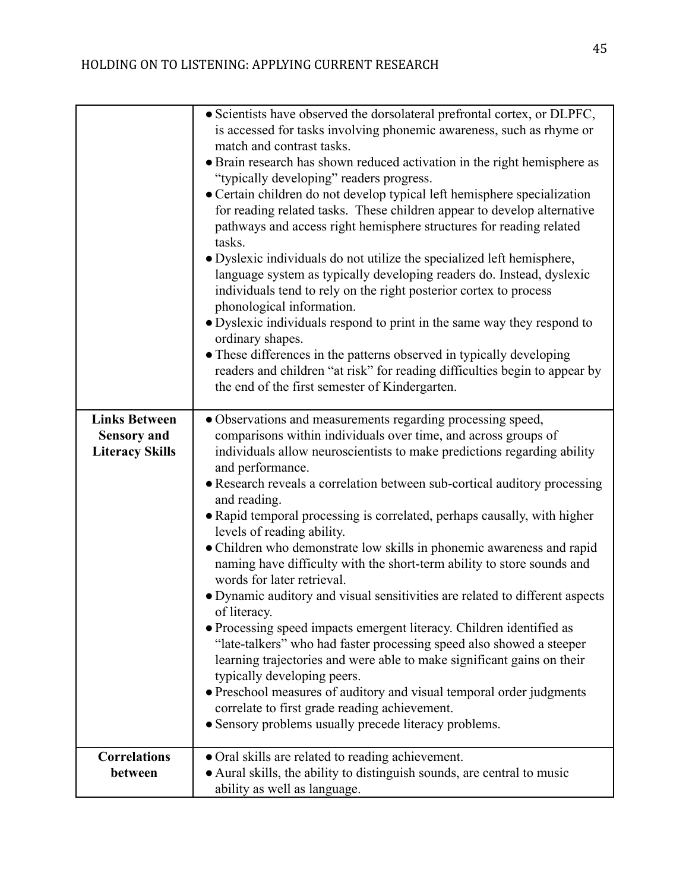|                                                                      | • Scientists have observed the dorsolateral prefrontal cortex, or DLPFC,<br>is accessed for tasks involving phonemic awareness, such as rhyme or<br>match and contrast tasks.<br>• Brain research has shown reduced activation in the right hemisphere as<br>"typically developing" readers progress.<br>• Certain children do not develop typical left hemisphere specialization<br>for reading related tasks. These children appear to develop alternative<br>pathways and access right hemisphere structures for reading related<br>tasks.<br>• Dyslexic individuals do not utilize the specialized left hemisphere,<br>language system as typically developing readers do. Instead, dyslexic<br>individuals tend to rely on the right posterior cortex to process<br>phonological information.<br>• Dyslexic individuals respond to print in the same way they respond to<br>ordinary shapes.<br>• These differences in the patterns observed in typically developing<br>readers and children "at risk" for reading difficulties begin to appear by<br>the end of the first semester of Kindergarten.                                                       |
|----------------------------------------------------------------------|-----------------------------------------------------------------------------------------------------------------------------------------------------------------------------------------------------------------------------------------------------------------------------------------------------------------------------------------------------------------------------------------------------------------------------------------------------------------------------------------------------------------------------------------------------------------------------------------------------------------------------------------------------------------------------------------------------------------------------------------------------------------------------------------------------------------------------------------------------------------------------------------------------------------------------------------------------------------------------------------------------------------------------------------------------------------------------------------------------------------------------------------------------------------|
| <b>Links Between</b><br><b>Sensory and</b><br><b>Literacy Skills</b> | · Observations and measurements regarding processing speed,<br>comparisons within individuals over time, and across groups of<br>individuals allow neuroscientists to make predictions regarding ability<br>and performance.<br>• Research reveals a correlation between sub-cortical auditory processing<br>and reading.<br>• Rapid temporal processing is correlated, perhaps causally, with higher<br>levels of reading ability.<br>• Children who demonstrate low skills in phonemic awareness and rapid<br>naming have difficulty with the short-term ability to store sounds and<br>words for later retrieval.<br>• Dynamic auditory and visual sensitivities are related to different aspects<br>of literacy.<br>• Processing speed impacts emergent literacy. Children identified as<br>"late-talkers" who had faster processing speed also showed a steeper<br>learning trajectories and were able to make significant gains on their<br>typically developing peers.<br>• Preschool measures of auditory and visual temporal order judgments<br>correlate to first grade reading achievement.<br>• Sensory problems usually precede literacy problems. |
| <b>Correlations</b><br>between                                       | • Oral skills are related to reading achievement.<br>• Aural skills, the ability to distinguish sounds, are central to music<br>ability as well as language.                                                                                                                                                                                                                                                                                                                                                                                                                                                                                                                                                                                                                                                                                                                                                                                                                                                                                                                                                                                                    |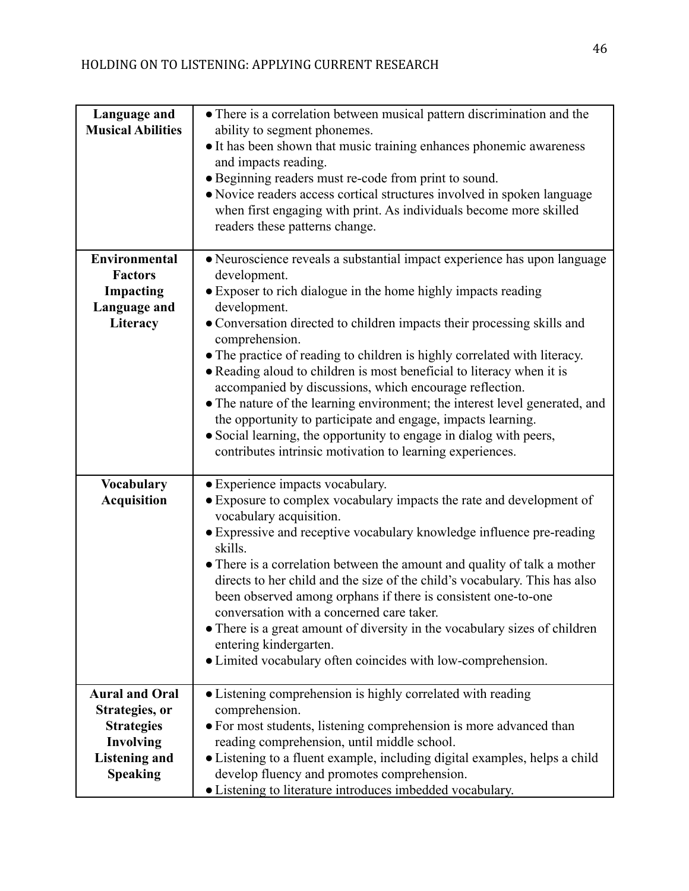| Language and<br><b>Musical Abilities</b>                                                                                    | • There is a correlation between musical pattern discrimination and the<br>ability to segment phonemes.<br>• It has been shown that music training enhances phonemic awareness<br>and impacts reading.<br>· Beginning readers must re-code from print to sound.<br>• Novice readers access cortical structures involved in spoken language<br>when first engaging with print. As individuals become more skilled<br>readers these patterns change.                                                                                                                                                                                                                                                                                                                        |
|-----------------------------------------------------------------------------------------------------------------------------|---------------------------------------------------------------------------------------------------------------------------------------------------------------------------------------------------------------------------------------------------------------------------------------------------------------------------------------------------------------------------------------------------------------------------------------------------------------------------------------------------------------------------------------------------------------------------------------------------------------------------------------------------------------------------------------------------------------------------------------------------------------------------|
| <b>Environmental</b><br><b>Factors</b><br>Impacting<br>Language and<br>Literacy                                             | • Neuroscience reveals a substantial impact experience has upon language<br>development.<br>• Exposer to rich dialogue in the home highly impacts reading<br>development.<br>• Conversation directed to children impacts their processing skills and<br>comprehension.<br>• The practice of reading to children is highly correlated with literacy.<br>• Reading aloud to children is most beneficial to literacy when it is<br>accompanied by discussions, which encourage reflection.<br>• The nature of the learning environment; the interest level generated, and<br>the opportunity to participate and engage, impacts learning.<br>• Social learning, the opportunity to engage in dialog with peers,<br>contributes intrinsic motivation to learning experiences. |
| <b>Vocabulary</b><br><b>Acquisition</b>                                                                                     | • Experience impacts vocabulary.<br>• Exposure to complex vocabulary impacts the rate and development of<br>vocabulary acquisition.<br>• Expressive and receptive vocabulary knowledge influence pre-reading<br>skills.<br>• There is a correlation between the amount and quality of talk a mother<br>directs to her child and the size of the child's vocabulary. This has also<br>been observed among orphans if there is consistent one-to-one<br>conversation with a concerned care taker.<br>• There is a great amount of diversity in the vocabulary sizes of children<br>entering kindergarten.<br>• Limited vocabulary often coincides with low-comprehension.                                                                                                   |
| <b>Aural and Oral</b><br>Strategies, or<br><b>Strategies</b><br><b>Involving</b><br><b>Listening and</b><br><b>Speaking</b> | • Listening comprehension is highly correlated with reading<br>comprehension.<br>• For most students, listening comprehension is more advanced than<br>reading comprehension, until middle school.<br>• Listening to a fluent example, including digital examples, helps a child<br>develop fluency and promotes comprehension.<br>• Listening to literature introduces imbedded vocabulary.                                                                                                                                                                                                                                                                                                                                                                              |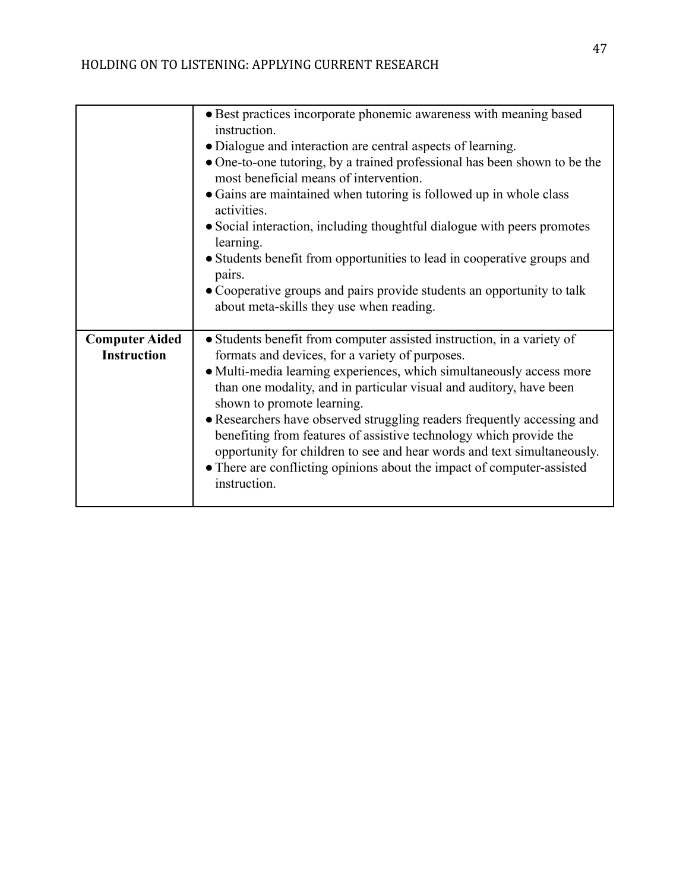|                       | • Best practices incorporate phonemic awareness with meaning based<br>instruction.<br>• Dialogue and interaction are central aspects of learning.<br>• One-to-one tutoring, by a trained professional has been shown to be the<br>most beneficial means of intervention.<br>• Gains are maintained when tutoring is followed up in whole class<br>activities.<br>• Social interaction, including thoughtful dialogue with peers promotes<br>learning.<br>• Students benefit from opportunities to lead in cooperative groups and<br>pairs.<br>• Cooperative groups and pairs provide students an opportunity to talk<br>about meta-skills they use when reading. |
|-----------------------|------------------------------------------------------------------------------------------------------------------------------------------------------------------------------------------------------------------------------------------------------------------------------------------------------------------------------------------------------------------------------------------------------------------------------------------------------------------------------------------------------------------------------------------------------------------------------------------------------------------------------------------------------------------|
|                       |                                                                                                                                                                                                                                                                                                                                                                                                                                                                                                                                                                                                                                                                  |
| <b>Computer Aided</b> | • Students benefit from computer assisted instruction, in a variety of                                                                                                                                                                                                                                                                                                                                                                                                                                                                                                                                                                                           |
| <b>Instruction</b>    | formats and devices, for a variety of purposes.                                                                                                                                                                                                                                                                                                                                                                                                                                                                                                                                                                                                                  |
|                       | • Multi-media learning experiences, which simultaneously access more<br>than one modality, and in particular visual and auditory, have been<br>shown to promote learning.<br>• Researchers have observed struggling readers frequently accessing and<br>benefiting from features of assistive technology which provide the<br>opportunity for children to see and hear words and text simultaneously.<br>• There are conflicting opinions about the impact of computer-assisted<br>instruction.                                                                                                                                                                  |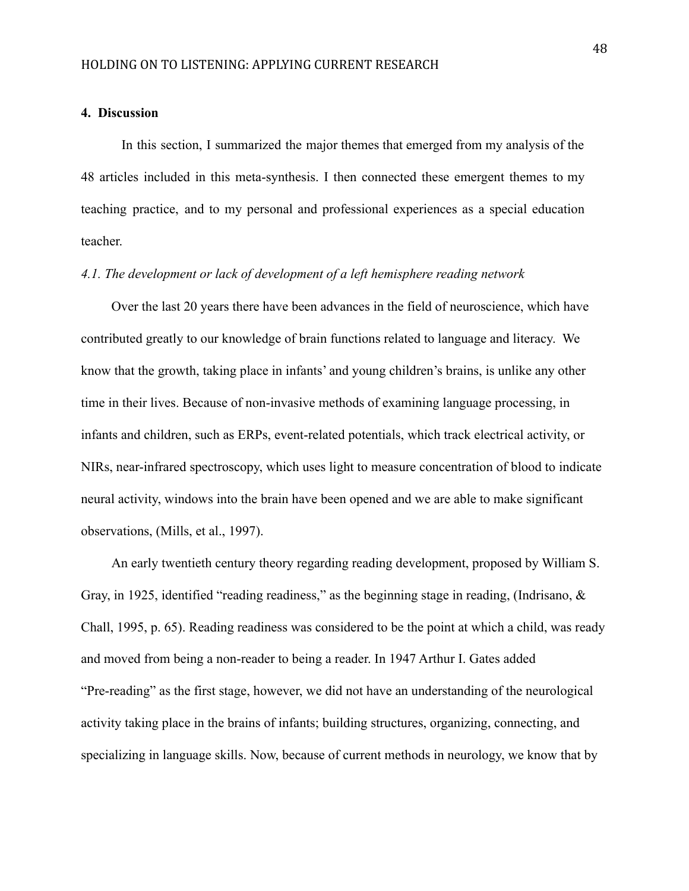#### **4. Discussion**

In this section, I summarized the major themes that emerged from my analysis of the 48 articles included in this meta-synthesis. I then connected these emergent themes to my teaching practice, and to my personal and professional experiences as a special education teacher.

## *4.1. The development or lack of development of a left hemisphere reading network*

Over the last 20 years there have been advances in the field of neuroscience, which have contributed greatly to our knowledge of brain functions related to language and literacy. We know that the growth, taking place in infants' and young children's brains, is unlike any other time in their lives. Because of non-invasive methods of examining language processing, in infants and children, such as ERPs, event-related potentials, which track electrical activity, or NIRs, near-infrared spectroscopy, which uses light to measure concentration of blood to indicate neural activity, windows into the brain have been opened and we are able to make significant observations, (Mills, et al., 1997).

An early twentieth century theory regarding reading development, proposed by William S. Gray, in 1925, identified "reading readiness," as the beginning stage in reading, (Indrisano, & Chall, 1995, p. 65). Reading readiness was considered to be the point at which a child, was ready and moved from being a non-reader to being a reader. In 1947 Arthur I. Gates added "Pre-reading" as the first stage, however, we did not have an understanding of the neurological activity taking place in the brains of infants; building structures, organizing, connecting, and specializing in language skills. Now, because of current methods in neurology, we know that by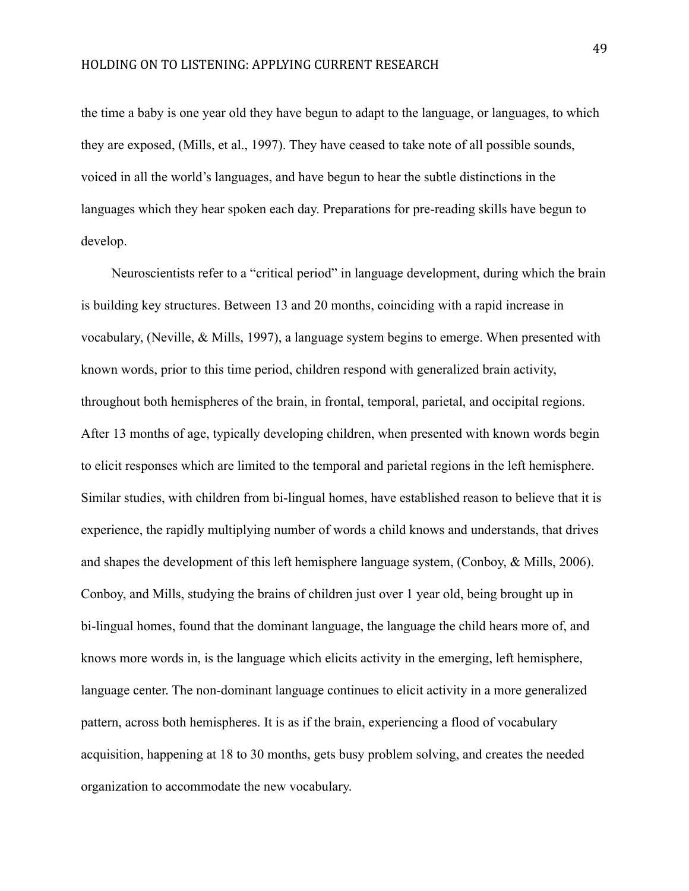the time a baby is one year old they have begun to adapt to the language, or languages, to which they are exposed, (Mills, et al., 1997). They have ceased to take note of all possible sounds, voiced in all the world's languages, and have begun to hear the subtle distinctions in the languages which they hear spoken each day. Preparations for pre-reading skills have begun to develop.

Neuroscientists refer to a "critical period" in language development, during which the brain is building key structures. Between 13 and 20 months, coinciding with a rapid increase in vocabulary, (Neville, & Mills, 1997), a language system begins to emerge. When presented with known words, prior to this time period, children respond with generalized brain activity, throughout both hemispheres of the brain, in frontal, temporal, parietal, and occipital regions. After 13 months of age, typically developing children, when presented with known words begin to elicit responses which are limited to the temporal and parietal regions in the left hemisphere. Similar studies, with children from bi-lingual homes, have established reason to believe that it is experience, the rapidly multiplying number of words a child knows and understands, that drives and shapes the development of this left hemisphere language system, (Conboy, & Mills, 2006). Conboy, and Mills, studying the brains of children just over 1 year old, being brought up in bi-lingual homes, found that the dominant language, the language the child hears more of, and knows more words in, is the language which elicits activity in the emerging, left hemisphere, language center. The non-dominant language continues to elicit activity in a more generalized pattern, across both hemispheres. It is as if the brain, experiencing a flood of vocabulary acquisition, happening at 18 to 30 months, gets busy problem solving, and creates the needed organization to accommodate the new vocabulary.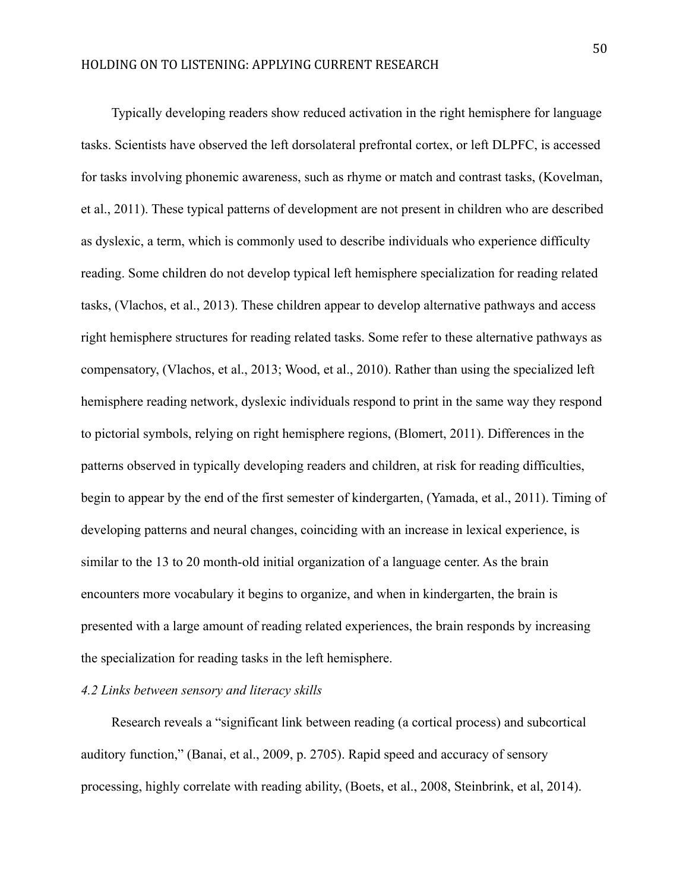Typically developing readers show reduced activation in the right hemisphere for language tasks. Scientists have observed the left dorsolateral prefrontal cortex, or left DLPFC, is accessed for tasks involving phonemic awareness, such as rhyme or match and contrast tasks, (Kovelman, et al., 2011). These typical patterns of development are not present in children who are described as dyslexic, a term, which is commonly used to describe individuals who experience difficulty reading. Some children do not develop typical left hemisphere specialization for reading related tasks, (Vlachos, et al., 2013). These children appear to develop alternative pathways and access right hemisphere structures for reading related tasks. Some refer to these alternative pathways as compensatory, (Vlachos, et al., 2013; Wood, et al., 2010). Rather than using the specialized left hemisphere reading network, dyslexic individuals respond to print in the same way they respond to pictorial symbols, relying on right hemisphere regions, (Blomert, 2011). Differences in the patterns observed in typically developing readers and children, at risk for reading difficulties, begin to appear by the end of the first semester of kindergarten, (Yamada, et al., 2011). Timing of developing patterns and neural changes, coinciding with an increase in lexical experience, is similar to the 13 to 20 month-old initial organization of a language center. As the brain encounters more vocabulary it begins to organize, and when in kindergarten, the brain is presented with a large amount of reading related experiences, the brain responds by increasing the specialization for reading tasks in the left hemisphere.

#### *4.2 Links between sensory and literacy skills*

Research reveals a "significant link between reading (a cortical process) and subcortical auditory function," (Banai, et al., 2009, p. 2705). Rapid speed and accuracy of sensory processing, highly correlate with reading ability, (Boets, et al., 2008, Steinbrink, et al, 2014).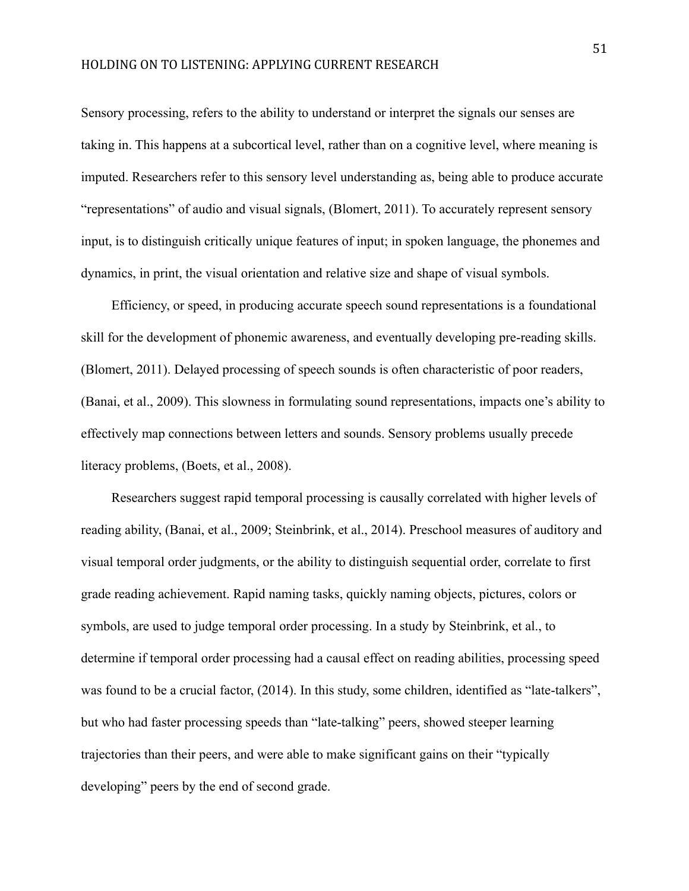Sensory processing, refers to the ability to understand or interpret the signals our senses are taking in. This happens at a subcortical level, rather than on a cognitive level, where meaning is imputed. Researchers refer to this sensory level understanding as, being able to produce accurate "representations" of audio and visual signals, (Blomert, 2011). To accurately represent sensory input, is to distinguish critically unique features of input; in spoken language, the phonemes and dynamics, in print, the visual orientation and relative size and shape of visual symbols.

Efficiency, or speed, in producing accurate speech sound representations is a foundational skill for the development of phonemic awareness, and eventually developing pre-reading skills. (Blomert, 2011). Delayed processing of speech sounds is often characteristic of poor readers, (Banai, et al., 2009). This slowness in formulating sound representations, impacts one's ability to effectively map connections between letters and sounds. Sensory problems usually precede literacy problems, (Boets, et al., 2008).

Researchers suggest rapid temporal processing is causally correlated with higher levels of reading ability, (Banai, et al., 2009; Steinbrink, et al., 2014). Preschool measures of auditory and visual temporal order judgments, or the ability to distinguish sequential order, correlate to first grade reading achievement. Rapid naming tasks, quickly naming objects, pictures, colors or symbols, are used to judge temporal order processing. In a study by Steinbrink, et al., to determine if temporal order processing had a causal effect on reading abilities, processing speed was found to be a crucial factor, (2014). In this study, some children, identified as "late-talkers", but who had faster processing speeds than "late-talking" peers, showed steeper learning trajectories than their peers, and were able to make significant gains on their "typically developing" peers by the end of second grade.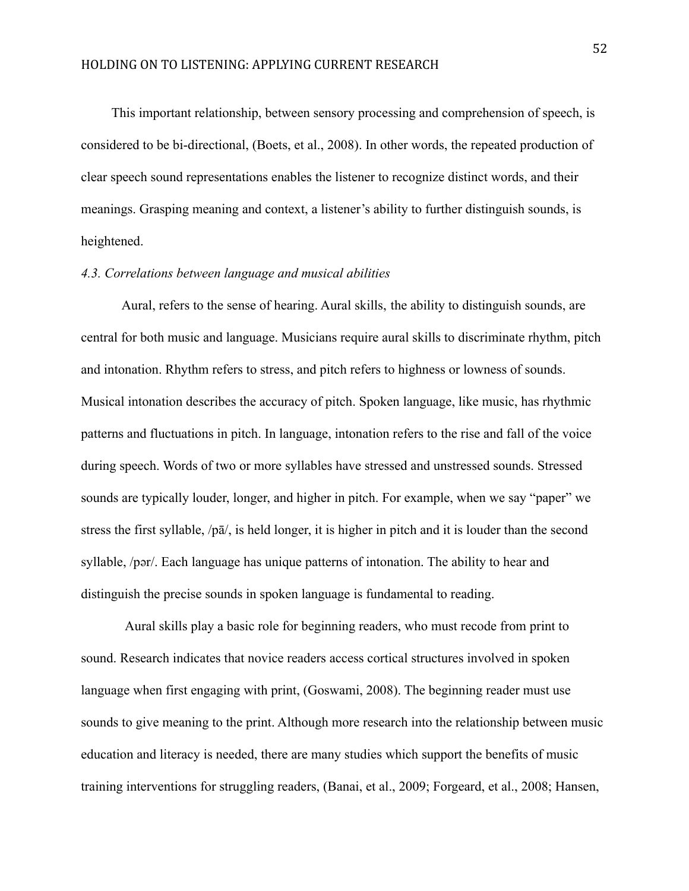This important relationship, between sensory processing and comprehension of speech, is considered to be bi-directional, (Boets, et al., 2008). In other words, the repeated production of clear speech sound representations enables the listener to recognize distinct words, and their meanings. Grasping meaning and context, a listener's ability to further distinguish sounds, is heightened.

## *4.3. Correlations between language and musical abilities*

Aural, refers to the sense of hearing. Aural skills, the ability to distinguish sounds, are central for both music and language. Musicians require aural skills to discriminate rhythm, pitch and intonation. Rhythm refers to stress, and pitch refers to highness or lowness of sounds. Musical intonation describes the accuracy of pitch. Spoken language, like music, has rhythmic patterns and fluctuations in pitch. In language, intonation refers to the rise and fall of the voice during speech. Words of two or more syllables have stressed and unstressed sounds. Stressed sounds are typically louder, longer, and higher in pitch. For example, when we say "paper" we stress the first syllable, /pā/, is held longer, it is higher in pitch and it is louder than the second syllable, /pər/. Each language has unique patterns of intonation. The ability to hear and distinguish the precise sounds in spoken language is fundamental to reading.

Aural skills play a basic role for beginning readers, who must recode from print to sound. Research indicates that novice readers access cortical structures involved in spoken language when first engaging with print, (Goswami, 2008). The beginning reader must use sounds to give meaning to the print. Although more research into the relationship between music education and literacy is needed, there are many studies which support the benefits of music training interventions for struggling readers, (Banai, et al., 2009; Forgeard, et al., 2008; Hansen,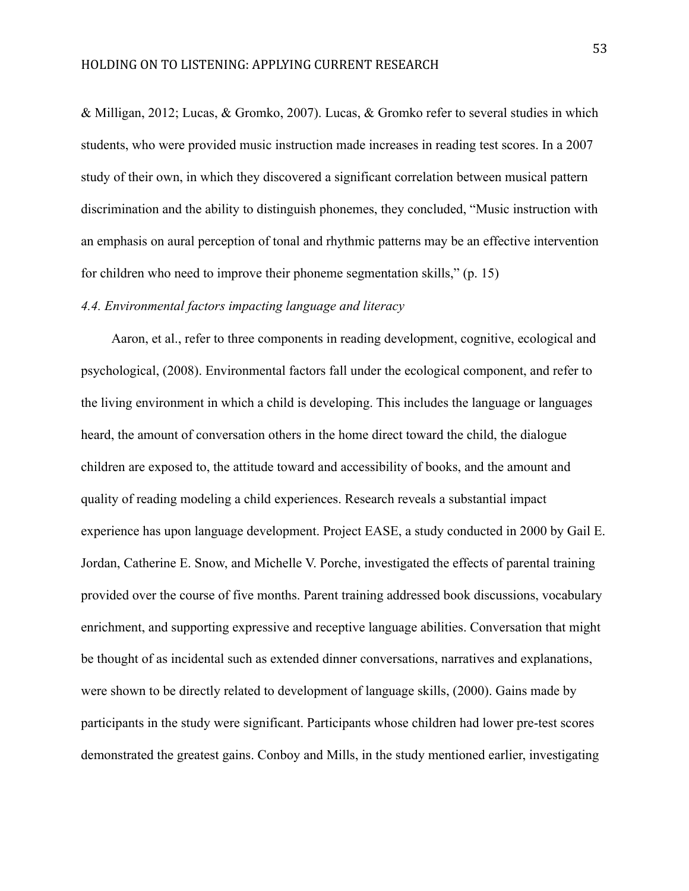& Milligan, 2012; Lucas, & Gromko, 2007). Lucas, & Gromko refer to several studies in which students, who were provided music instruction made increases in reading test scores. In a 2007 study of their own, in which they discovered a significant correlation between musical pattern discrimination and the ability to distinguish phonemes, they concluded, "Music instruction with an emphasis on aural perception of tonal and rhythmic patterns may be an effective intervention for children who need to improve their phoneme segmentation skills," (p. 15)

## *4.4. Environmental factors impacting language and literacy*

Aaron, et al., refer to three components in reading development, cognitive, ecological and psychological, (2008). Environmental factors fall under the ecological component, and refer to the living environment in which a child is developing. This includes the language or languages heard, the amount of conversation others in the home direct toward the child, the dialogue children are exposed to, the attitude toward and accessibility of books, and the amount and quality of reading modeling a child experiences. Research reveals a substantial impact experience has upon language development. Project EASE, a study conducted in 2000 by Gail E. Jordan, Catherine E. Snow, and Michelle V. Porche, investigated the effects of parental training provided over the course of five months. Parent training addressed book discussions, vocabulary enrichment, and supporting expressive and receptive language abilities. Conversation that might be thought of as incidental such as extended dinner conversations, narratives and explanations, were shown to be directly related to development of language skills, (2000). Gains made by participants in the study were significant. Participants whose children had lower pre-test scores demonstrated the greatest gains. Conboy and Mills, in the study mentioned earlier, investigating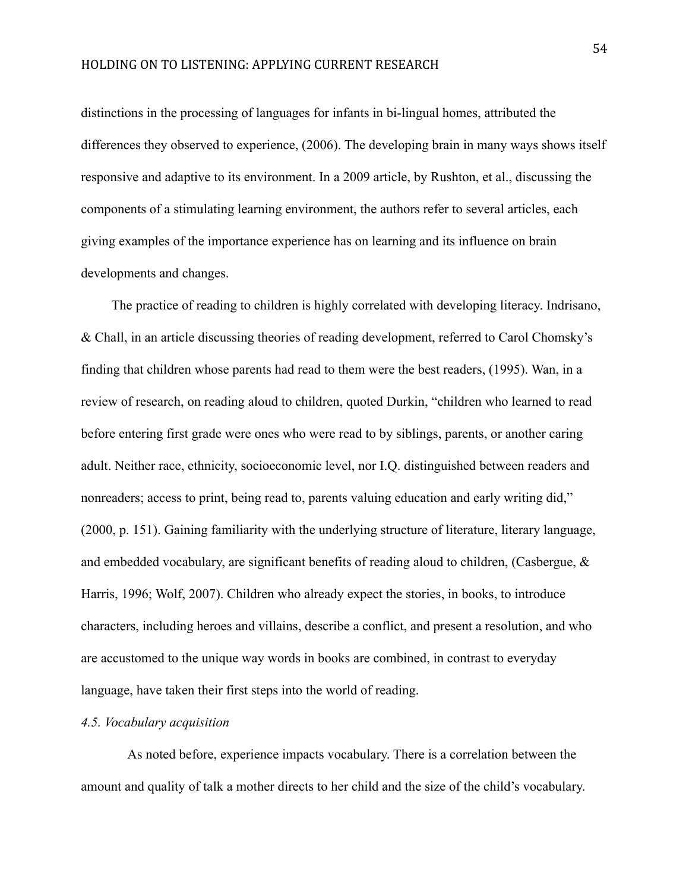distinctions in the processing of languages for infants in bi-lingual homes, attributed the differences they observed to experience, (2006). The developing brain in many ways shows itself responsive and adaptive to its environment. In a 2009 article, by Rushton, et al., discussing the components of a stimulating learning environment, the authors refer to several articles, each giving examples of the importance experience has on learning and its influence on brain developments and changes.

The practice of reading to children is highly correlated with developing literacy. Indrisano, & Chall, in an article discussing theories of reading development, referred to Carol Chomsky's finding that children whose parents had read to them were the best readers, (1995). Wan, in a review of research, on reading aloud to children, quoted Durkin, "children who learned to read before entering first grade were ones who were read to by siblings, parents, or another caring adult. Neither race, ethnicity, socioeconomic level, nor I.Q. distinguished between readers and nonreaders; access to print, being read to, parents valuing education and early writing did," (2000, p. 151). Gaining familiarity with the underlying structure of literature, literary language, and embedded vocabulary, are significant benefits of reading aloud to children, (Casbergue, & Harris, 1996; Wolf, 2007). Children who already expect the stories, in books, to introduce characters, including heroes and villains, describe a conflict, and present a resolution, and who are accustomed to the unique way words in books are combined, in contrast to everyday language, have taken their first steps into the world of reading.

#### *4.5. Vocabulary acquisition*

As noted before, experience impacts vocabulary. There is a correlation between the amount and quality of talk a mother directs to her child and the size of the child's vocabulary.

54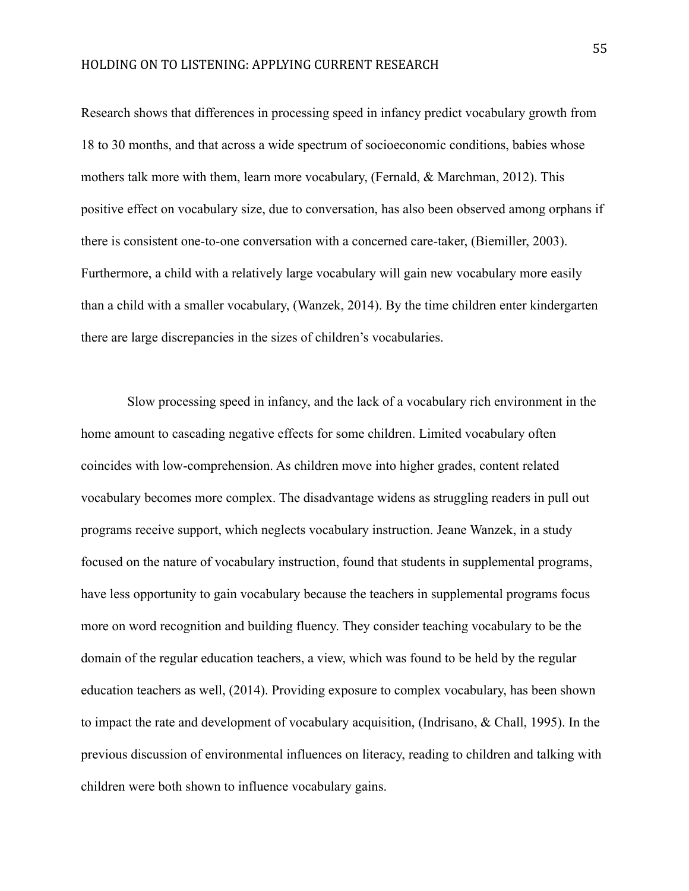Research shows that differences in processing speed in infancy predict vocabulary growth from 18 to 30 months, and that across a wide spectrum of socioeconomic conditions, babies whose mothers talk more with them, learn more vocabulary, (Fernald, & Marchman, 2012). This positive effect on vocabulary size, due to conversation, has also been observed among orphans if there is consistent one-to-one conversation with a concerned care-taker, (Biemiller, 2003). Furthermore, a child with a relatively large vocabulary will gain new vocabulary more easily than a child with a smaller vocabulary, (Wanzek, 2014). By the time children enter kindergarten there are large discrepancies in the sizes of children's vocabularies.

Slow processing speed in infancy, and the lack of a vocabulary rich environment in the home amount to cascading negative effects for some children. Limited vocabulary often coincides with low-comprehension. As children move into higher grades, content related vocabulary becomes more complex. The disadvantage widens as struggling readers in pull out programs receive support, which neglects vocabulary instruction. Jeane Wanzek, in a study focused on the nature of vocabulary instruction, found that students in supplemental programs, have less opportunity to gain vocabulary because the teachers in supplemental programs focus more on word recognition and building fluency. They consider teaching vocabulary to be the domain of the regular education teachers, a view, which was found to be held by the regular education teachers as well, (2014). Providing exposure to complex vocabulary, has been shown to impact the rate and development of vocabulary acquisition, (Indrisano, & Chall, 1995). In the previous discussion of environmental influences on literacy, reading to children and talking with children were both shown to influence vocabulary gains.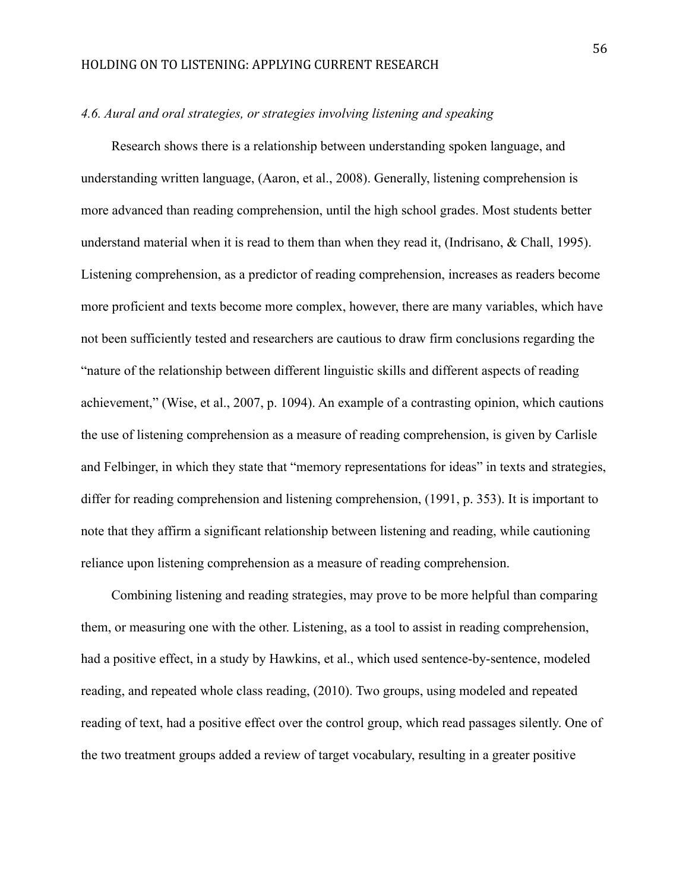#### *4.6. Aural and oral strategies, or strategies involving listening and speaking*

Research shows there is a relationship between understanding spoken language, and understanding written language, (Aaron, et al., 2008). Generally, listening comprehension is more advanced than reading comprehension, until the high school grades. Most students better understand material when it is read to them than when they read it, (Indrisano, & Chall, 1995). Listening comprehension, as a predictor of reading comprehension, increases as readers become more proficient and texts become more complex, however, there are many variables, which have not been sufficiently tested and researchers are cautious to draw firm conclusions regarding the "nature of the relationship between different linguistic skills and different aspects of reading achievement," (Wise, et al., 2007, p. 1094). An example of a contrasting opinion, which cautions the use of listening comprehension as a measure of reading comprehension, is given by Carlisle and Felbinger, in which they state that "memory representations for ideas" in texts and strategies, differ for reading comprehension and listening comprehension, (1991, p. 353). It is important to note that they affirm a significant relationship between listening and reading, while cautioning reliance upon listening comprehension as a measure of reading comprehension.

Combining listening and reading strategies, may prove to be more helpful than comparing them, or measuring one with the other. Listening, as a tool to assist in reading comprehension, had a positive effect, in a study by Hawkins, et al., which used sentence-by-sentence, modeled reading, and repeated whole class reading, (2010). Two groups, using modeled and repeated reading of text, had a positive effect over the control group, which read passages silently. One of the two treatment groups added a review of target vocabulary, resulting in a greater positive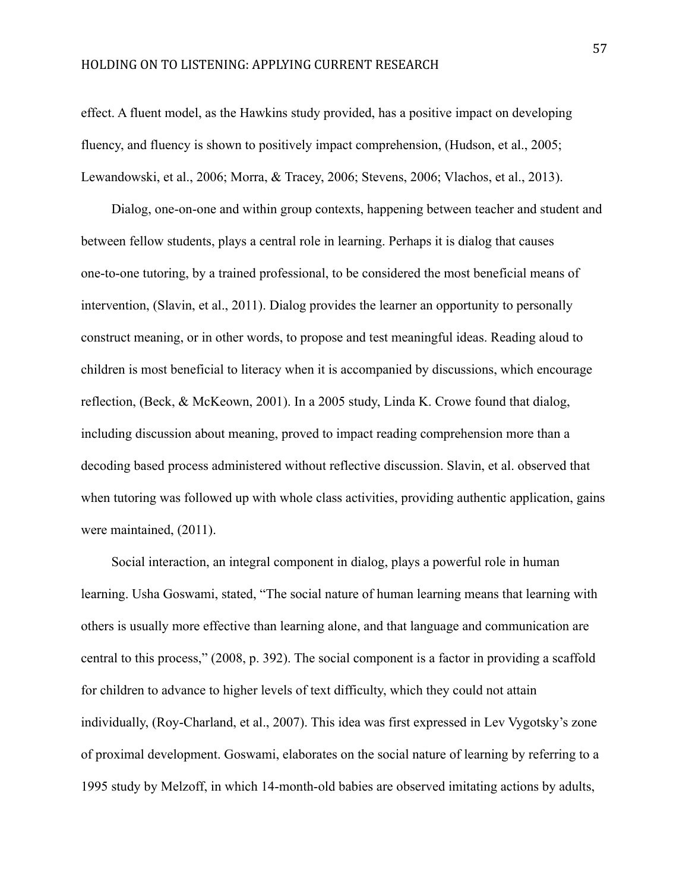#### HOLDING ON TO LISTENING: APPLYING CURRENT RESEARCH

effect. A fluent model, as the Hawkins study provided, has a positive impact on developing fluency, and fluency is shown to positively impact comprehension, (Hudson, et al., 2005; Lewandowski, et al., 2006; Morra, & Tracey, 2006; Stevens, 2006; Vlachos, et al., 2013).

Dialog, one-on-one and within group contexts, happening between teacher and student and between fellow students, plays a central role in learning. Perhaps it is dialog that causes one-to-one tutoring, by a trained professional, to be considered the most beneficial means of intervention, (Slavin, et al., 2011). Dialog provides the learner an opportunity to personally construct meaning, or in other words, to propose and test meaningful ideas. Reading aloud to children is most beneficial to literacy when it is accompanied by discussions, which encourage reflection, (Beck, & McKeown, 2001). In a 2005 study, Linda K. Crowe found that dialog, including discussion about meaning, proved to impact reading comprehension more than a decoding based process administered without reflective discussion. Slavin, et al. observed that when tutoring was followed up with whole class activities, providing authentic application, gains were maintained, (2011).

Social interaction, an integral component in dialog, plays a powerful role in human learning. Usha Goswami, stated, "The social nature of human learning means that learning with others is usually more effective than learning alone, and that language and communication are central to this process," (2008, p. 392). The social component is a factor in providing a scaffold for children to advance to higher levels of text difficulty, which they could not attain individually, (Roy-Charland, et al., 2007). This idea was first expressed in Lev Vygotsky's zone of proximal development. Goswami, elaborates on the social nature of learning by referring to a 1995 study by Melzoff, in which 14-month-old babies are observed imitating actions by adults,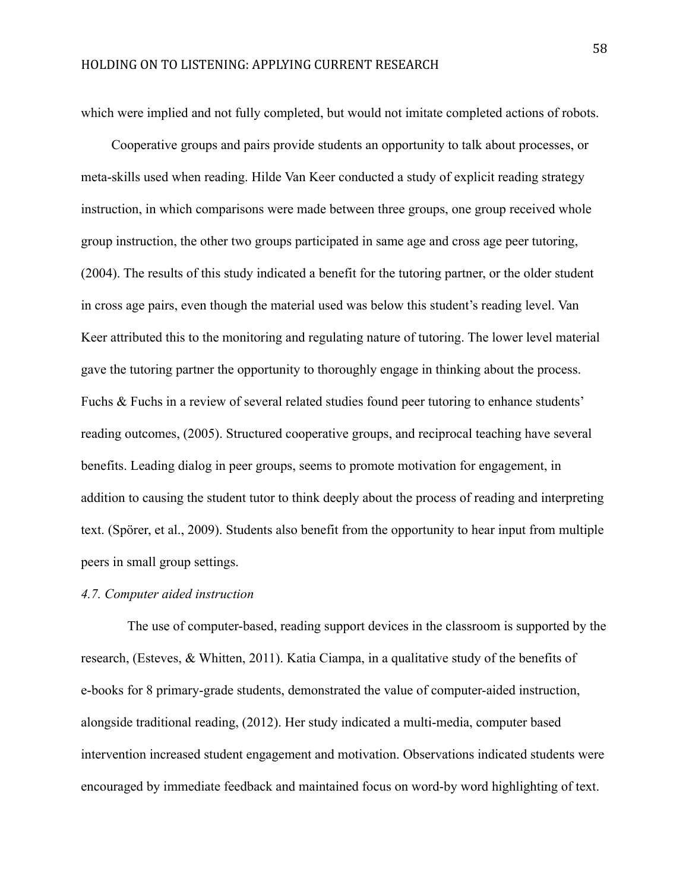which were implied and not fully completed, but would not imitate completed actions of robots.

Cooperative groups and pairs provide students an opportunity to talk about processes, or meta-skills used when reading. Hilde Van Keer conducted a study of explicit reading strategy instruction, in which comparisons were made between three groups, one group received whole group instruction, the other two groups participated in same age and cross age peer tutoring, (2004). The results of this study indicated a benefit for the tutoring partner, or the older student in cross age pairs, even though the material used was below this student's reading level. Van Keer attributed this to the monitoring and regulating nature of tutoring. The lower level material gave the tutoring partner the opportunity to thoroughly engage in thinking about the process. Fuchs & Fuchs in a review of several related studies found peer tutoring to enhance students' reading outcomes, (2005). Structured cooperative groups, and reciprocal teaching have several benefits. Leading dialog in peer groups, seems to promote motivation for engagement, in addition to causing the student tutor to think deeply about the process of reading and interpreting text. (Spörer, et al., 2009). Students also benefit from the opportunity to hear input from multiple peers in small group settings.

## *4.7. Computer aided instruction*

The use of computer-based, reading support devices in the classroom is supported by the research, (Esteves, & Whitten, 2011). Katia Ciampa, in a qualitative study of the benefits of e-books for 8 primary-grade students, demonstrated the value of computer-aided instruction, alongside traditional reading, (2012). Her study indicated a multi-media, computer based intervention increased student engagement and motivation. Observations indicated students were encouraged by immediate feedback and maintained focus on word-by word highlighting of text.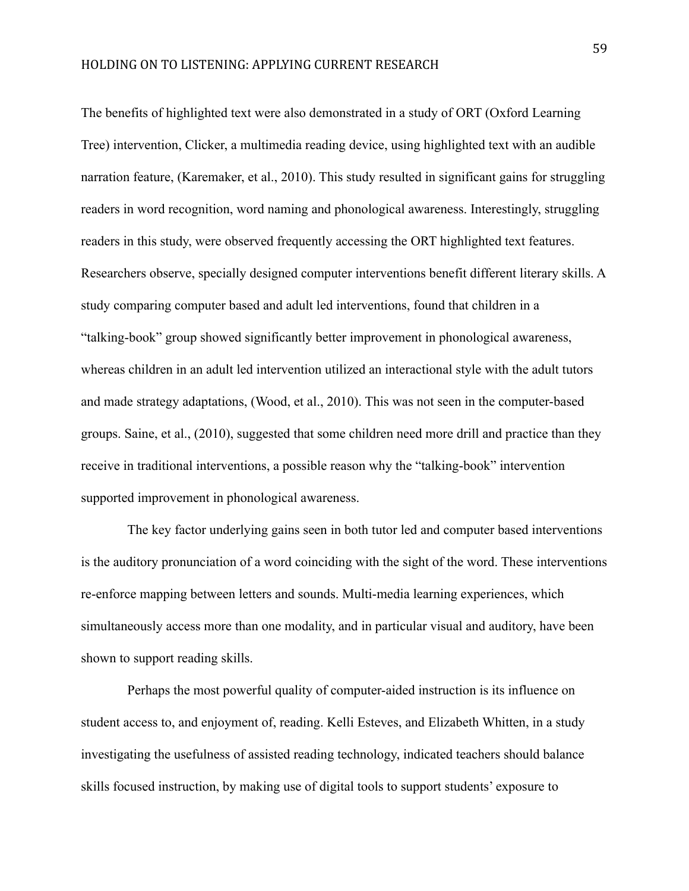The benefits of highlighted text were also demonstrated in a study of ORT (Oxford Learning Tree) intervention, Clicker, a multimedia reading device, using highlighted text with an audible narration feature, (Karemaker, et al., 2010). This study resulted in significant gains for struggling readers in word recognition, word naming and phonological awareness. Interestingly, struggling readers in this study, were observed frequently accessing the ORT highlighted text features. Researchers observe, specially designed computer interventions benefit different literary skills. A study comparing computer based and adult led interventions, found that children in a "talking-book" group showed significantly better improvement in phonological awareness, whereas children in an adult led intervention utilized an interactional style with the adult tutors and made strategy adaptations, (Wood, et al., 2010). This was not seen in the computer-based groups. Saine, et al., (2010), suggested that some children need more drill and practice than they receive in traditional interventions, a possible reason why the "talking-book" intervention supported improvement in phonological awareness.

The key factor underlying gains seen in both tutor led and computer based interventions is the auditory pronunciation of a word coinciding with the sight of the word. These interventions re-enforce mapping between letters and sounds. Multi-media learning experiences, which simultaneously access more than one modality, and in particular visual and auditory, have been shown to support reading skills.

Perhaps the most powerful quality of computer-aided instruction is its influence on student access to, and enjoyment of, reading. Kelli Esteves, and Elizabeth Whitten, in a study investigating the usefulness of assisted reading technology, indicated teachers should balance skills focused instruction, by making use of digital tools to support students' exposure to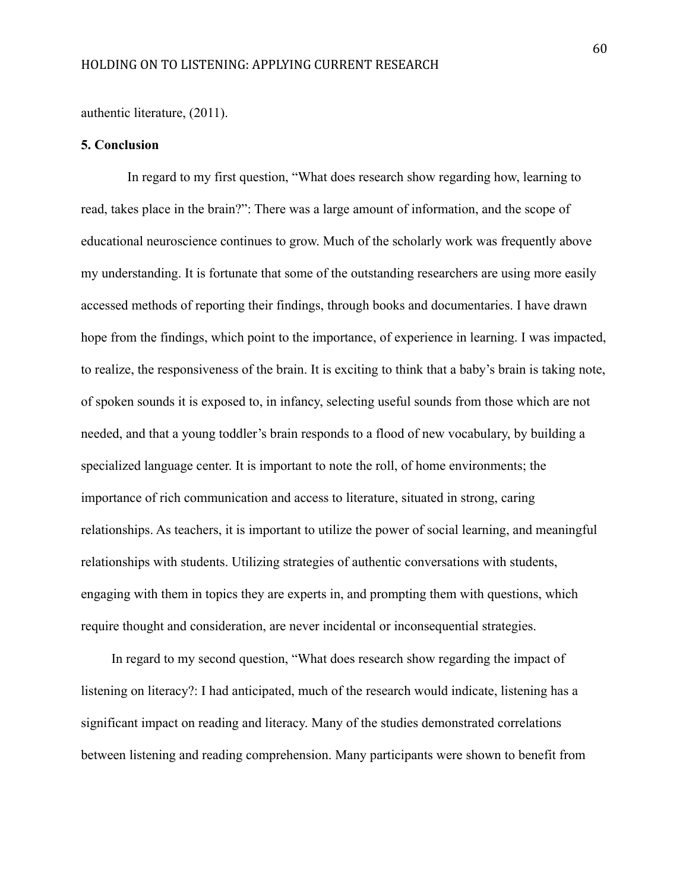authentic literature, (2011).

#### **5. Conclusion**

In regard to my first question, "What does research show regarding how, learning to read, takes place in the brain?": There was a large amount of information, and the scope of educational neuroscience continues to grow. Much of the scholarly work was frequently above my understanding. It is fortunate that some of the outstanding researchers are using more easily accessed methods of reporting their findings, through books and documentaries. I have drawn hope from the findings, which point to the importance, of experience in learning. I was impacted, to realize, the responsiveness of the brain. It is exciting to think that a baby's brain is taking note, of spoken sounds it is exposed to, in infancy, selecting useful sounds from those which are not needed, and that a young toddler's brain responds to a flood of new vocabulary, by building a specialized language center. It is important to note the roll, of home environments; the importance of rich communication and access to literature, situated in strong, caring relationships. As teachers, it is important to utilize the power of social learning, and meaningful relationships with students. Utilizing strategies of authentic conversations with students, engaging with them in topics they are experts in, and prompting them with questions, which require thought and consideration, are never incidental or inconsequential strategies.

In regard to my second question, "What does research show regarding the impact of listening on literacy?: I had anticipated, much of the research would indicate, listening has a significant impact on reading and literacy. Many of the studies demonstrated correlations between listening and reading comprehension. Many participants were shown to benefit from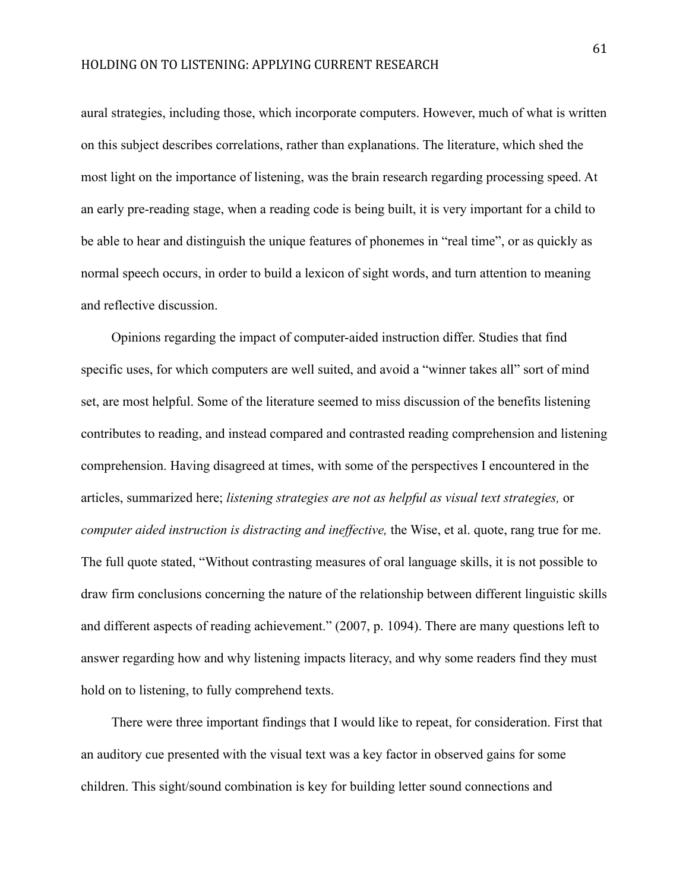aural strategies, including those, which incorporate computers. However, much of what is written on this subject describes correlations, rather than explanations. The literature, which shed the most light on the importance of listening, was the brain research regarding processing speed. At an early pre-reading stage, when a reading code is being built, it is very important for a child to be able to hear and distinguish the unique features of phonemes in "real time", or as quickly as normal speech occurs, in order to build a lexicon of sight words, and turn attention to meaning and reflective discussion.

Opinions regarding the impact of computer-aided instruction differ. Studies that find specific uses, for which computers are well suited, and avoid a "winner takes all" sort of mind set, are most helpful. Some of the literature seemed to miss discussion of the benefits listening contributes to reading, and instead compared and contrasted reading comprehension and listening comprehension. Having disagreed at times, with some of the perspectives I encountered in the articles, summarized here; *listening strategies are not as helpful as visual text strategies,* or *computer aided instruction is distracting and ineffective,* the Wise, et al. quote, rang true for me. The full quote stated, "Without contrasting measures of oral language skills, it is not possible to draw firm conclusions concerning the nature of the relationship between different linguistic skills and different aspects of reading achievement." (2007, p. 1094). There are many questions left to answer regarding how and why listening impacts literacy, and why some readers find they must hold on to listening, to fully comprehend texts.

There were three important findings that I would like to repeat, for consideration. First that an auditory cue presented with the visual text was a key factor in observed gains for some children. This sight/sound combination is key for building letter sound connections and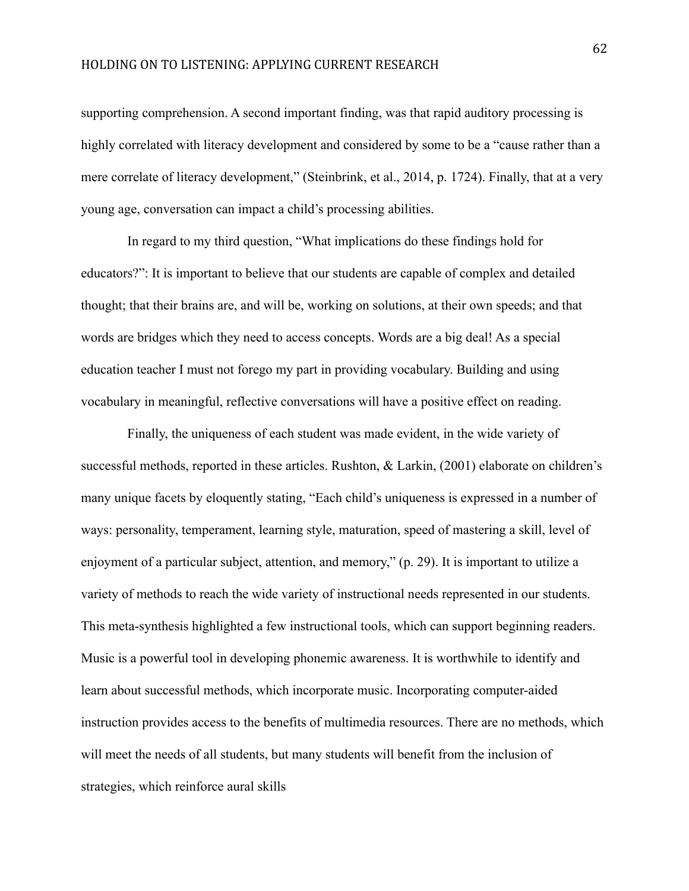supporting comprehension. A second important finding, was that rapid auditory processing is highly correlated with literacy development and considered by some to be a "cause rather than a mere correlate of literacy development," (Steinbrink, et al., 2014, p. 1724). Finally, that at a very young age, conversation can impact a child's processing abilities.

In regard to my third question, "What implications do these findings hold for educators?": It is important to believe that our students are capable of complex and detailed thought; that their brains are, and will be, working on solutions, at their own speeds; and that words are bridges which they need to access concepts. Words are a big deal! As a special education teacher I must not forego my part in providing vocabulary. Building and using vocabulary in meaningful, reflective conversations will have a positive effect on reading.

Finally, the uniqueness of each student was made evident, in the wide variety of successful methods, reported in these articles. Rushton, & Larkin, (2001) elaborate on children's many unique facets by eloquently stating, "Each child's uniqueness is expressed in a number of ways: personality, temperament, learning style, maturation, speed of mastering a skill, level of enjoyment of a particular subject, attention, and memory," (p. 29). It is important to utilize a variety of methods to reach the wide variety of instructional needs represented in our students. This meta-synthesis highlighted a few instructional tools, which can support beginning readers. Music is a powerful tool in developing phonemic awareness. It is worthwhile to identify and learn about successful methods, which incorporate music. Incorporating computer-aided instruction provides access to the benefits of multimedia resources. There are no methods, which will meet the needs of all students, but many students will benefit from the inclusion of strategies, which reinforce aural skills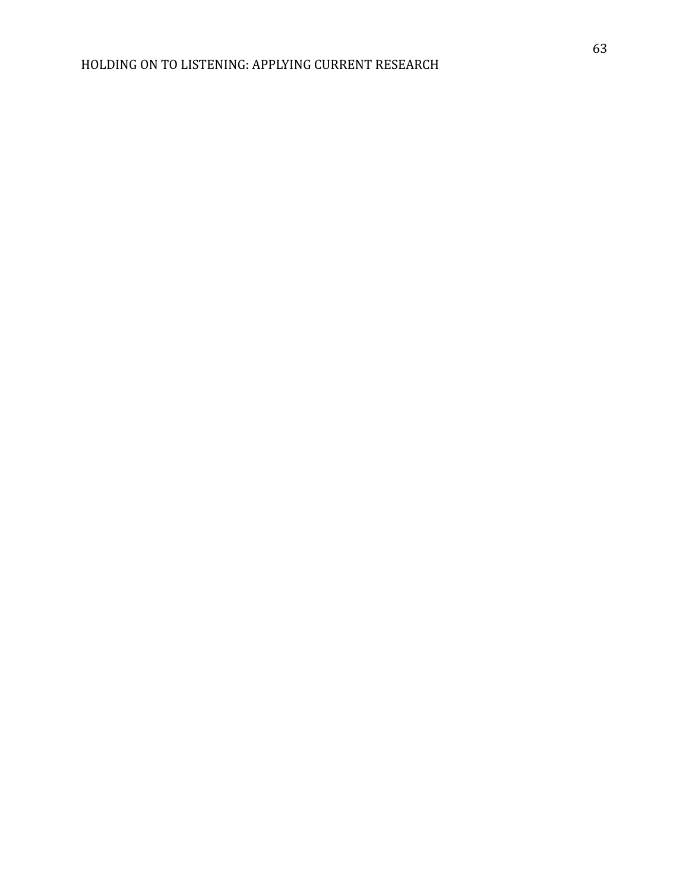# HOLDING ON TO LISTENING: APPLYING CURRENT RESEARCH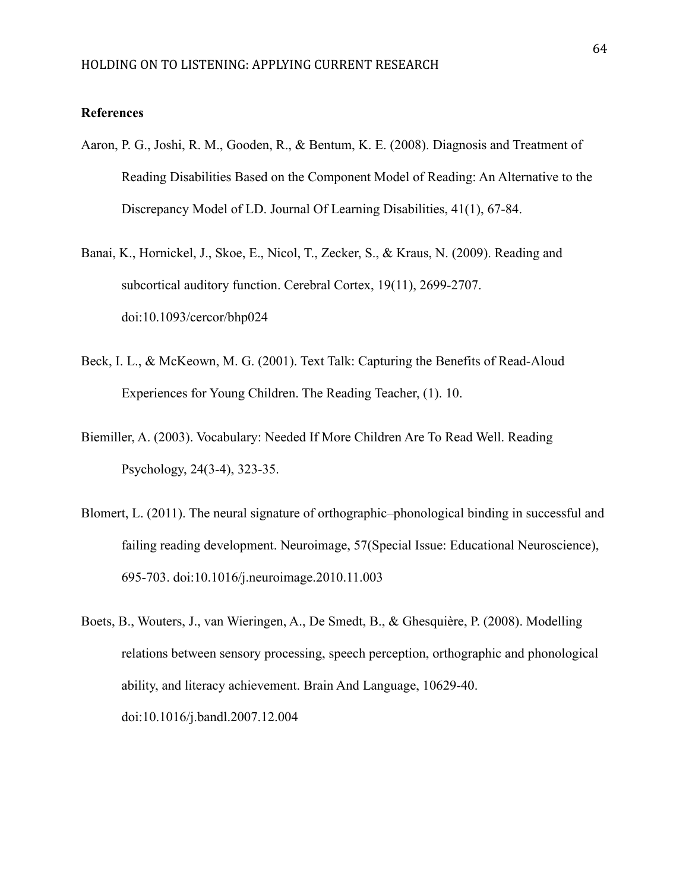## **References**

- Aaron, P. G., Joshi, R. M., Gooden, R., & Bentum, K. E. (2008). Diagnosis and Treatment of Reading Disabilities Based on the Component Model of Reading: An Alternative to the Discrepancy Model of LD. Journal Of Learning Disabilities, 41(1), 67-84.
- Banai, K., Hornickel, J., Skoe, E., Nicol, T., Zecker, S., & Kraus, N. (2009). Reading and subcortical auditory function. Cerebral Cortex, 19(11), 2699-2707. doi:10.1093/cercor/bhp024
- Beck, I. L., & McKeown, M. G. (2001). Text Talk: Capturing the Benefits of Read-Aloud Experiences for Young Children. The Reading Teacher, (1). 10.
- Biemiller, A. (2003). Vocabulary: Needed If More Children Are To Read Well. Reading Psychology, 24(3-4), 323-35.
- Blomert, L. (2011). The neural signature of orthographic–phonological binding in successful and failing reading development. Neuroimage, 57(Special Issue: Educational Neuroscience), 695-703. doi:10.1016/j.neuroimage.2010.11.003
- Boets, B., Wouters, J., van Wieringen, A., De Smedt, B., & Ghesquière, P. (2008). Modelling relations between sensory processing, speech perception, orthographic and phonological ability, and literacy achievement. Brain And Language, 10629-40. doi:10.1016/j.bandl.2007.12.004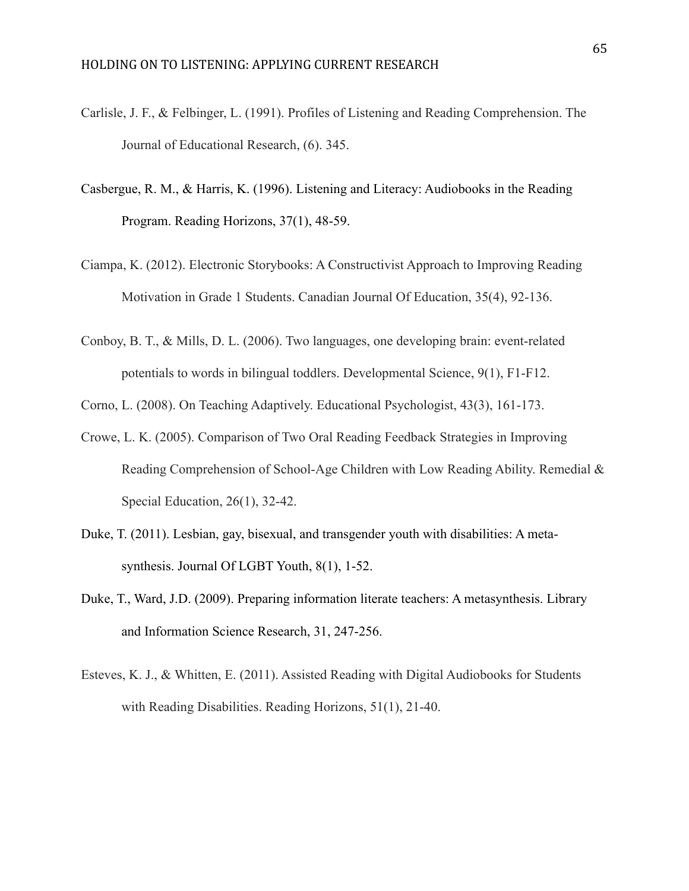- Carlisle, J. F., & Felbinger, L. (1991). Profiles of Listening and Reading Comprehension. The Journal of Educational Research, (6). 345.
- Casbergue, R. M., & Harris, K. (1996). Listening and Literacy: Audiobooks in the Reading Program. Reading Horizons, 37(1), 48-59.
- Ciampa, K. (2012). Electronic Storybooks: A Constructivist Approach to Improving Reading Motivation in Grade 1 Students. Canadian Journal Of Education, 35(4), 92-136.
- Conboy, B. T., & Mills, D. L. (2006). Two languages, one developing brain: event-related potentials to words in bilingual toddlers. Developmental Science, 9(1), F1-F12.
- Corno, L. (2008). On Teaching Adaptively. Educational Psychologist, 43(3), 161-173.
- Crowe, L. K. (2005). Comparison of Two Oral Reading Feedback Strategies in Improving Reading Comprehension of School-Age Children with Low Reading Ability. Remedial & Special Education, 26(1), 32-42.
- Duke, T. (2011). Lesbian, gay, bisexual, and transgender youth with disabilities: A metasynthesis. Journal Of LGBT Youth, 8(1), 1-52.
- Duke, T., Ward, J.D. (2009). Preparing information literate teachers: A metasynthesis. Library and Information Science Research, 31, 247-256.
- Esteves, K. J., & Whitten, E. (2011). Assisted Reading with Digital Audiobooks for Students with Reading Disabilities. Reading Horizons, 51(1), 21-40.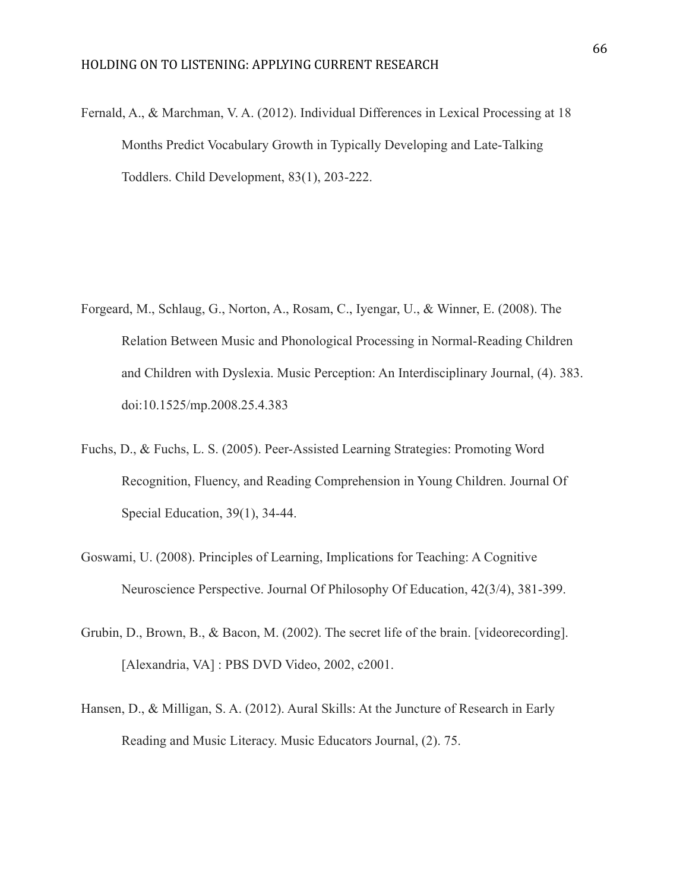Fernald, A., & Marchman, V. A. (2012). Individual Differences in Lexical Processing at 18 Months Predict Vocabulary Growth in Typically Developing and Late-Talking Toddlers. Child Development, 83(1), 203-222.

- Forgeard, M., Schlaug, G., Norton, A., Rosam, C., Iyengar, U., & Winner, E. (2008). The Relation Between Music and Phonological Processing in Normal-Reading Children and Children with Dyslexia. Music Perception: An Interdisciplinary Journal, (4). 383. doi:10.1525/mp.2008.25.4.383
- Fuchs, D., & Fuchs, L. S. (2005). Peer-Assisted Learning Strategies: Promoting Word Recognition, Fluency, and Reading Comprehension in Young Children. Journal Of Special Education, 39(1), 34-44.
- Goswami, U. (2008). Principles of Learning, Implications for Teaching: A Cognitive Neuroscience Perspective. Journal Of Philosophy Of Education, 42(3/4), 381-399.
- Grubin, D., Brown, B., & Bacon, M. (2002). The secret life of the brain. [videorecording]. [Alexandria, VA] : PBS DVD Video, 2002, c2001.
- Hansen, D., & Milligan, S. A. (2012). Aural Skills: At the Juncture of Research in Early Reading and Music Literacy. Music Educators Journal, (2). 75.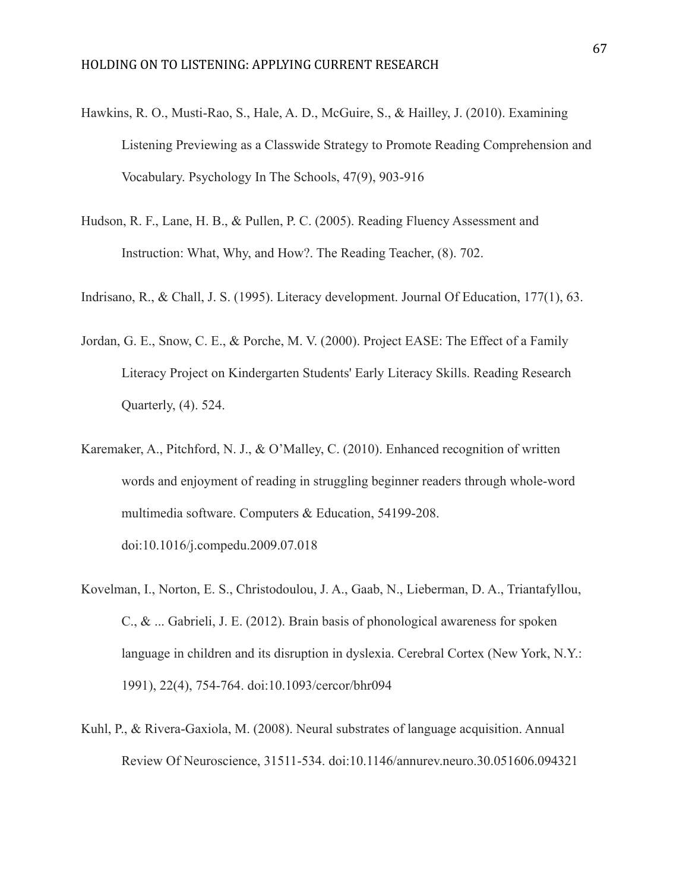- Hawkins, R. O., Musti-Rao, S., Hale, A. D., McGuire, S., & Hailley, J. (2010). Examining Listening Previewing as a Classwide Strategy to Promote Reading Comprehension and Vocabulary. Psychology In The Schools, 47(9), 903-916
- Hudson, R. F., Lane, H. B., & Pullen, P. C. (2005). Reading Fluency Assessment and Instruction: What, Why, and How?. The Reading Teacher, (8). 702.

Indrisano, R., & Chall, J. S. (1995). Literacy development. Journal Of Education, 177(1), 63.

- Jordan, G. E., Snow, C. E., & Porche, M. V. (2000). Project EASE: The Effect of a Family Literacy Project on Kindergarten Students' Early Literacy Skills. Reading Research Quarterly, (4). 524.
- Karemaker, A., Pitchford, N. J., & O'Malley, C. (2010). Enhanced recognition of written words and enjoyment of reading in struggling beginner readers through whole-word multimedia software. Computers & Education, 54199-208. doi:10.1016/j.compedu.2009.07.018
- Kovelman, I., Norton, E. S., Christodoulou, J. A., Gaab, N., Lieberman, D. A., Triantafyllou, C., & ... Gabrieli, J. E. (2012). Brain basis of phonological awareness for spoken language in children and its disruption in dyslexia. Cerebral Cortex (New York, N.Y.: 1991), 22(4), 754-764. doi:10.1093/cercor/bhr094
- Kuhl, P., & Rivera-Gaxiola, M. (2008). Neural substrates of language acquisition. Annual Review Of Neuroscience, 31511-534. doi:10.1146/annurev.neuro.30.051606.094321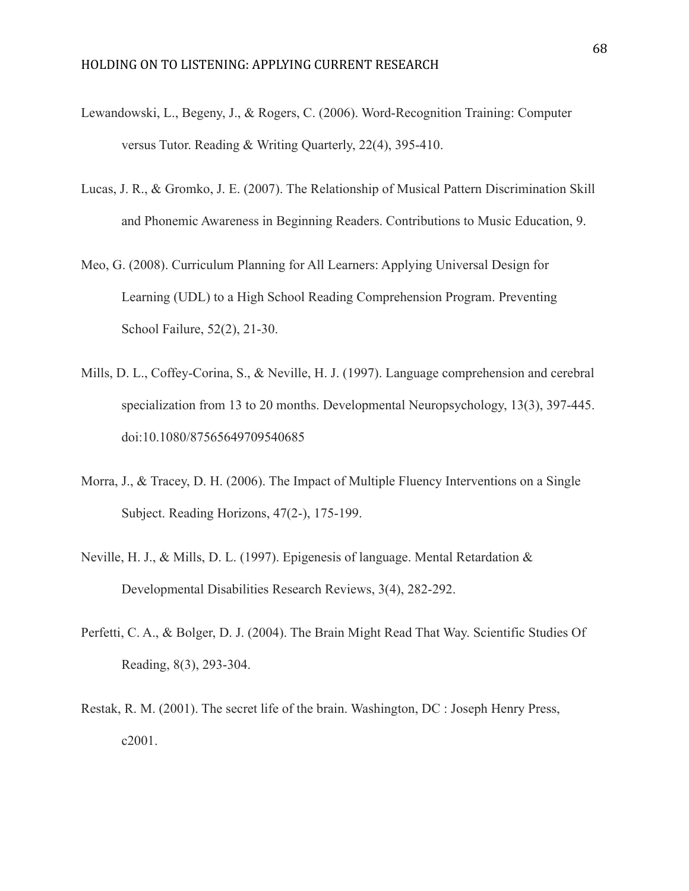- Lewandowski, L., Begeny, J., & Rogers, C. (2006). Word-Recognition Training: Computer versus Tutor. Reading & Writing Quarterly, 22(4), 395-410.
- Lucas, J. R., & Gromko, J. E. (2007). The Relationship of Musical Pattern Discrimination Skill and Phonemic Awareness in Beginning Readers. Contributions to Music Education, 9.
- Meo, G. (2008). Curriculum Planning for All Learners: Applying Universal Design for Learning (UDL) to a High School Reading Comprehension Program. Preventing School Failure, 52(2), 21-30.
- Mills, D. L., Coffey-Corina, S., & Neville, H. J. (1997). Language comprehension and cerebral specialization from 13 to 20 months. Developmental Neuropsychology, 13(3), 397-445. doi:10.1080/87565649709540685
- Morra, J., & Tracey, D. H. (2006). The Impact of Multiple Fluency Interventions on a Single Subject. Reading Horizons, 47(2-), 175-199.
- Neville, H. J., & Mills, D. L. (1997). Epigenesis of language. Mental Retardation & Developmental Disabilities Research Reviews, 3(4), 282-292.
- Perfetti, C. A., & Bolger, D. J. (2004). The Brain Might Read That Way. Scientific Studies Of Reading, 8(3), 293-304.
- Restak, R. M. (2001). The secret life of the brain. Washington, DC : Joseph Henry Press, c2001.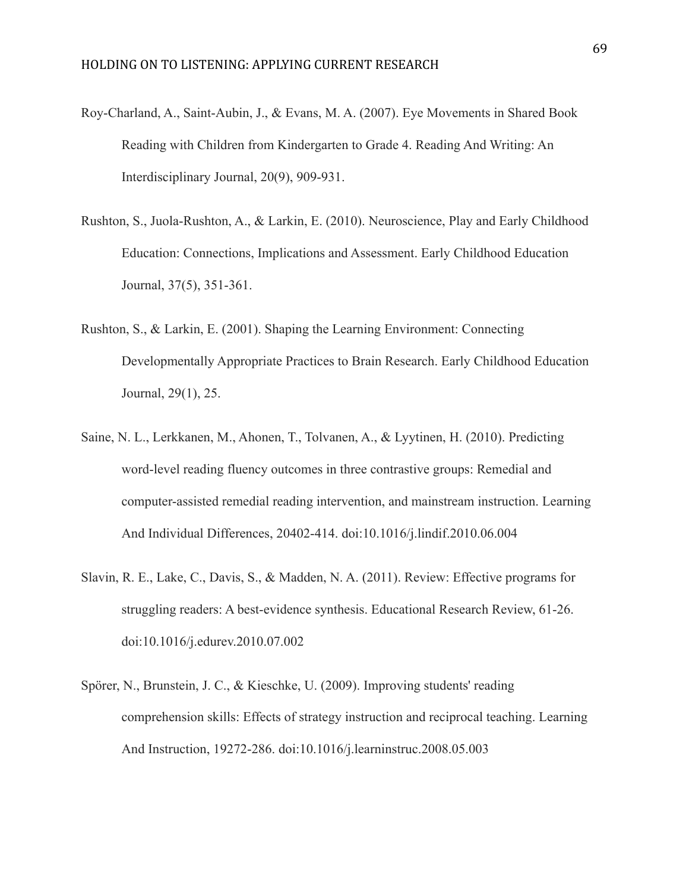- Roy-Charland, A., Saint-Aubin, J., & Evans, M. A. (2007). Eye Movements in Shared Book Reading with Children from Kindergarten to Grade 4. Reading And Writing: An Interdisciplinary Journal, 20(9), 909-931.
- Rushton, S., Juola-Rushton, A., & Larkin, E. (2010). Neuroscience, Play and Early Childhood Education: Connections, Implications and Assessment. Early Childhood Education Journal, 37(5), 351-361.
- Rushton, S., & Larkin, E. (2001). Shaping the Learning Environment: Connecting Developmentally Appropriate Practices to Brain Research. Early Childhood Education Journal, 29(1), 25.
- Saine, N. L., Lerkkanen, M., Ahonen, T., Tolvanen, A., & Lyytinen, H. (2010). Predicting word-level reading fluency outcomes in three contrastive groups: Remedial and computer-assisted remedial reading intervention, and mainstream instruction. Learning And Individual Differences, 20402-414. doi:10.1016/j.lindif.2010.06.004
- Slavin, R. E., Lake, C., Davis, S., & Madden, N. A. (2011). Review: Effective programs for struggling readers: A best-evidence synthesis. Educational Research Review, 61-26. doi:10.1016/j.edurev.2010.07.002
- Spörer, N., Brunstein, J. C., & Kieschke, U. (2009). Improving students' reading comprehension skills: Effects of strategy instruction and reciprocal teaching. Learning And Instruction, 19272-286. doi:10.1016/j.learninstruc.2008.05.003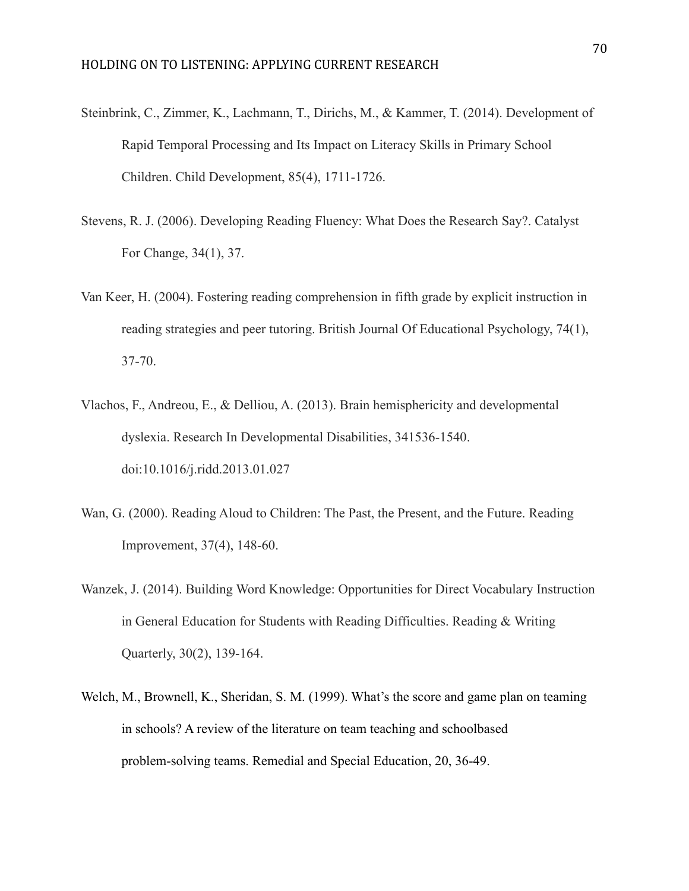- Steinbrink, C., Zimmer, K., Lachmann, T., Dirichs, M., & Kammer, T. (2014). Development of Rapid Temporal Processing and Its Impact on Literacy Skills in Primary School Children. Child Development, 85(4), 1711-1726.
- Stevens, R. J. (2006). Developing Reading Fluency: What Does the Research Say?. Catalyst For Change, 34(1), 37.
- Van Keer, H. (2004). Fostering reading comprehension in fifth grade by explicit instruction in reading strategies and peer tutoring. British Journal Of Educational Psychology, 74(1), 37-70.
- Vlachos, F., Andreou, E., & Delliou, A. (2013). Brain hemisphericity and developmental dyslexia. Research In Developmental Disabilities, 341536-1540. doi:10.1016/j.ridd.2013.01.027
- Wan, G. (2000). Reading Aloud to Children: The Past, the Present, and the Future. Reading Improvement, 37(4), 148-60.
- Wanzek, J. (2014). Building Word Knowledge: Opportunities for Direct Vocabulary Instruction in General Education for Students with Reading Difficulties. Reading & Writing Quarterly, 30(2), 139-164.
- Welch, M., Brownell, K., Sheridan, S. M. (1999). What's the score and game plan on teaming in schools? A review of the literature on team teaching and schoolbased problem-solving teams. Remedial and Special Education, 20, 36-49.